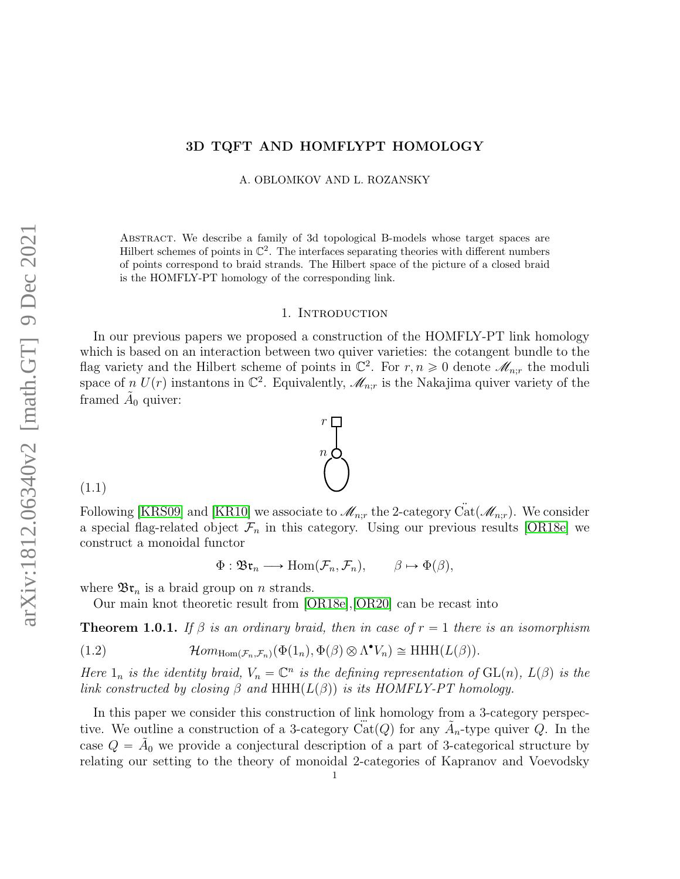# 3D TQFT AND HOMFLYPT HOMOLOGY

A. OBLOMKOV AND L. ROZANSKY

Abstract. We describe a family of 3d topological B-models whose target spaces are Hilbert schemes of points in  $\mathbb{C}^2$ . The interfaces separating theories with different numbers of points correspond to braid strands. The Hilbert space of the picture of a closed braid is the HOMFLY-PT homology of the corresponding link.

#### 1. INTRODUCTION

In our previous papers we proposed a construction of the HOMFLY-PT link homology which is based on an interaction between two quiver varieties: the cotangent bundle to the flag variety and the Hilbert scheme of points in  $\mathbb{C}^2$ . For  $r, n \geq 0$  denote  $\mathscr{M}_{n,r}$  the moduli space of  $n\ U(r)$  instantons in  $\mathbb{C}^2$ . Equivalently,  $\mathscr{M}_{n;r}$  is the Nakajima quiver variety of the framed  $\tilde{A}_0$  quiver:

(1.1)

Following [\[KRS09\]](#page-42-0) and [\[KR10\]](#page-42-1) we associate to  $\mathcal{M}_{n:r}$  the 2-category  $\ddot{Cat}(\mathcal{M}_{n:r})$ . We consider a special flag-related object  $\mathcal{F}_n$  in this category. Using our previous results [\[OR18e\]](#page-43-0) we construct a monoidal functor

<span id="page-0-1"></span>
$$
\Phi: \mathfrak{Br}_n \longrightarrow \text{Hom}(\mathcal{F}_n, \mathcal{F}_n), \qquad \beta \mapsto \Phi(\beta),
$$

where  $\mathfrak{Br}_n$  is a braid group on *n* strands.

Our main knot theoretic result from [\[OR18e\]](#page-43-0),[\[OR20\]](#page-43-1) can be recast into

**Theorem 1.0.1.** If  $\beta$  is an ordinary braid, then in case of  $r = 1$  there is an isomorphism

(1.2) 
$$
\mathcal{H}om_{\text{Hom}(\mathcal{F}_n,\mathcal{F}_n)}(\Phi(1_n),\Phi(\beta)\otimes\Lambda^{\bullet}V_n)\cong \text{HHH}(L(\beta)).
$$

Here  $1_n$  is the identity braid,  $V_n = \mathbb{C}^n$  is the defining representation of  $GL(n)$ ,  $L(\beta)$  is the link constructed by closing  $\beta$  and HHH $(L(\beta))$  is its HOMFLY-PT homology.

In this paper we consider this construction of link homology from a 3-category perspective. We outline a construction of a 3-category  $\ddot{Cat}(Q)$  for any  $\tilde{A}_n$ -type quiver Q. In the case  $Q = \tilde{A}_0$  we provide a conjectural description of a part of 3-categorical structure by relating our setting to the theory of monoidal 2-categories of Kapranov and Voevodsky

<span id="page-0-0"></span>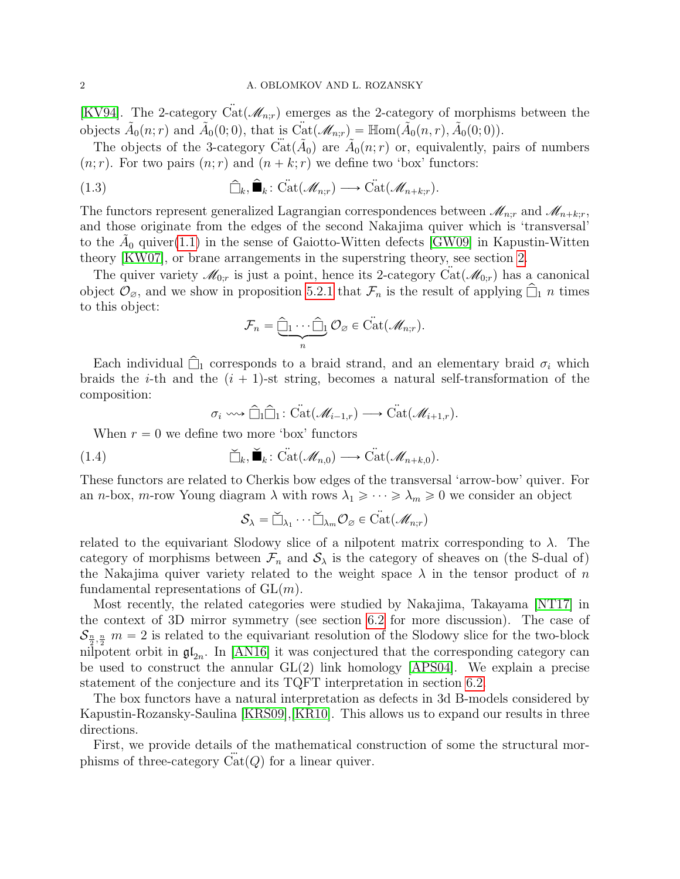[\[KV94\]](#page-42-2). The 2-category Cat( $\mathcal{M}_{n,r}$ ) emerges as the 2-category of morphisms between the objects  $\tilde{A}_0(n;r)$  and  $\tilde{A}_0(0;0)$ , that is  $\ddot{\text{Cat}}(\mathscr{M}_{n;r}) = \mathbb{H} \text{om}(\tilde{A}_0(n,r), \tilde{A}_0(0;0))$ .

The objects of the 3-category  $\ddot{Cat}(\tilde{A}_0)$  are  $\tilde{A}_0(n;r)$  or, equivalently, pairs of numbers  $(n; r)$ . For two pairs  $(n; r)$  and  $(n + k; r)$  we define two 'box' functors:

(1.3) 
$$
\widehat{\Box}_{k}, \widehat{\blacksquare}_{k} : \widetilde{\mathrm{Cat}}(\mathscr{M}_{n;r}) \longrightarrow \widetilde{\mathrm{Cat}}(\mathscr{M}_{n+k;r}).
$$

The functors represent generalized Lagrangian correspondences between  $\mathcal{M}_{n;r}$  and  $\mathcal{M}_{n+k;r}$ , and those originate from the edges of the second Nakajima quiver which is 'transversal' to the  $\tilde{A}_0$  quiver[\(1.1\)](#page-0-0) in the sense of Gaiotto-Witten defects [\[GW09\]](#page-42-3) in Kapustin-Witten theory [\[KW07\]](#page-42-4), or brane arrangements in the superstring theory, see section [2.](#page-6-0)

The quiver variety  $\mathcal{M}_{0,r}$  is just a point, hence its 2-category  $\text{Cat}(\mathcal{M}_{0,r})$  has a canonical object  $\mathcal{O}_{\varnothing}$ , and we show in proposition [5.2.1](#page-32-0) that  $\mathcal{F}_n$  is the result of applying  $\Box_1 n$  times to this object:

<span id="page-1-0"></span>
$$
\mathcal{F}_n = \underbrace{\widehat{\Box}_1 \cdots \widehat{\Box}_1}_{n} \mathcal{O}_{\varnothing} \in \mathrm{Cat}(\mathscr{M}_{n,r}).
$$

Each individual  $\hat{\Box}_1$  corresponds to a braid strand, and an elementary braid  $\sigma_i$  which braids the *i*-th and the  $(i + 1)$ -st string, becomes a natural self-transformation of the composition:

<span id="page-1-1"></span>
$$
\sigma_i \longrightarrow \widehat{\Box}_1 \widehat{\Box}_1 \colon \widetilde{\mathrm{Cat}}(\mathscr{M}_{i-1,r}) \longrightarrow \widetilde{\mathrm{Cat}}(\mathscr{M}_{i+1,r}).
$$

When  $r = 0$  we define two more 'box' functors

(1.4) 
$$
\check{\Box}_{k}, \check{\blacksquare}_{k} : \check{\mathrm{Cat}}(\mathscr{M}_{n,0}) \longrightarrow \check{\mathrm{Cat}}(\mathscr{M}_{n+k,0}).
$$

These functors are related to Cherkis bow edges of the transversal 'arrow-bow' quiver. For an *n*-box, *m*-row Young diagram  $\lambda$  with rows  $\lambda_1 \geq \cdots \geq \lambda_m \geq 0$  we consider an object

$$
\mathcal{S}_{\lambda} = \check{\Box}_{\lambda_1} \cdots \check{\Box}_{\lambda_m} \mathcal{O}_{\varnothing} \in \mathring{\mathrm{Cat}}(\mathscr{M}_{n;r})
$$

related to the equivariant Slodowy slice of a nilpotent matrix corresponding to  $\lambda$ . The category of morphisms between  $\mathcal{F}_n$  and  $\mathcal{S}_\lambda$  is the category of sheaves on (the S-dual of) the Nakajima quiver variety related to the weight space  $\lambda$  in the tensor product of n fundamental representations of  $GL(m)$ .

Most recently, the related categories were studied by Nakajima, Takayama [\[NT17\]](#page-42-5) in the context of 3D mirror symmetry (see section [6.2](#page-40-0) for more discussion). The case of  $S_{\frac{n}{2},\frac{n}{2}}$  m = 2 is related to the equivariant resolution of the Slodowy slice for the two-block nilpotent orbit in  $\mathfrak{gl}_{2n}$ . In [\[AN16\]](#page-42-6) it was conjectured that the corresponding category can be used to construct the annular  $GL(2)$  link homology [\[APS04\]](#page-42-7). We explain a precise statement of the conjecture and its TQFT interpretation in section [6.2.](#page-40-0)

The box functors have a natural interpretation as defects in 3d B-models considered by Kapustin-Rozansky-Saulina [\[KRS09\]](#page-42-0),[\[KR10\]](#page-42-1). This allows us to expand our results in three directions.

First, we provide details of the mathematical construction of some the structural morphisms of three-category  $Cat(Q)$  for a linear quiver.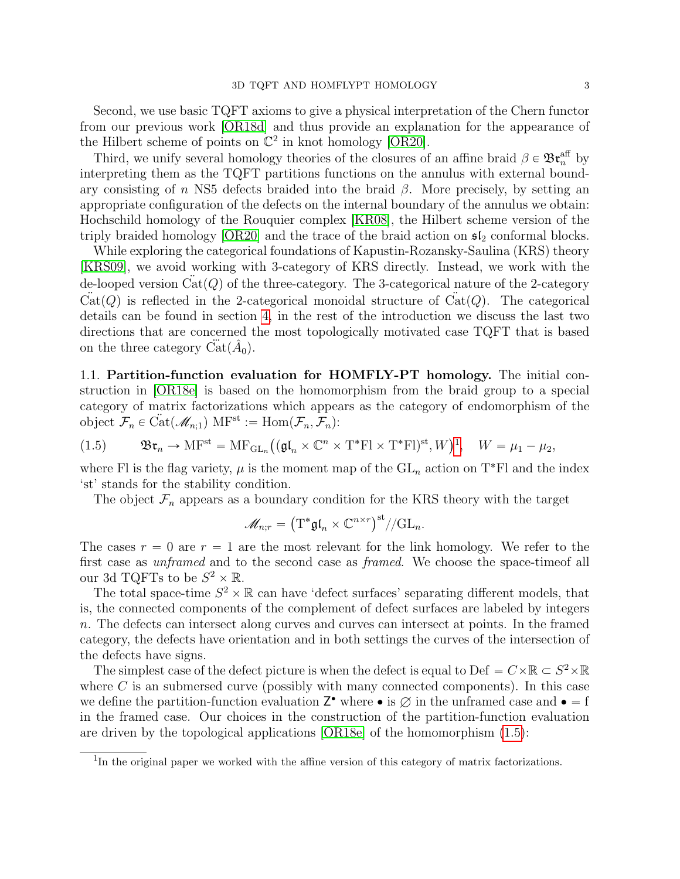Third, we unify several homology theories of the closures of an affine braid  $\beta \in \mathfrak{Br}_n^{\text{aff}}$  by interpreting them as the TQFT partitions functions on the annulus with external boundary consisting of n NS5 defects braided into the braid  $\beta$ . More precisely, by setting an appropriate configuration of the defects on the internal boundary of the annulus we obtain: Hochschild homology of the Rouquier complex [\[KR08\]](#page-42-8), the Hilbert scheme version of the triply braided homology [\[OR20\]](#page-43-1) and the trace of the braid action on  $\mathfrak{sl}_2$  conformal blocks.

While exploring the categorical foundations of Kapustin-Rozansky-Saulina (KRS) theory [\[KRS09\]](#page-42-0), we avoid working with 3-category of KRS directly. Instead, we work with the de-looped version  $\ddot{Cat}(Q)$  of the three-category. The 3-categorical nature of the 2-category  $\ddot{Cat}(Q)$  is reflected in the 2-categorical monoidal structure of  $\ddot{Cat}(Q)$ . The categorical details can be found in section [4,](#page-20-0) in the rest of the introduction we discuss the last two directions that are concerned the most topologically motivated case TQFT that is based on the three category  $\ddot{Cat}(\hat{A}_0)$ .

1.1. Partition-function evaluation for HOMFLY-PT homology. The initial construction in [\[OR18e\]](#page-43-0) is based on the homomorphism from the braid group to a special category of matrix factorizations which appears as the category of endomorphism of the object  $\mathcal{F}_n \in \text{Cat}(\mathcal{M}_{n;1})$  MF<sup>st</sup> := Hom $(\mathcal{F}_n, \mathcal{F}_n)$ :

<span id="page-2-1"></span>(1.5) 
$$
\mathfrak{Br}_n \to \mathrm{MF}^{\mathrm{st}} = \mathrm{MF}_{\mathrm{GL}_n}((\mathfrak{gl}_n \times \mathbb{C}^n \times \mathrm{T}^*\mathrm{Fl} \times \mathrm{T}^*\mathrm{Fl})^{\mathrm{st}}, W)^1, \quad W = \mu_1 - \mu_2,
$$

where Fl is the flag variety,  $\mu$  is the moment map of the  $GL_n$  action on T<sup>\*</sup>Fl and the index 'st' stands for the stability condition.

The object  $\mathcal{F}_n$  appears as a boundary condition for the KRS theory with the target

$$
\mathscr{M}_{n;r} = \left(\mathrm{T}^* \mathfrak{gl}_n \times \mathbb{C}^{n \times r}\right)^{\mathrm{st}} / / \mathrm{GL}_n.
$$

The cases  $r = 0$  are  $r = 1$  are the most relevant for the link homology. We refer to the first case as unframed and to the second case as framed. We choose the space-timeof all our 3d TQFTs to be  $S^2 \times \mathbb{R}$ .

The total space-time  $S^2 \times \mathbb{R}$  can have 'defect surfaces' separating different models, that is, the connected components of the complement of defect surfaces are labeled by integers n. The defects can intersect along curves and curves can intersect at points. In the framed category, the defects have orientation and in both settings the curves of the intersection of the defects have signs.

The simplest case of the defect picture is when the defect is equal to Def =  $C \times \mathbb{R} \subset S^2 \times \mathbb{R}$ where  $C$  is an submersed curve (possibly with many connected components). In this case we define the partition-function evaluation  $\mathbb{Z}^{\bullet}$  where  $\bullet$  is  $\emptyset$  in the unframed case and  $\bullet = f$ in the framed case. Our choices in the construction of the partition-function evaluation are driven by the topological applications [\[OR18e\]](#page-43-0) of the homomorphism [\(1.5\)](#page-2-1):

<span id="page-2-0"></span><sup>&</sup>lt;sup>1</sup>In the original paper we worked with the affine version of this category of matrix factorizations.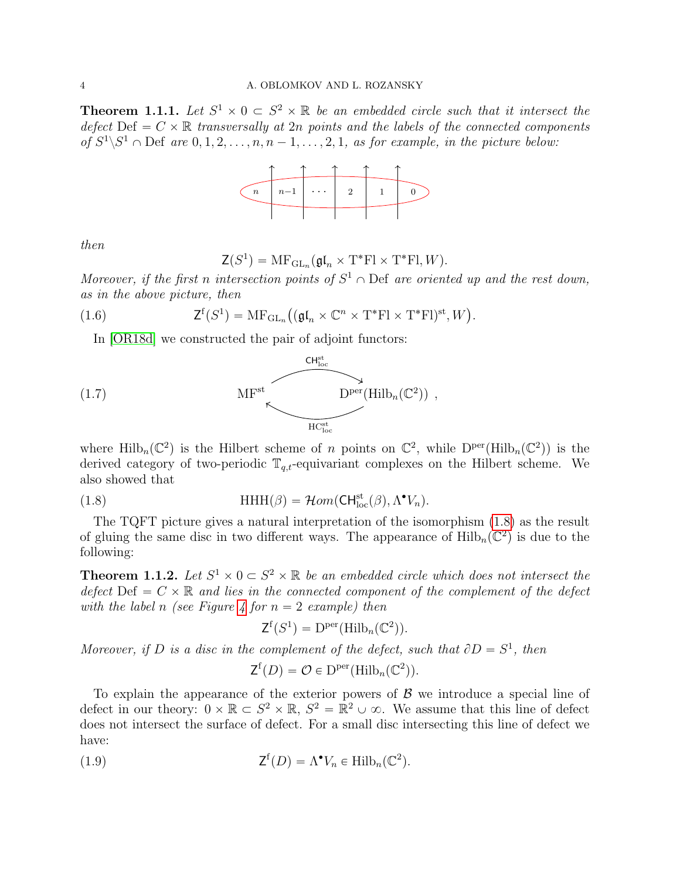<span id="page-3-1"></span>**Theorem 1.1.1.** Let  $S^1 \times 0 \subset S^2 \times \mathbb{R}$  be an embedded circle such that it intersect the defect Def  $= C \times \mathbb{R}$  transversally at 2n points and the labels of the connected components of  $S^1 \backslash S^1 \cap$  Def are  $0, 1, 2, \ldots, n, n-1, \ldots, 2, 1$ , as for example, in the picture below:



then

<span id="page-3-4"></span>
$$
\mathsf{Z}(S^1) = \mathrm{MF}_{\mathrm{GL}_n}(\mathfrak{gl}_n \times \mathrm{T}^* \mathrm{Fl} \times \mathrm{T}^* \mathrm{Fl}, W).
$$

Moreover, if the first n intersection points of  $S^1 \cap$  Def are oriented up and the rest down, as in the above picture, then

(1.6) 
$$
\mathsf{Z}^{\mathrm{f}}(S^1) = \mathrm{MF}_{\mathrm{GL}_n}((\mathfrak{gl}_n \times \mathbb{C}^n \times \mathrm{T}^*\mathrm{Fl} \times \mathrm{T}^*\mathrm{Fl})^{\mathrm{st}}, W).
$$

In [\[OR18d\]](#page-43-2) we constructed the pair of adjoint functors:



where  $\text{Hilb}_n(\mathbb{C}^2)$  is the Hilbert scheme of n points on  $\mathbb{C}^2$ , while  $D^{\text{per}}(\text{Hilb}_n(\mathbb{C}^2))$  is the derived category of two-periodic  $\mathbb{T}_{q,t}$ -equivariant complexes on the Hilbert scheme. We also showed that

(1.8) 
$$
\text{HHH}(\beta) = \mathcal{H}om(\text{CH}^{\text{st}}_{\text{loc}}(\beta), \Lambda^{\bullet}V_n).
$$

The TQFT picture gives a natural interpretation of the isomorphism [\(1.8\)](#page-3-0) as the result of gluing the same disc in two different ways. The appearance of  $\text{Hilb}_n(\mathbb{C}^2)$  is due to the following:

<span id="page-3-2"></span>**Theorem 1.1.2.** Let  $S^1 \times 0 \subset S^2 \times \mathbb{R}$  be an embedded circle which does not intersect the defect Def  $= C \times \mathbb{R}$  and lies in the connected component of the complement of the defect with the label n (see Figure [4](#page-38-0) for  $n = 2$  example) then

<span id="page-3-0"></span>
$$
\mathsf{Z}^{\mathsf{f}}(S^1) = \mathsf{D}^{\mathsf{per}}(\mathsf{Hilb}_n(\mathbb{C}^2)).
$$

Moreover, if D is a disc in the complement of the defect, such that  $\partial D = S^1$ , then

<span id="page-3-3"></span>
$$
\mathsf{Z}^{\mathrm{f}}(D) = \mathcal{O} \in \mathrm{D}^{\mathrm{per}}(\mathrm{Hilb}_n(\mathbb{C}^2)).
$$

To explain the appearance of the exterior powers of  $\beta$  we introduce a special line of defect in our theory:  $0 \times \mathbb{R} \subset S^2 \times \mathbb{R}$ ,  $S^2 = \mathbb{R}^2 \cup \infty$ . We assume that this line of defect does not intersect the surface of defect. For a small disc intersecting this line of defect we have:

(1.9) 
$$
\mathsf{Z}^{\mathsf{f}}(D) = \Lambda^{\bullet} V_n \in \mathrm{Hilb}_n(\mathbb{C}^2).
$$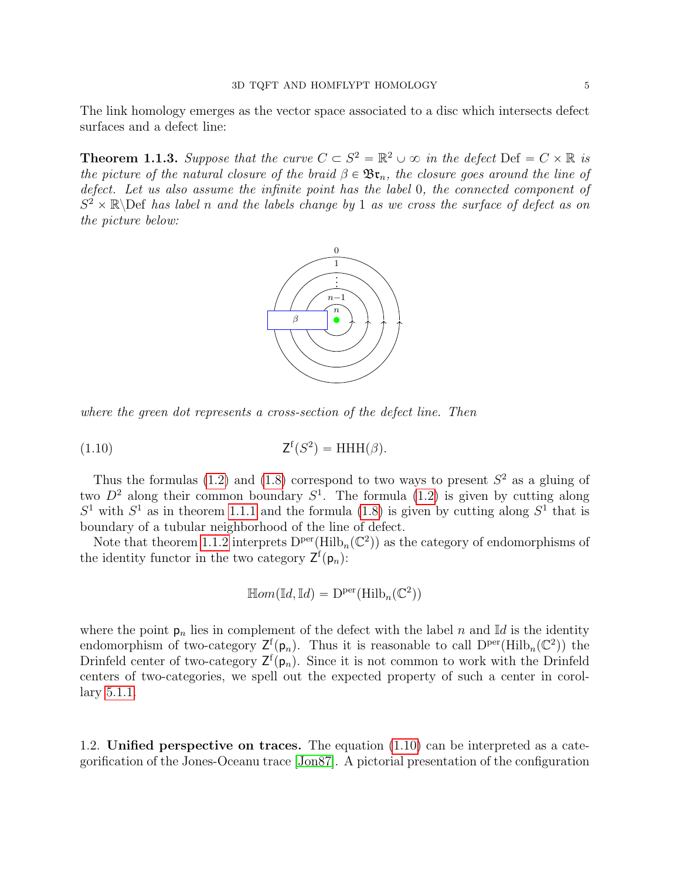The link homology emerges as the vector space associated to a disc which intersects defect surfaces and a defect line:

**Theorem 1.1.3.** Suppose that the curve  $C \subset S^2 = \mathbb{R}^2 \cup \infty$  in the defect Def =  $C \times \mathbb{R}$  is the picture of the natural closure of the braid  $\beta \in \mathfrak{Br}_n$ , the closure goes around the line of defect. Let us also assume the infinite point has the label 0, the connected component of  $S^2 \times \mathbb{R}$  Def has label n and the labels change by 1 as we cross the surface of defect as on the picture below:



where the green dot represents a cross-section of the defect line. Then

$$
(1.10) \t\t Zf(S2) = HHH(\beta).
$$

Thus the formulas [\(1.2\)](#page-0-1) and [\(1.8\)](#page-3-0) correspond to two ways to present  $S<sup>2</sup>$  as a gluing of two  $D^2$  along their common boundary  $S^1$ . The formula [\(1.2\)](#page-0-1) is given by cutting along  $S<sup>1</sup>$  with  $S<sup>1</sup>$  as in theorem [1.1.1](#page-3-1) and the formula [\(1.8\)](#page-3-0) is given by cutting along  $S<sup>1</sup>$  that is boundary of a tubular neighborhood of the line of defect.

Note that theorem [1.1.2](#page-3-2) interprets  $D^{\text{per}}(\text{Hilb}_n(\mathbb{C}^2))$  as the category of endomorphisms of the identity functor in the two category  $\mathsf{Z}^{\mathsf{f}}(\mathsf{p}_n)$ :

<span id="page-4-0"></span>
$$
\mathbb{H}om(\mathbb{I}d,\mathbb{I}d)=D^{\text{per}}(\mathbb{H}\text{ilb}_n(\mathbb{C}^2))
$$

where the point  $p_n$  lies in complement of the defect with the label n and Id is the identity endomorphism of two-category  $\mathsf{Z}^{\mathsf{f}}(\mathsf{p}_n)$ . Thus it is reasonable to call  $D^{\text{per}}(\text{Hilb}_n(\mathbb{C}^2))$  the Drinfeld center of two-category  $\mathsf{Z}^{\{f\}}(p_n)$ . Since it is not common to work with the Drinfeld centers of two-categories, we spell out the expected property of such a center in corollary [5.1.1.](#page-31-0)

1.2. Unified perspective on traces. The equation [\(1.10\)](#page-4-0) can be interpreted as a categorification of the Jones-Oceanu trace [\[Jon87\]](#page-42-9). A pictorial presentation of the configuration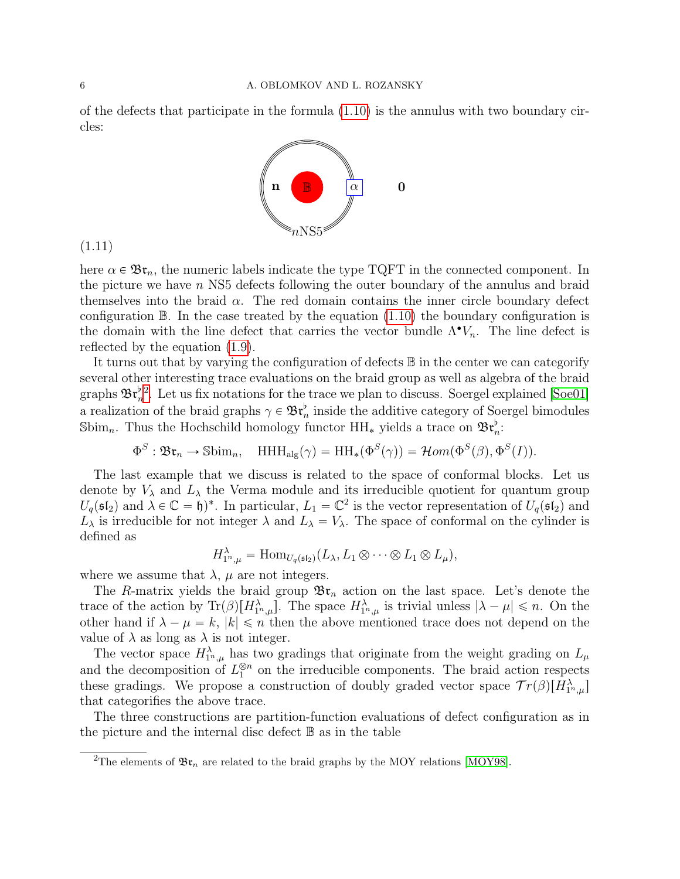of the defects that participate in the formula [\(1.10\)](#page-4-0) is the annulus with two boundary circles:

<span id="page-5-1"></span>

(1.11)

here  $\alpha \in \mathfrak{Br}_n$ , the numeric labels indicate the type TQFT in the connected component. In the picture we have  $n$  NS5 defects following the outer boundary of the annulus and braid themselves into the braid  $\alpha$ . The red domain contains the inner circle boundary defect configuration  $\mathbb B$ . In the case treated by the equation [\(1.10\)](#page-4-0) the boundary configuration is the domain with the line defect that carries the vector bundle  $\Lambda^{\bullet}V_n$ . The line defect is reflected by the equation [\(1.9\)](#page-3-3).

It turns out that by varying the configuration of defects B in the center we can categorify several other interesting trace evaluations on the braid group as well as algebra of the braid graphs  $\mathfrak{Br}_n^{\flat}^2$  $\mathfrak{Br}_n^{\flat}^2$ . Let us fix notations for the trace we plan to discuss. Soergel explained [\[Soe01\]](#page-43-3) a realization of the braid graphs  $\gamma \in \mathfrak{Br}_n^{\flat}$  inside the additive category of Soergel bimodules Sbim<sub>n</sub>. Thus the Hochschild homology functor  $HH_*$  yields a trace on  $\mathfrak{Br}_n^{\flat}$ :

$$
\Phi^S : \mathfrak{Br}_n \to \mathbb{S}\text{bim}_n, \quad \text{HHH}_{\text{alg}}(\gamma) = \text{HH}_*(\Phi^S(\gamma)) = \mathcal{H}om(\Phi^S(\beta), \Phi^S(I)).
$$

The last example that we discuss is related to the space of conformal blocks. Let us denote by  $V_{\lambda}$  and  $L_{\lambda}$  the Verma module and its irreducible quotient for quantum group  $U_q(\mathfrak{sl}_2)$  and  $\lambda \in \mathbb{C} = \mathfrak{h})^*$ . In particular,  $L_1 = \mathbb{C}^2$  is the vector representation of  $U_q(\mathfrak{sl}_2)$  and  $L_{\lambda}$  is irreducible for not integer  $\lambda$  and  $L_{\lambda} = V_{\lambda}$ . The space of conformal on the cylinder is defined as

$$
H_{1^n,\mu}^{\lambda} = \text{Hom}_{U_q(\mathfrak{sl}_2)}(L_{\lambda}, L_1 \otimes \cdots \otimes L_1 \otimes L_{\mu}),
$$

where we assume that  $\lambda$ ,  $\mu$  are not integers.

The R-matrix yields the braid group  $\mathfrak{Br}_n$  action on the last space. Let's denote the trace of the action by  $\text{Tr}(\beta)[H_{1^n,\mu}^{\lambda}]$ . The space  $H_{1^n,\mu}^{\lambda}$  is trivial unless  $|\lambda - \mu| \leq n$ . On the other hand if  $\lambda - \mu = k$ ,  $|k| \leq n$  then the above mentioned trace does not depend on the value of  $\lambda$  as long as  $\lambda$  is not integer.

The vector space  $H_{1^n,\mu}^{\lambda}$  has two gradings that originate from the weight grading on  $L_{\mu}$ and the decomposition of  $L_1^{\otimes n}$  on the irreducible components. The braid action respects these gradings. We propose a construction of doubly graded vector space  $Tr(\beta)[H_{1^n,\mu}^{\lambda}]$ that categorifies the above trace.

The three constructions are partition-function evaluations of defect configuration as in the picture and the internal disc defect  $\mathbb B$  as in the table

<span id="page-5-0"></span><sup>&</sup>lt;sup>2</sup>The elements of  $\mathfrak{Br}_n$  are related to the braid graphs by the MOY relations [\[MOY98\]](#page-42-10).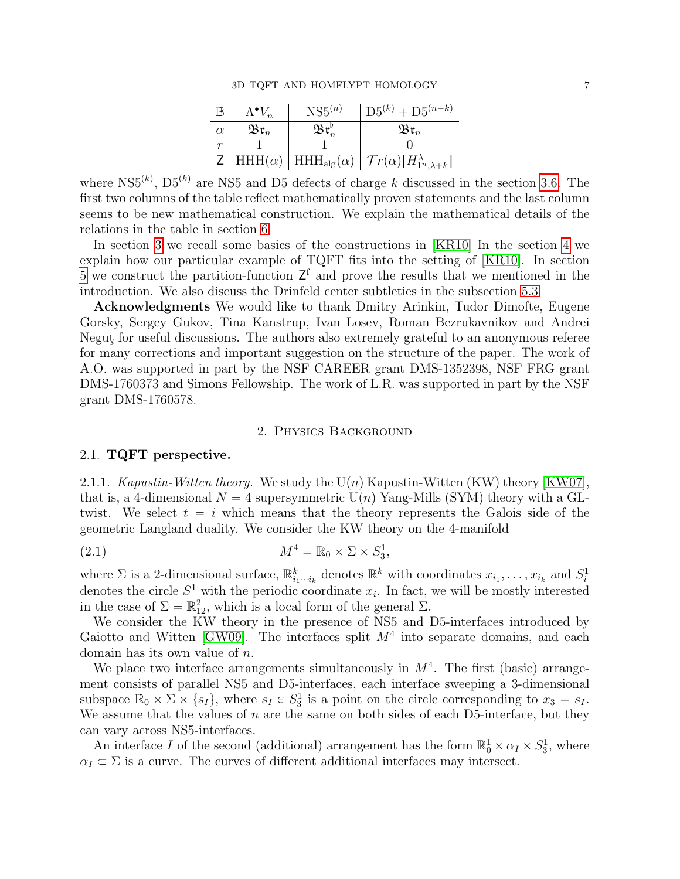| $\mathbb B$ | $\Lambda^{\bullet}V_n$ | $NS5^{(n)}$           | $\log^{(k)}$ + D5 <sup><math>(n-k)</math></sup>                                                                        |
|-------------|------------------------|-----------------------|------------------------------------------------------------------------------------------------------------------------|
| $\alpha$    | $\mathfrak{Br}_n$      | $\mathfrak{Br}_n^\nu$ | $\mathfrak{Br}_n$                                                                                                      |
|             |                        |                       |                                                                                                                        |
|             |                        |                       | $\mathsf{Z}$   HHH( $\alpha$ )   HHH <sub>alg</sub> ( $\alpha$ )   $\mathcal{T}r(\alpha)[H_{1^n,\lambda+k}^{\lambda}]$ |

where NS5<sup>(k)</sup>, D5<sup>(k)</sup> are NS5 and D5 defects of charge k discussed in the section [3.6.](#page-18-0) The first two columns of the table reflect mathematically proven statements and the last column seems to be new mathematical construction. We explain the mathematical details of the relations in the table in section [6.](#page-38-1)

In section [3](#page-8-0) we recall some basics of the constructions in [\[KR10\]](#page-42-1) In the section [4](#page-20-0) we explain how our particular example of TQFT fits into the setting of [\[KR10\]](#page-42-1). In section [5](#page-27-0) we construct the partition-function  $Z<sup>f</sup>$  and prove the results that we mentioned in the introduction. We also discuss the Drinfeld center subtleties in the subsection [5.3.](#page-33-0)

Acknowledgments We would like to thank Dmitry Arinkin, Tudor Dimofte, Eugene Gorsky, Sergey Gukov, Tina Kanstrup, Ivan Losev, Roman Bezrukavnikov and Andrei Negut for useful discussions. The authors also extremely grateful to an anonymous referee for many corrections and important suggestion on the structure of the paper. The work of A.O. was supported in part by the NSF CAREER grant DMS-1352398, NSF FRG grant DMS-1760373 and Simons Fellowship. The work of L.R. was supported in part by the NSF grant DMS-1760578.

## <span id="page-6-1"></span>2. Physics Background

# <span id="page-6-0"></span>2.1. TQFT perspective.

2.1.1. Kapustin-Witten theory. We study the  $U(n)$  Kapustin-Witten (KW) theory [\[KW07\]](#page-42-4), that is, a 4-dimensional  $N = 4$  supersymmetric  $U(n)$  Yang-Mills (SYM) theory with a GLtwist. We select  $t = i$  which means that the theory represents the Galois side of the geometric Langland duality. We consider the KW theory on the 4-manifold

(2.1) 
$$
M^4 = \mathbb{R}_0 \times \Sigma \times S_3^1,
$$

where  $\Sigma$  is a 2-dimensional surface,  $\mathbb{R}_{i_1\cdots i_k}^k$  denotes  $\mathbb{R}^k$  with coordinates  $x_{i_1},\ldots,x_{i_k}$  and  $S_i^1$ denotes the circle  $S^1$  with the periodic coordinate  $x_i$ . In fact, we will be mostly interested in the case of  $\Sigma = \mathbb{R}^2_{12}$ , which is a local form of the general  $\Sigma$ .

We consider the KW theory in the presence of NS5 and D5-interfaces introduced by Gaiotto and Witten [\[GW09\]](#page-42-3). The interfaces split  $M<sup>4</sup>$  into separate domains, and each domain has its own value of  $n$ .

We place two interface arrangements simultaneously in  $M<sup>4</sup>$ . The first (basic) arrangement consists of parallel NS5 and D5-interfaces, each interface sweeping a 3-dimensional subspace  $\mathbb{R}_0 \times \Sigma \times \{s_I\}$ , where  $s_I \in S_3^1$  is a point on the circle corresponding to  $x_3 = s_I$ . We assume that the values of  $n$  are the same on both sides of each D5-interface, but they can vary across NS5-interfaces.

An interface I of the second (additional) arrangement has the form  $\mathbb{R}^1_0 \times \alpha_I \times S^1_3$ , where  $\alpha_I \subset \Sigma$  is a curve. The curves of different additional interfaces may intersect.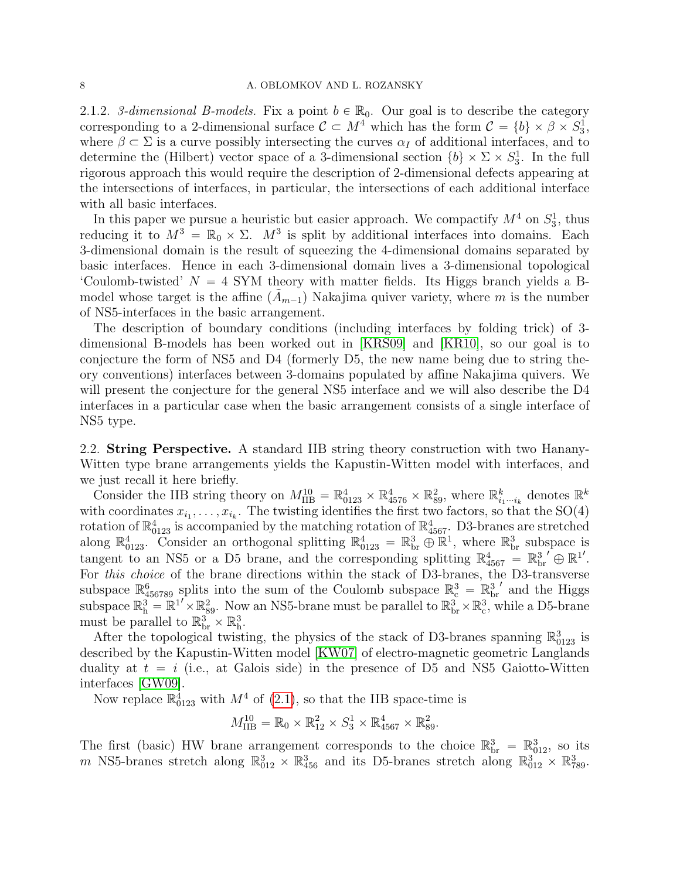#### 8 A. OBLOMKOV AND L. ROZANSKY

2.1.2. 3-dimensional B-models. Fix a point  $b \in \mathbb{R}_0$ . Our goal is to describe the category corresponding to a 2-dimensional surface  $C \subset M^4$  which has the form  $C = \{b\} \times \beta \times S_3^1$ , where  $\beta \subset \Sigma$  is a curve possibly intersecting the curves  $\alpha_I$  of additional interfaces, and to determine the (Hilbert) vector space of a 3-dimensional section  $\{b\} \times \Sigma \times S_3^1$ . In the full rigorous approach this would require the description of 2-dimensional defects appearing at the intersections of interfaces, in particular, the intersections of each additional interface with all basic interfaces.

In this paper we pursue a heuristic but easier approach. We compactify  $M^4$  on  $S_3^1$ , thus reducing it to  $M^3 = \mathbb{R}_0 \times \Sigma$ .  $M^3$  is split by additional interfaces into domains. Each 3-dimensional domain is the result of squeezing the 4-dimensional domains separated by basic interfaces. Hence in each 3-dimensional domain lives a 3-dimensional topological 'Coulomb-twisted'  $N = 4$  SYM theory with matter fields. Its Higgs branch yields a Bmodel whose target is the affine  $(A_{m-1})$  Nakajima quiver variety, where m is the number of NS5-interfaces in the basic arrangement.

The description of boundary conditions (including interfaces by folding trick) of 3 dimensional B-models has been worked out in [\[KRS09\]](#page-42-0) and [\[KR10\]](#page-42-1), so our goal is to conjecture the form of NS5 and D4 (formerly D5, the new name being due to string theory conventions) interfaces between 3-domains populated by affine Nakajima quivers. We will present the conjecture for the general NS5 interface and we will also describe the D4 interfaces in a particular case when the basic arrangement consists of a single interface of NS5 type.

2.2. String Perspective. A standard IIB string theory construction with two Hanany-Witten type brane arrangements yields the Kapustin-Witten model with interfaces, and we just recall it here briefly.

Consider the IIB string theory on  $M_{\text{IIB}}^{10} = \mathbb{R}^4_{0123} \times \mathbb{R}^4_{4576} \times \mathbb{R}^2_{89}$ , where  $\mathbb{R}^k_{i_1\cdots i_k}$  denotes  $\mathbb{R}^k$ with coordinates  $x_{i_1}, \ldots, x_{i_k}$ . The twisting identifies the first two factors, so that the SO(4) rotation of  $\mathbb{R}^4_{0123}$  is accompanied by the matching rotation of  $\mathbb{R}^4_{4567}$ . D3-branes are stretched along  $\mathbb{R}^4_{0123}$ . Consider an orthogonal splitting  $\mathbb{R}^4_{0123} = \mathbb{R}^3_{\text{br}} \oplus \mathbb{R}^1$ , where  $\mathbb{R}^3_{\text{br}}$  subspace is tangent to an NS5 or a D5 brane, and the corresponding splitting  $\mathbb{R}_{4567}^4 = \mathbb{R}_{\rm br}^{3'} \oplus \mathbb{R}^{1'}$ . For this choice of the brane directions within the stack of D3-branes, the D3-transverse subspace  $\mathbb{R}^6_{456789}$  splits into the sum of the Coulomb subspace  $\mathbb{R}^3_c = \mathbb{R}^3_{\text{br}}$  $'$  and the Higgs subspace  $\mathbb{R}^3_h = \mathbb{R}^{1'} \times \mathbb{R}^2_{89}$ . Now an NS5-brane must be parallel to  $\mathbb{R}^3_{br} \times \mathbb{R}^3_c$ , while a D5-brane must be parallel to  $\mathbb{R}_{\text{br}}^{3} \times \mathbb{R}_{h}^{3}$ .

After the topological twisting, the physics of the stack of D3-branes spanning  $\mathbb{R}^3_{0123}$  is described by the Kapustin-Witten model [\[KW07\]](#page-42-4) of electro-magnetic geometric Langlands duality at  $t = i$  (i.e., at Galois side) in the presence of D5 and NS5 Gaiotto-Witten interfaces [\[GW09\]](#page-42-3).

Now replace  $\mathbb{R}^4_{0123}$  with  $M^4$  of [\(2.1\)](#page-6-1), so that the IIB space-time is

$$
M_{\text{IIB}}^{10} = \mathbb{R}_0 \times \mathbb{R}_{12}^2 \times S_3^1 \times \mathbb{R}_{4567}^4 \times \mathbb{R}_{89}^2.
$$

The first (basic) HW brane arrangement corresponds to the choice  $\mathbb{R}_{\rm br}^3 = \mathbb{R}_{012}^3$ , so its m NS5-branes stretch along  $\mathbb{R}^3_{012} \times \mathbb{R}^3_{456}$  and its D5-branes stretch along  $\mathbb{R}^3_{012} \times \mathbb{R}^3_{789}$ .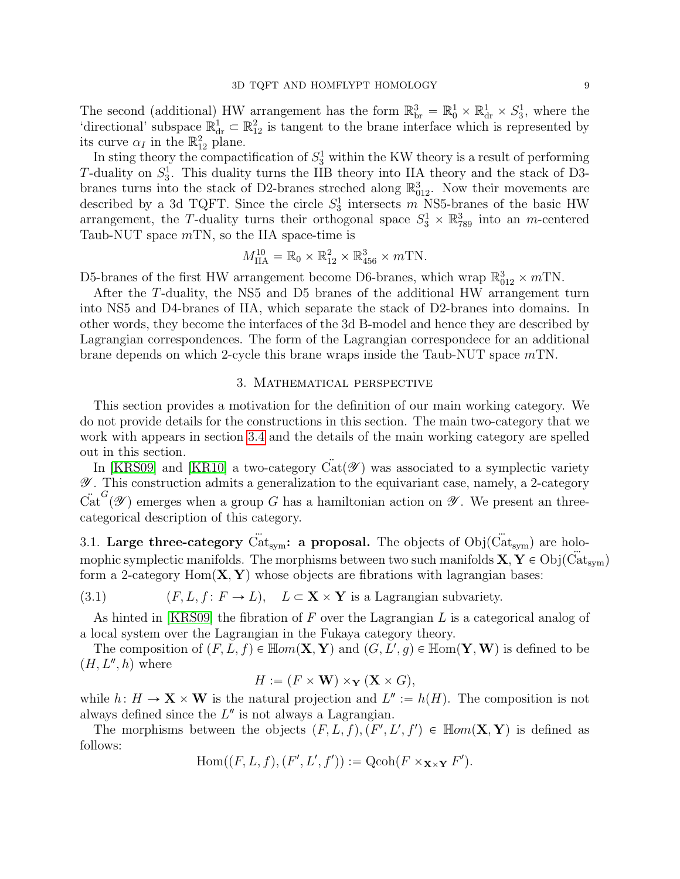The second (additional) HW arrangement has the form  $\mathbb{R}_{\text{br}}^3 = \mathbb{R}_0^1 \times \mathbb{R}_{\text{dr}}^1 \times S_3^1$ , where the 'directional' subspace  $\mathbb{R}^1_{dr} \subset \mathbb{R}^2_{12}$  is tangent to the brane interface which is represented by its curve  $\alpha_I$  in the  $\mathbb{R}^2_{12}$  plane.

In sting theory the compactification of  $S_3^1$  within the KW theory is a result of performing T-duality on  $S_3^1$ . This duality turns the IIB theory into IIA theory and the stack of D3branes turns into the stack of D2-branes streched along  $\mathbb{R}^3_{012}$ . Now their movements are described by a 3d TQFT. Since the circle  $S_3^1$  intersects m NS5-branes of the basic HW arrangement, the T-duality turns their orthogonal space  $S_3^1 \times \mathbb{R}^3_{789}$  into an m-centered Taub-NUT space  $mTN$ , so the IIA space-time is

$$
M_{\text{IIA}}^{10} = \mathbb{R}_0 \times \mathbb{R}_{12}^2 \times \mathbb{R}_{456}^3 \times m\text{TN}.
$$

D5-branes of the first HW arrangement become D6-branes, which wrap  $\mathbb{R}^3_{012} \times mTN$ .

After the T-duality, the NS5 and D5 branes of the additional HW arrangement turn into NS5 and D4-branes of IIA, which separate the stack of D2-branes into domains. In other words, they become the interfaces of the 3d B-model and hence they are described by Lagrangian correspondences. The form of the Lagrangian correspondece for an additional brane depends on which 2-cycle this brane wraps inside the Taub-NUT space  $mTN$ .

# 3. Mathematical perspective

<span id="page-8-0"></span>This section provides a motivation for the definition of our main working category. We do not provide details for the constructions in this section. The main two-category that we work with appears in section [3.4](#page-11-0) and the details of the main working category are spelled out in this section.

In [\[KRS09\]](#page-42-0) and [\[KR10\]](#page-42-1) a two-category  $\ddot{Cat}(\mathscr{Y})$  was associated to a symplectic variety  $\mathscr Y$ . This construction admits a generalization to the equivariant case, namely, a 2-category  $\ddot{\text{Cat}}^G(\mathscr{Y})$  emerges when a group G has a hamiltonian action on  $\mathscr{Y}$ . We present an threecategorical description of this category.

3.1. Large three-category  $\ddot{Cat}_{sym}$ : a proposal. The objects of  $Obj(\ddot{Cat}_{sym})$  are holomophic symplectic manifolds. The morphisms between two such manifolds  $X, Y \in Obj(Cat_{sym})$ form a 2-category  $Hom(X, Y)$  whose objects are fibrations with lagrangian bases:

(3.1) 
$$
(F, L, f: F \to L)
$$
,  $L \subset \mathbf{X} \times \mathbf{Y}$  is a Lagrangian subvariety.

As hinted in [\[KRS09\]](#page-42-0) the fibration of F over the Lagrangian L is a categorical analog of a local system over the Lagrangian in the Fukaya category theory.

The composition of  $(F, L, f) \in \mathbb{H}$ om $(X, Y)$  and  $(G, L', g) \in \mathbb{H}$ om $(Y, W)$  is defined to be  $(H, L'', h)$  where

$$
H := (F \times \mathbf{W}) \times_{\mathbf{Y}} (\mathbf{X} \times G),
$$

while  $h: H \to \mathbf{X} \times \mathbf{W}$  is the natural projection and  $L'':= h(H)$ . The composition is not always defined since the  $L''$  is not always a Lagrangian.

The morphisms between the objects  $(F, L, f), (F', L', f') \in \mathbb{H}om(\mathbf{X}, \mathbf{Y})$  is defined as follows:

$$
\mathrm{Hom}((F, L, f), (F', L', f')) := \mathrm{Qcoh}(F \times_{\mathbf{X} \times \mathbf{Y}} F').
$$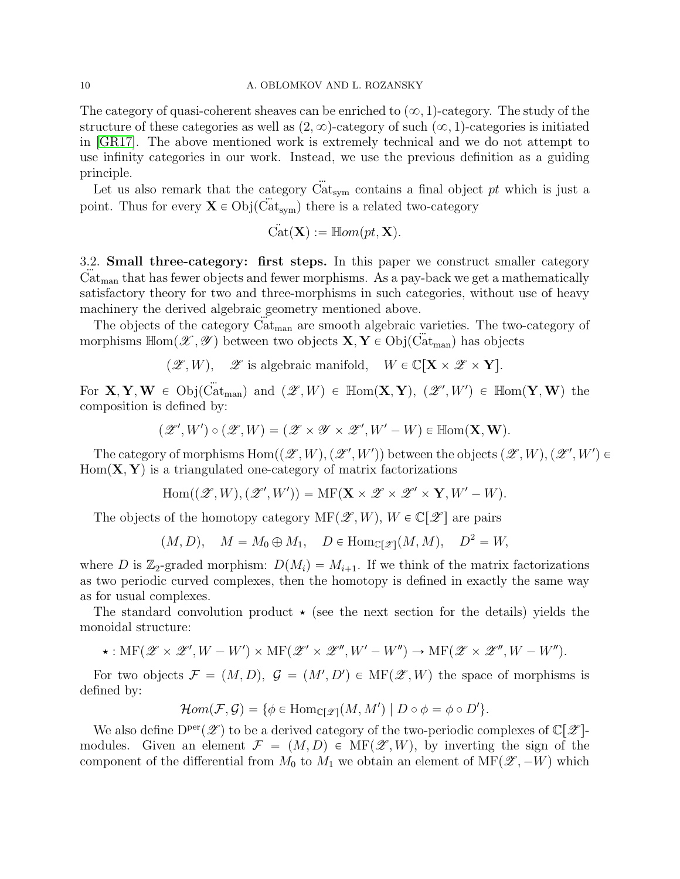The category of quasi-coherent sheaves can be enriched to  $(\infty, 1)$ -category. The study of the structure of these categories as well as  $(2, \infty)$ -category of such  $(\infty, 1)$ -categories is initiated in [\[GR17\]](#page-42-11). The above mentioned work is extremely technical and we do not attempt to use infinity categories in our work. Instead, we use the previous definition as a guiding principle.

Let us also remark that the category  $\ddot{Cat}_{\text{sym}}$  contains a final object pt which is just a point. Thus for every  $\mathbf{X} \in \mathrm{Obj}(\ddot{Cat}_{\text{sym}})$  there is a related two-category

$$
\ddot{\mathrm{Cat}}(\mathbf{X}) := \mathbb{H}om(pt, \mathbf{X}).
$$

3.2. Small three-category: first steps. In this paper we construct smaller category  $Cat<sub>man</sub>$  that has fewer objects and fewer morphisms. As a pay-back we get a mathematically satisfactory theory for two and three-morphisms in such categories, without use of heavy machinery the derived algebraic geometry mentioned above.

The objects of the category  $Cat_{man}$  are smooth algebraic varieties. The two-category of morphisms  $\mathbb{H}om(\mathscr{X}, \mathscr{Y})$  between two objects  $\mathbf{X}, \mathbf{Y} \in \mathrm{Obj}(\mathrm{Cat}_{\mathrm{man}})$  has objects

$$
(\mathscr{Z}, W), \quad \mathscr{Z}
$$
 is algebraic manifold,  $W \in \mathbb{C}[\mathbf{X} \times \mathscr{Z} \times \mathbf{Y}].$ 

For  $X, Y, W \in Obj(\ddot{Cart}_{man})$  and  $(\mathscr{Z}, W) \in \mathbb{H}\text{om}(X, Y), (\mathscr{Z}', W') \in \mathbb{H}\text{om}(Y, W)$  the composition is defined by:

$$
(\mathscr{Z}', W') \circ (\mathscr{Z}, W) = (\mathscr{Z} \times \mathscr{Y} \times \mathscr{Z}', W' - W) \in \mathbb{H}\text{om}(\mathbf{X}, \mathbf{W}).
$$

The category of morphisms  $Hom((\mathscr{Z}, W), (\mathscr{Z}', W'))$  between the objects  $(\mathscr{Z}, W), (\mathscr{Z}', W') \in$  $Hom(X, Y)$  is a triangulated one-category of matrix factorizations

$$
Hom((\mathscr{Z},W),(\mathscr{Z}',W')) = MF(\mathbf{X}\times\mathscr{Z}\times\mathscr{Z}'\times\mathbf{Y},W'-W).
$$

The objects of the homotopy category  $MF(\mathscr{Z}, W)$ ,  $W \in \mathbb{C}[\mathscr{Z}]$  are pairs

 $(M, D)$ ,  $M = M_0 \oplus M_1$ ,  $D \in \text{Hom}_{\mathbb{C}[\mathscr{X}]}(M, M)$ ,  $D^2 = W$ ,

where D is  $\mathbb{Z}_2$ -graded morphism:  $D(M_i) = M_{i+1}$ . If we think of the matrix factorizations as two periodic curved complexes, then the homotopy is defined in exactly the same way as for usual complexes.

The standard convolution product  $\star$  (see the next section for the details) yields the monoidal structure:

 $\star: \text{MF}(\mathscr{Z} \times \mathscr{Z}', W - W') \times \text{MF}(\mathscr{Z}' \times \mathscr{Z}'', W' - W'') \rightarrow \text{MF}(\mathscr{Z} \times \mathscr{Z}'', W - W'').$ 

For two objects  $\mathcal{F} = (M, D), \mathcal{G} = (M', D') \in \text{MF}(\mathscr{Z}, W)$  the space of morphisms is defined by:

$$
\mathcal{H}om(\mathcal{F}, \mathcal{G}) = \{ \phi \in \text{Hom}_{\mathbb{C}[\mathscr{Z}]}(M, M') \mid D \circ \phi = \phi \circ D' \}.
$$

We also define  $D^{\text{per}}(\mathscr{Z})$  to be a derived category of the two-periodic complexes of  $\mathbb{C}[\mathscr{Z}]$ modules. Given an element  $\mathcal{F} = (M, D) \in \text{MF}(\mathscr{Z}, W)$ , by inverting the sign of the component of the differential from  $M_0$  to  $M_1$  we obtain an element of  $\text{MF}(\mathscr{Z}, -W)$  which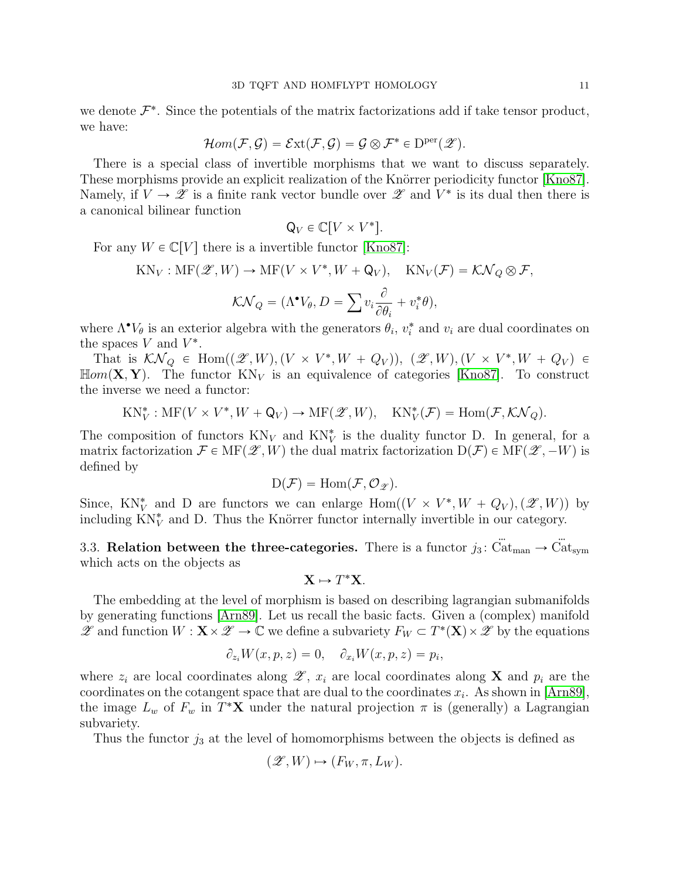we denote  $\mathcal{F}^*$ . Since the potentials of the matrix factorizations add if take tensor product, we have:

$$
\mathcal{H}om(\mathcal{F}, \mathcal{G}) = \mathcal{E}xt(\mathcal{F}, \mathcal{G}) = \mathcal{G} \otimes \mathcal{F}^* \in \mathrm{D}^{\mathrm{per}}(\mathscr{Z}).
$$

There is a special class of invertible morphisms that we want to discuss separately. These morphisms provide an explicit realization of the Knörrer periodicity functor [\[Kno87\]](#page-42-12). Namely, if  $V \to \mathscr{Z}$  is a finite rank vector bundle over  $\mathscr{Z}$  and  $V^*$  is its dual then there is a canonical bilinear function

$$
\mathsf{Q}_V \in \mathbb{C}[V \times V^*].
$$

For any  $W \in \mathbb{C}[V]$  there is a invertible functor [\[Kno87\]](#page-42-12):

$$
KN_V: MF(\mathscr{Z}, W) \to MF(V \times V^*, W + Q_V), \quad KN_V(\mathcal{F}) = \mathcal{KN}_Q \otimes \mathcal{F},
$$

$$
\mathcal{KN}_Q = (\Lambda^{\bullet}V_{\theta}, D = \sum v_i \frac{\partial}{\partial \theta_i} + v_i^* \theta),
$$

where  $\Lambda^{\bullet}V_{\theta}$  is an exterior algebra with the generators  $\theta_i$ ,  $v_i^*$  and  $v_i$  are dual coordinates on the spaces  $V$  and  $V^*$ .

That is  $\mathcal{KN}_Q \in \text{Hom}((\mathscr{Z}, W), (V \times V^*, W + Q_V)), (\mathscr{Z}, W), (V \times V^*, W + Q_V) \in$  $\mathbb{H}om(\mathbf{X}, \mathbf{Y})$ . The functor  $KN_V$  is an equivalence of categories [\[Kno87\]](#page-42-12). To construct the inverse we need a functor:

 $KN_V^*: MF(V \times V^*, W + Q_V) \to MF(\mathscr{Z}, W), \quad KN_V^*(\mathcal{F}) = Hom(\mathcal{F}, \mathcal{KN}_Q).$ 

The composition of functors  $KN_V$  and  $KN_V^*$  is the duality functor D. In general, for a matrix factorization  $\mathcal{F} \in \text{MF}(\mathscr{Z}, W)$  the dual matrix factorization  $D(\mathcal{F}) \in \text{MF}(\mathscr{Z}, -W)$  is defined by

$$
D(\mathcal{F}) = \mathrm{Hom}(\mathcal{F}, \mathcal{O}_{\mathscr{Z}}).
$$

Since, KN<sup>\*</sup><sub>V</sub> and D are functors we can enlarge Hom $((V \times V^*, W + Q_V), (\mathscr{Z}, W))$  by including  $KN_V^*$  and D. Thus the Knörrer functor internally invertible in our category.

3.3. Relation between the three-categories. There is a functor  $j_3$ :  $\ddot{Cat}_{man} \rightarrow \ddot{Cat}_{sym}$ which acts on the objects as

$$
\mathbf{X} \mapsto T^*\mathbf{X}.
$$

The embedding at the level of morphism is based on describing lagrangian submanifolds by generating functions [\[Arn89\]](#page-42-13). Let us recall the basic facts. Given a (complex) manifold  $\mathscr{Z}$  and function  $W: \mathbf{X} \times \mathscr{Z} \to \mathbb{C}$  we define a subvariety  $F_W \subset T^*(\mathbf{X}) \times \mathscr{Z}$  by the equations

$$
\partial_{z_i} W(x, p, z) = 0, \quad \partial_{x_i} W(x, p, z) = p_i,
$$

where  $z_i$  are local coordinates along  $\mathscr{Z}, x_i$  are local coordinates along **X** and  $p_i$  are the coordinates on the cotangent space that are dual to the coordinates  $x_i$ . As shown in [\[Arn89\]](#page-42-13), the image  $L_w$  of  $F_w$  in  $T^*{\bf X}$  under the natural projection  $\pi$  is (generally) a Lagrangian subvariety.

Thus the functor  $j_3$  at the level of homomorphisms between the objects is defined as

$$
(\mathscr{Z}, W) \mapsto (F_W, \pi, L_W).
$$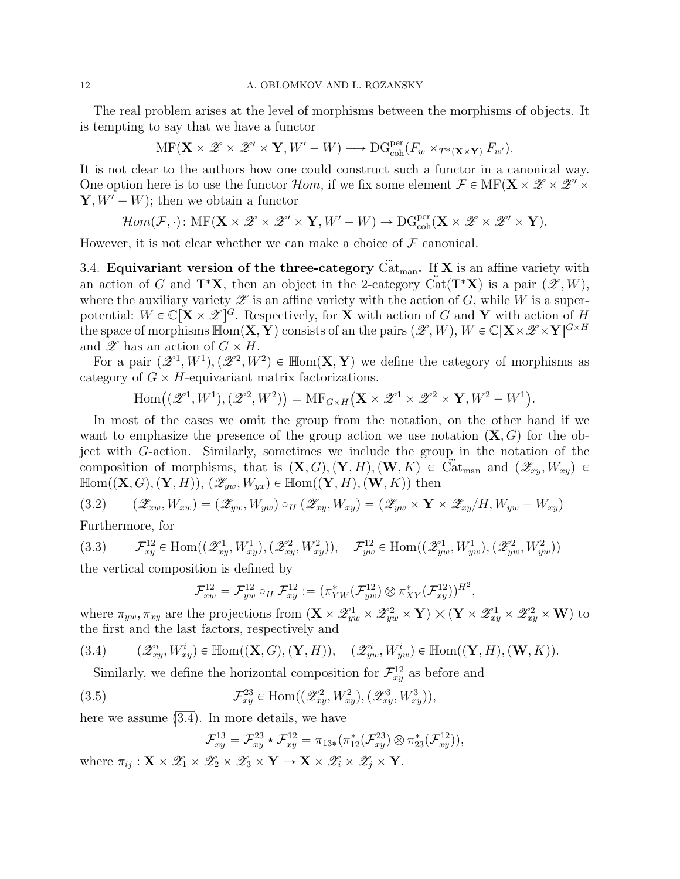#### 12 A. OBLOMKOV AND L. ROZANSKY

The real problem arises at the level of morphisms between the morphisms of objects. It is tempting to say that we have a functor

$$
\mathrm{MF}(\mathbf{X} \times \mathscr{Z} \times \mathscr{Z}' \times \mathbf{Y}, W' - W) \longrightarrow \mathrm{DG}_{\mathrm{coh}}^{\mathrm{per}}(F_w \times_{T^*(\mathbf{X} \times \mathbf{Y})} F_{w'}).
$$

It is not clear to the authors how one could construct such a functor in a canonical way. One option here is to use the functor  $\mathcal{H}$ *om*, if we fix some element  $\mathcal{F} \in \mathrm{MF}(\mathbf{X} \times \mathcal{Z} \times \mathcal{Z}' \times \mathcal{Z})$  $\mathbf{Y}, W' - W$ ; then we obtain a functor

$$
\mathcal{H}om(\mathcal{F},\cdot)\colon \mathrm{MF}(\mathbf{X}\times\mathscr{Z}\times\mathscr{Z}'\times\mathbf{Y},W'-W)\to \mathrm{DG}_{\mathrm{coh}}^{\mathrm{per}}(\mathbf{X}\times\mathscr{Z}\times\mathscr{Z}'\times\mathbf{Y}).
$$

However, it is not clear whether we can make a choice of  $\mathcal F$  canonical.

<span id="page-11-0"></span>3.4. Equivariant version of the three-category  $\ddot{Cat}_{man}$ . If X is an affine variety with an action of G and T<sup>\*</sup>X, then an object in the 2-category  $\ddot{Cat}(T^*X)$  is a pair  $(\mathscr{Z}, W)$ , where the auxiliary variety  $\mathscr Z$  is an affine variety with the action of G, while W is a superpotential:  $W \in \mathbb{C}[\mathbf{X} \times \mathscr{Z}]^G$ . Respectively, for  $\mathbf{X}$  with action of G and Y with action of H the space of morphisms  $\mathbb{H}\text{om}(\mathbf{X}, \mathbf{Y})$  consists of an the pairs  $(\mathscr{Z}, W), W \in \mathbb{C}[\mathbf{X} \times \mathscr{Z} \times \mathbf{Y}]^{G \times H}$ and  $\mathscr{Z}$  has an action of  $G \times H$ .

For a pair  $(\mathscr{Z}^1, W^1), (\mathscr{Z}^2, W^2) \in \mathbb{H}$ om $(X, Y)$  we define the category of morphisms as category of  $G \times H$ -equivariant matrix factorizations.<br>
Hom $((\mathscr{Z}^1, W^1), (\mathscr{Z}^2, W^2)) = \text{MF}_{G \times H}(\mathbf{X} \times$ 

$$
\mathrm{Hom}\big((\mathscr{Z}^1,W^1),(\mathscr{Z}^2,W^2)\big)=\mathrm{MF}_{G\times H}\big(\mathbf{X}\times\mathscr{Z}^1\times\mathscr{Z}^2\times\mathbf{Y},W^2-W^1\big).
$$

In most of the cases we omit the group from the notation, on the other hand if we want to emphasize the presence of the group action we use notation  $(X, G)$  for the object with G-action. Similarly, sometimes we include the group in the notation of the composition of morphisms, that is  $(X, G), (Y, H), (W, K) \in \mathrm{Cat}_{\mathrm{man}}$  and  $(\mathscr{Z}_{xy}, W_{xy}) \in$  $\mathbb{H}\text{om}((\mathbf{X}, G), (\mathbf{Y}, H)), (\mathscr{Z}_{ww}, W_{wx}) \in \mathbb{H}\text{om}((\mathbf{Y}, H), (\mathbf{W}, K))$  then

<span id="page-11-4"></span>
$$
(3.2) \qquad (\mathscr{Z}_{xw}, W_{xw}) = (\mathscr{Z}_{yw}, W_{yw}) \circ_H (\mathscr{Z}_{xy}, W_{xy}) = (\mathscr{Z}_{yw} \times \mathbf{Y} \times \mathscr{Z}_{xy}/H, W_{yw} - W_{xy})
$$

Furthermore, for

<span id="page-11-2"></span>
$$
(3.3) \qquad \mathcal{F}_{xy}^{12} \in \text{Hom}((\mathscr{Z}_{xy}^1, W_{xy}^1), (\mathscr{Z}_{xy}^2, W_{xy}^2)), \quad \mathcal{F}_{yw}^{12} \in \text{Hom}((\mathscr{Z}_{yw}^1, W_{yw}^1), (\mathscr{Z}_{yw}^2, W_{yw}^2))
$$

the vertical composition is defined by

$$
\mathcal{F}_{xw}^{12} = \mathcal{F}_{yw}^{12} \circ_H \mathcal{F}_{xy}^{12} := (\pi_{YW}^*(\mathcal{F}_{yw}^{12}) \otimes \pi_{XY}^*(\mathcal{F}_{xy}^{12}))^{H^2},
$$

where  $\pi_{yw}, \pi_{xy}$  are the projections from  $(\mathbf{X} \times \mathscr{Z}_{yw}^{1} \times \mathscr{Z}_{yw}^{2} \times \mathbf{Y})$  $(\mathbf{Y} \times \mathscr{Z}_{xy}^1 \times \mathscr{Z}_{xy}^2 \times \mathbf{W})$  to the first and the last factors, respectively and

$$
(3.4) \qquad (\mathscr{Z}_{xy}^i, W_{xy}^i) \in \mathbb{H}om((\mathbf{X}, G), (\mathbf{Y}, H)), \quad (\mathscr{Z}_{yw}^i, W_{yw}^i) \in \mathbb{H}om((\mathbf{Y}, H), (\mathbf{W}, K)).
$$

<span id="page-11-1"></span>Similarly, we define the horizontal composition for  $\mathcal{F}_{xy}^{12}$  as before and

(3.5) 
$$
\mathcal{F}_{xy}^{23} \in \text{Hom}((\mathscr{Z}_{xy}^2, W_{xy}^2), (\mathscr{Z}_{xy}^3, W_{xy}^3)),
$$

here we assume [\(3.4\)](#page-11-1). In more details, we have

<span id="page-11-3"></span>
$$
\mathcal{F}_{xy}^{13} = \mathcal{F}_{xy}^{23} \star \mathcal{F}_{xy}^{12} = \pi_{13*}(\pi_{12}^*(\mathcal{F}_{xy}^{23}) \otimes \pi_{23}^*(\mathcal{F}_{xy}^{12})),
$$

where  $\pi_{ij}: \mathbf{X} \times \mathscr{Z}_1 \times \mathscr{Z}_2 \times \mathscr{Z}_3 \times \mathbf{Y} \to \mathbf{X} \times \mathscr{Z}_i \times \mathscr{Z}_i \times \mathbf{Y}$ .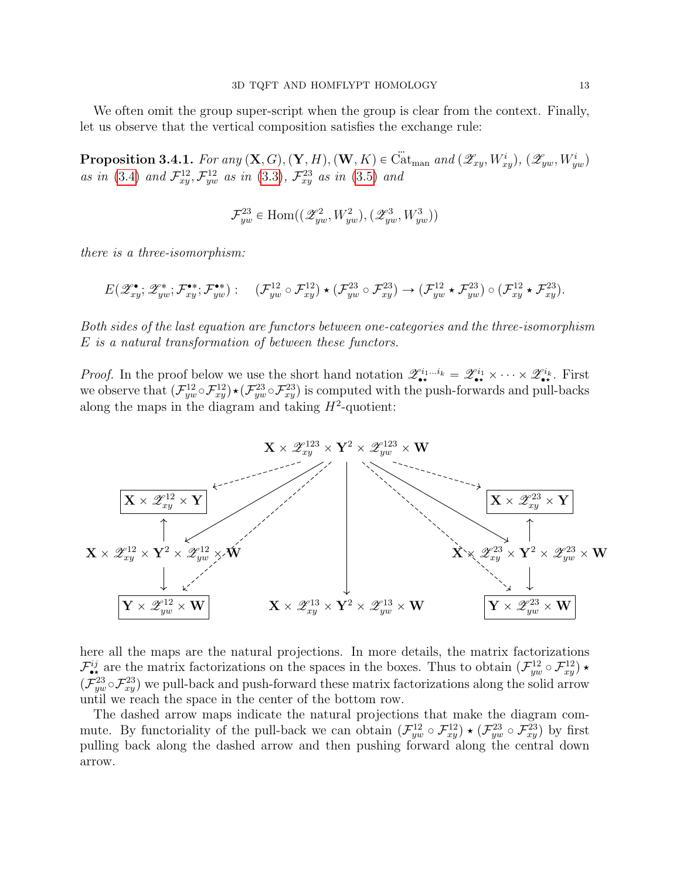We often omit the group super-script when the group is clear from the context. Finally, let us observe that the vertical composition satisfies the exchange rule:

<span id="page-12-0"></span>**Proposition 3.4.1.** For any  $(X, G), (Y, H), (W, K) \in \ddot{Cat}_{man}$  and  $(\mathscr{Z}_{xy}, W_{xy}^i), (\mathscr{Z}_{yw}, W_{yw}^i)$ as in [\(3.4\)](#page-11-1) and  $\mathcal{F}^{12}_{xy}, \mathcal{F}^{12}_{yw}$  as in [\(3.3\)](#page-11-2),  $\mathcal{F}^{23}_{xy}$  as in [\(3.5\)](#page-11-3) and

$$
\mathcal{F}_{yw}^{23} \in \text{Hom}((\mathscr{Z}_{yw}^{2},W_{yw}^{2}),(\mathscr{Z}_{yw}^{3},W_{yw}^{3}))
$$

there is a three-isomorphism:

$$
E(\mathscr{Z}_{xy}^{\bullet}; \mathscr{Z}_{yw}^{\bullet}; \mathcal{F}_{xy}^{\bullet*}; \mathcal{F}_{yw}^{\bullet*}): (\mathcal{F}_{yw}^{12} \circ \mathcal{F}_{xy}^{12}) \star (\mathcal{F}_{yw}^{23} \circ \mathcal{F}_{xy}^{23}) \to (\mathcal{F}_{yw}^{12} \star \mathcal{F}_{yw}^{23}) \circ (\mathcal{F}_{xy}^{12} \star \mathcal{F}_{xy}^{23}).
$$

Both sides of the last equation are functors between one-categories and the three-isomorphism E is a natural transformation of between these functors.

*Proof.* In the proof below we use the short hand notation  $\mathscr{Z}_{\bullet\star}^{i_1...i_k} = \mathscr{Z}_{\bullet\star}^{i_1} \times \cdots \times \mathscr{Z}_{\bullet\star}^{i_k}$ . First we observe that  $(\mathcal{F}_{yw}^{12} \circ \mathcal{F}_{xy}^{12}) \star (\mathcal{F}_{yw}^{23} \circ \mathcal{F}_{xy}^{23})$  is computed with the push-forwards and pull-backs along the maps in the diagram and taking  $H^2$ -quotient:



here all the maps are the natural projections. In more details, the matrix factorizations  $\mathcal{F}_{\bullet\star}^{ij}$  are the matrix factorizations on the spaces in the boxes. Thus to obtain  $(\mathcal{F}_{yw}^{12} \circ \mathcal{F}_{xy}^{12}) \star$  $(\mathcal{F}_{yw}^{23} \circ \mathcal{F}_{xy}^{23})$  we pull-back and push-forward these matrix factorizations along the solid arrow until we reach the space in the center of the bottom row.

The dashed arrow maps indicate the natural projections that make the diagram commute. By functoriality of the pull-back we can obtain  $(\mathcal{F}_{yw}^{12} \circ \mathcal{F}_{xy}^{12}) \star (\mathcal{F}_{yw}^{23} \circ \mathcal{F}_{xy}^{23})$  by first pulling back along the dashed arrow and then pushing forward along the central down arrow.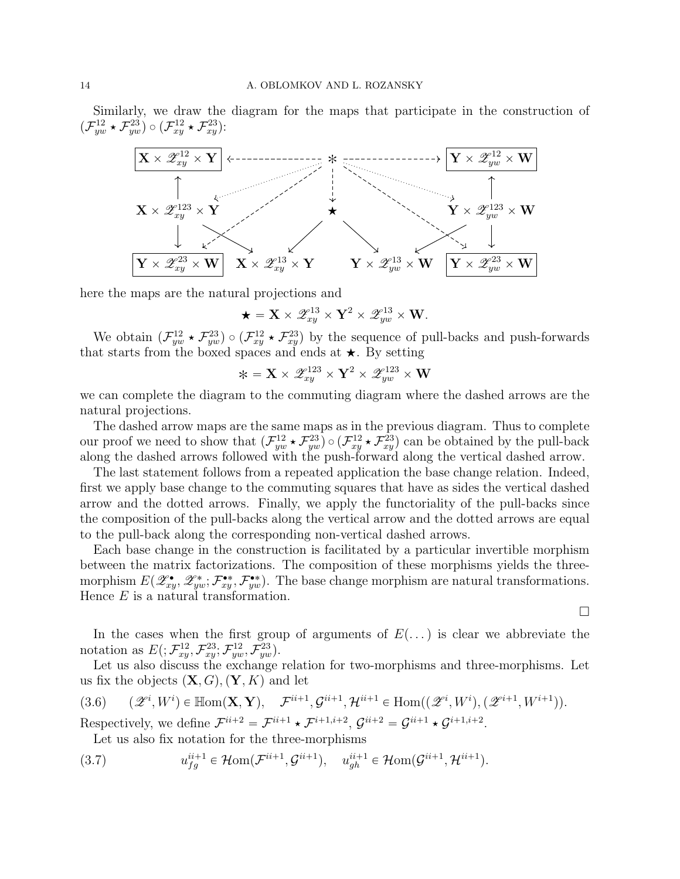Similarly, we draw the diagram for the maps that participate in the construction of  $(\mathcal{F}_{yw}^{12} \star \mathcal{F}_{yw}^{23}) \circ (\mathcal{F}_{xy}^{12} \star \mathcal{F}_{xy}^{23})$ :



here the maps are the natural projections and

$$
\bigstar = \mathbf{X} \times \mathscr{Z}^{13}_{xy} \times \mathbf{Y}^2 \times \mathscr{Z}^{13}_{yw} \times \mathbf{W}.
$$

We obtain  $(\mathcal{F}_{yw}^{12} \star \mathcal{F}_{yw}^{23}) \circ (\mathcal{F}_{xy}^{12} \star \mathcal{F}_{xy}^{23})$  by the sequence of pull-backs and push-forwards that starts from the boxed spaces and ends at  $\star$ . By setting

$$
*=\mathbf{X}\times\mathscr{Z}^{123}_{xy}\times\mathbf{Y}^2\times\mathscr{Z}^{123}_{yw}\times\mathbf{W}
$$

we can complete the diagram to the commuting diagram where the dashed arrows are the natural projections.

The dashed arrow maps are the same maps as in the previous diagram. Thus to complete our proof we need to show that  $(\mathcal{F}_{yw}^{12} \star \mathcal{F}_{yw}^{23}) \circ (\mathcal{F}_{xy}^{12} \star \mathcal{F}_{xy}^{23})$  can be obtained by the pull-back along the dashed arrows followed with the push-forward along the vertical dashed arrow.

The last statement follows from a repeated application the base change relation. Indeed, first we apply base change to the commuting squares that have as sides the vertical dashed arrow and the dotted arrows. Finally, we apply the functoriality of the pull-backs since the composition of the pull-backs along the vertical arrow and the dotted arrows are equal to the pull-back along the corresponding non-vertical dashed arrows.

Each base change in the construction is facilitated by a particular invertible morphism between the matrix factorizations. The composition of these morphisms yields the threemorphism  $E(\mathscr{Z}^{\bullet}_{xy}, \mathscr{Z}^{\bullet}_{yw}; \mathcal{F}^{\bullet*}_{xy})$ . The base change morphism are natural transformations. Hence  $E$  is a natural transformation.

In the cases when the first group of arguments of  $E(\ldots)$  is clear we abbreviate the notation as  $E( ; \mathcal{F}_{xy}^{12}, \mathcal{F}_{xy}^{23}; \mathcal{F}_{yw}^{12}, \mathcal{F}_{yw}^{23}).$ 

 $\Box$ 

Let us also discuss the exchange relation for two-morphisms and three-morphisms. Let us fix the objects  $(X, G), (Y, K)$  and let

<span id="page-13-0"></span>
$$
(3.6) \qquad (\mathscr{Z}^i, W^i) \in \mathbb{H}om(\mathbf{X}, \mathbf{Y}), \quad \mathcal{F}^{ii+1}, \mathcal{G}^{ii+1}, \mathcal{H}^{ii+1} \in \text{Hom}((\mathscr{Z}^i, W^i), (\mathscr{Z}^{i+1}, W^{i+1})).
$$

Respectively, we define  $\mathcal{F}^{i+2} = \mathcal{F}^{i+1} \star \mathcal{F}^{i+1,i+2}$ ,  $\mathcal{G}^{i+2} = \mathcal{G}^{i+1} \star \mathcal{G}^{i+1,i+2}$ .

<span id="page-13-1"></span>Let us also fix notation for the three-morphisms

(3.7) 
$$
u_{fg}^{ii+1} \in \mathcal{H}om(\mathcal{F}^{ii+1}, \mathcal{G}^{ii+1}), \quad u_{gh}^{ii+1} \in \mathcal{H}om(\mathcal{G}^{ii+1}, \mathcal{H}^{ii+1}).
$$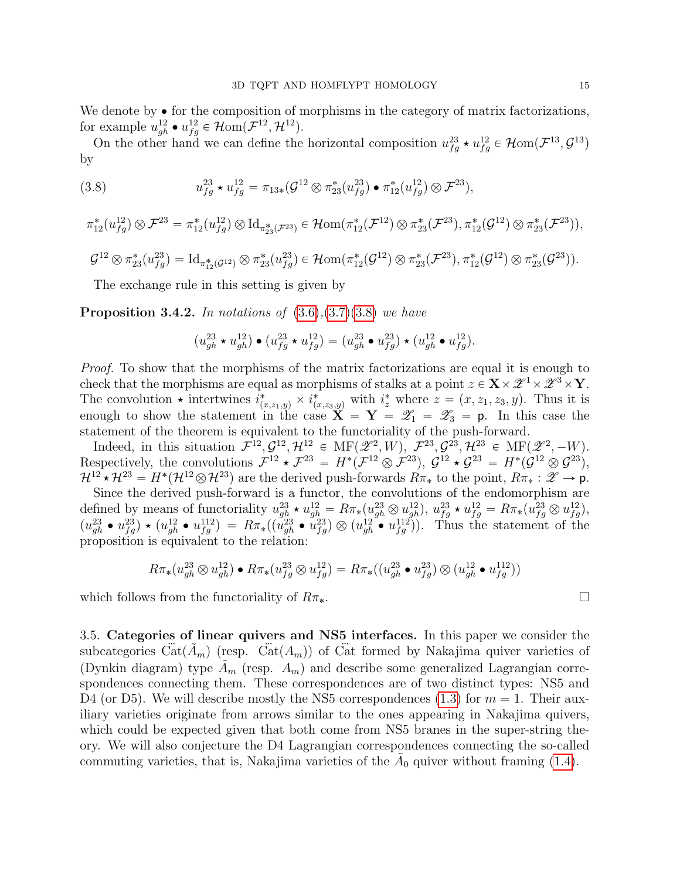We denote by  $\bullet$  for the composition of morphisms in the category of matrix factorizations, for example  $u_{gh}^{12} \bullet u_{fg}^{12} \in \mathcal{H}om(\mathcal{F}^{12}, \mathcal{H}^{12})$ .

On the other hand we can define the horizontal composition  $u_{fg}^{23} \star u_{fg}^{12} \in \mathcal{H}$ om $(\mathcal{F}^{13}, \mathcal{G}^{13})$ by

<span id="page-14-0"></span>(3.8) 
$$
u_{fg}^{23} \star u_{fg}^{12} = \pi_{13*}(\mathcal{G}^{12} \otimes \pi_{23}^*(u_{fg}^{23}) \bullet \pi_{12}^*(u_{fg}^{12}) \otimes \mathcal{F}^{23}),
$$

$$
\pi_{12}^*(u_{fg}^{12}) \otimes \mathcal{F}^{23} = \pi_{12}^*(u_{fg}^{12}) \otimes \mathrm{Id}_{\pi_{23}^*(\mathcal{F}^{23})} \in \mathcal{H}om(\pi_{12}^*(\mathcal{F}^{12}) \otimes \pi_{23}^*(\mathcal{F}^{23}), \pi_{12}^*(\mathcal{G}^{12}) \otimes \pi_{23}^*(\mathcal{F}^{23})),
$$
  

$$
\mathcal{G}^{12} \otimes \pi_{23}^*(u_{fg}^{23}) = \mathrm{Id}_{\pi_{12}^*(\mathcal{G}^{12})} \otimes \pi_{23}^*(u_{fg}^{23}) \in \mathcal{H}om(\pi_{12}^*(\mathcal{G}^{12}) \otimes \pi_{23}^*(\mathcal{F}^{23}), \pi_{12}^*(\mathcal{G}^{12}) \otimes \pi_{23}^*(\mathcal{G}^{23})).
$$

The exchange rule in this setting is given by

<span id="page-14-1"></span>**Proposition 3.4.2.** In notations of  $(3.6),(3.7)(3.8)$  $(3.6),(3.7)(3.8)$  $(3.6),(3.7)(3.8)$  $(3.6),(3.7)(3.8)$  we have

$$
\left(u_{gh}^{23} \star u_{gh}^{12}\right) \bullet \left(u_{fg}^{23} \star u_{fg}^{12}\right) = \left(u_{gh}^{23} \bullet u_{fg}^{23}\right) \star \left(u_{gh}^{12} \bullet u_{fg}^{12}\right).
$$

Proof. To show that the morphisms of the matrix factorizations are equal it is enough to check that the morphisms are equal as morphisms of stalks at a point  $z \in \mathbf{X} \times \mathscr{Z}^1 \times \mathscr{Z}^3 \times \mathbf{Y}$ . The convolution  $\star$  intertwines  $i^*_{(x,z_1,y)} \times i^*_{(x,z_3,y)}$  with  $i^*_{z}$  where  $z = (x, z_1, z_3, y)$ . Thus it is enough to show the statement in the case  $X = Y = \mathscr{Z}_1 = \mathscr{Z}_3 = p$ . In this case the statement of the theorem is equivalent to the functoriality of the push-forward.

Indeed, in this situation  $\mathcal{F}^{12}, \mathcal{G}^{12}, \mathcal{H}^{12} \in \text{MF}(\mathscr{Z}^2, W), \ \mathcal{F}^{23}, \mathcal{G}^{23}, \mathcal{H}^{23} \in \text{MF}(\mathscr{Z}^2, -W).$ Respectively, the convolutions  $\mathcal{F}^{12} \star \mathcal{F}^{23} = H^*(\mathcal{F}^{12} \otimes \mathcal{F}^{23})$ ,  $\mathcal{G}^{12} \star \mathcal{G}^{23} = H^*(\mathcal{G}^{12} \otimes \mathcal{G}^{23})$ ,  $\mathcal{H}^{12} \star \mathcal{H}^{23} = H^*(\mathcal{H}^{12} \otimes \mathcal{H}^{23})$  are the derived push-forwards  $R\pi_*$  to the point,  $R\pi_* : \mathscr{Z} \to \mathsf{p}$ .

Since the derived push-forward is a functor, the convolutions of the endomorphism are defined by means of functoriality  $u_{gh}^{23} \star u_{gh}^{12} = R \pi_*(u_{gh}^{23} \otimes u_{gh}^{12}), u_{fg}^{23} \star u_{fg}^{12} = R \pi_*(u_{fg}^{23} \otimes u_{fg}^{12}),$  $(u_{gh}^{23} \bullet u_{fg}^{23}) \star (u_{gh}^{12} \bullet u_{fg}^{112}) = R \pi_* ((u_{gh}^{23} \bullet u_{fg}^{23}) \otimes (u_{gh}^{12} \bullet u_{fg}^{112}))$ . Thus the statement of the proposition is equivalent to the relation:

$$
R\pi_*(u_{gh}^{23} \otimes u_{gh}^{12}) \bullet R\pi_*(u_{fg}^{23} \otimes u_{fg}^{12}) = R\pi_*((u_{gh}^{23} \bullet u_{fg}^{23}) \otimes (u_{gh}^{12} \bullet u_{fg}^{112}))
$$

which follows from the functoriality of  $R\pi_*$ .

<span id="page-14-2"></span>3.5. Categories of linear quivers and NS5 interfaces. In this paper we consider the subcategories  $\tilde{\text{Cat}}(\tilde{A}_m)$  (resp.  $\tilde{\text{Cat}}(A_m)$ ) of Cat formed by Nakajima quiver varieties of (Dynkin diagram) type  $\tilde{A}_m$  (resp.  $A_m$ ) and describe some generalized Lagrangian correspondences connecting them. These correspondences are of two distinct types: NS5 and D4 (or D5). We will describe mostly the NS5 correspondences [\(1.3\)](#page-1-0) for  $m = 1$ . Their auxiliary varieties originate from arrows similar to the ones appearing in Nakajima quivers, which could be expected given that both come from NS5 branes in the super-string theory. We will also conjecture the D4 Lagrangian correspondences connecting the so-called commuting varieties, that is, Nakajima varieties of the  $\tilde{A}_0$  quiver without framing [\(1.4\)](#page-1-1).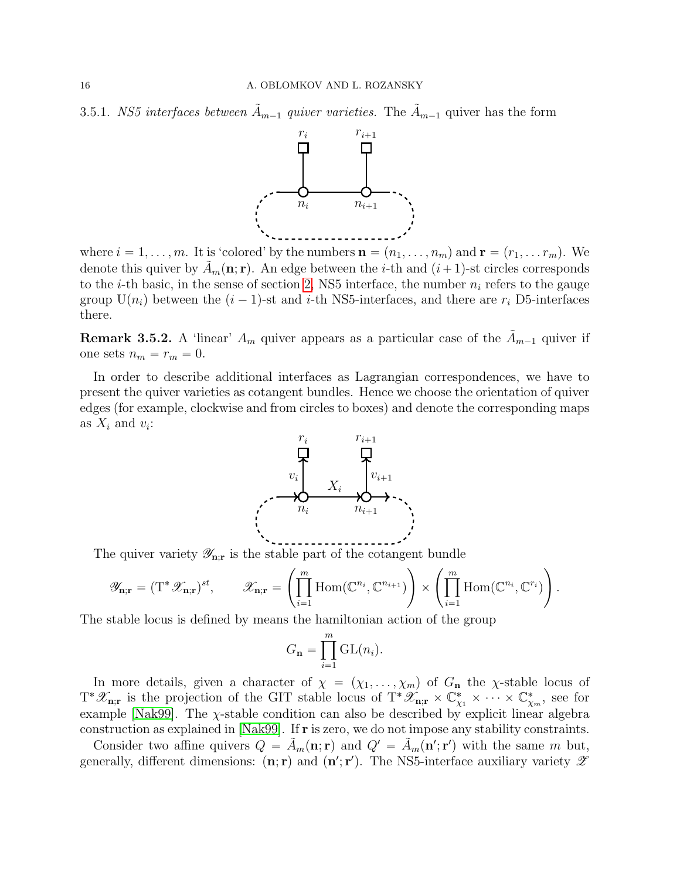3.5.1. NS5 interfaces between  $\tilde{A}_{m-1}$  quiver varieties. The  $\tilde{A}_{m-1}$  quiver has the form



where  $i = 1, \ldots, m$ . It is 'colored' by the numbers  $\mathbf{n} = (n_1, \ldots, n_m)$  and  $\mathbf{r} = (r_1, \ldots, r_m)$ . We denote this quiver by  $\tilde{A}_m(\mathbf{n}; \mathbf{r})$ . An edge between the *i*-th and  $(i+1)$ -st circles corresponds to the *i*-th basic, in the sense of section [2,](#page-6-0) NS5 interface, the number  $n_i$  refers to the gauge group  $U(n_i)$  between the  $(i - 1)$ -st and i-th NS5-interfaces, and there are  $r_i$  D5-interfaces there.

**Remark 3.5.2.** A 'linear'  $A_m$  quiver appears as a particular case of the  $\tilde{A}_{m-1}$  quiver if one sets  $n_m = r_m = 0$ .

In order to describe additional interfaces as Lagrangian correspondences, we have to present the quiver varieties as cotangent bundles. Hence we choose the orientation of quiver edges (for example, clockwise and from circles to boxes) and denote the corresponding maps as  $X_i$  and  $v_i$ :



The quiver variety  $\mathscr{Y}_{n;r}$  is the stable part of the cotangent bundle<br>  $\left( \begin{array}{ccc} m & \end{array} \right)$ 

$$
\mathscr{Y}_{\mathbf{n};\mathbf{r}} = (\mathrm{T}^*\mathscr{X}_{\mathbf{n};\mathbf{r}})^{st}, \qquad \mathscr{X}_{\mathbf{n};\mathbf{r}} = \left(\prod_{i=1}^m \mathrm{Hom}(\mathbb{C}^{n_i}, \mathbb{C}^{n_{i+1}})\right) \times \left(\prod_{i=1}^m \mathrm{Hom}(\mathbb{C}^{n_i}, \mathbb{C}^{r_i})\right).
$$

į,

The stable locus is defined by means the hamiltonian action of the group

$$
G_{\mathbf{n}} = \prod_{i=1}^{m} \mathrm{GL}(n_i).
$$

In more details, given a character of  $\chi = (\chi_1, \ldots, \chi_m)$  of  $G_n$  the *χ*-stable locus of  $T^*\mathscr{X}_{n,r}$  is the projection of the GIT stable locus of  $T^*\mathscr{X}_{n,r} \times \mathbb{C}^*_{\chi_1} \times \cdots \times \mathbb{C}^*_{\chi_m}$ , see for example [\[Nak99\]](#page-42-14). The  $\chi$ -stable condition can also be described by explicit linear algebra construction as explained in [\[Nak99\]](#page-42-14). If r is zero, we do not impose any stability constraints.

Consider two affine quivers  $Q = \tilde{A}_m(\mathbf{n}; \mathbf{r})$  and  $Q' = \tilde{A}_m(\mathbf{n}'; \mathbf{r}')$  with the same m but, generally, different dimensions:  $(n; r)$  and  $(n'; r')$ . The NS5-interface auxiliary variety  $\mathscr Z$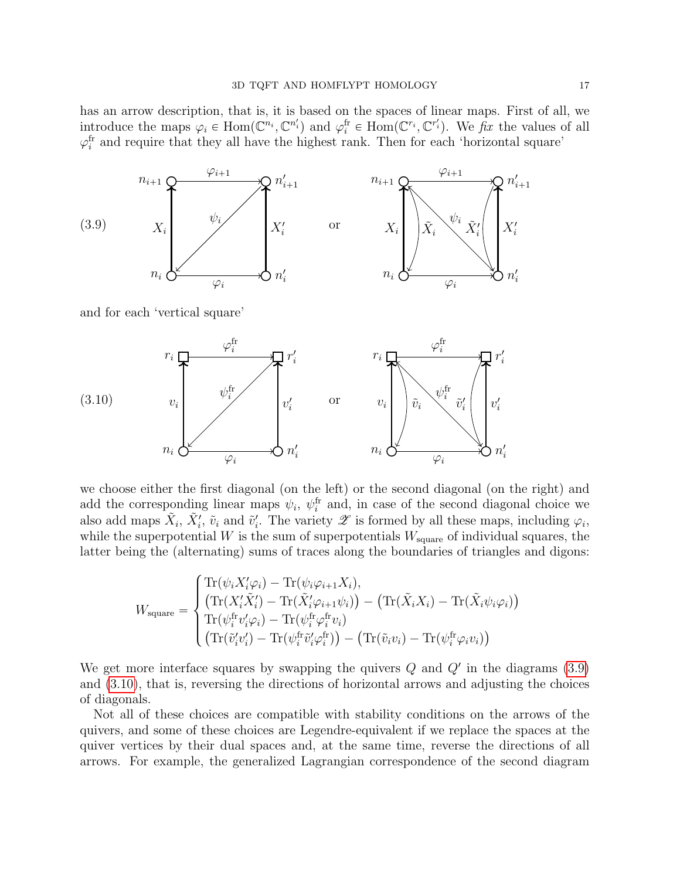has an arrow description, that is, it is based on the spaces of linear maps. First of all, we introduce the maps  $\varphi_i \in \text{Hom}(\mathbb{C}^{n_i}, \mathbb{C}^{n'_i})$  and  $\varphi_i^{\text{fr}} \in \text{Hom}(\mathbb{C}^{r_i}, \mathbb{C}^{r'_i})$ . We  $\overline{f}x$  the values of all  $\varphi_i^{\text{fr}}$  and require that they all have the highest rank. Then for each 'horizontal square'

<span id="page-16-0"></span>

<span id="page-16-1"></span>we choose either the first diagonal (on the left) or the second diagonal (on the right) and add the corresponding linear maps  $\psi_i$ ,  $\psi_i^{\text{fr}}$  and, in case of the second diagonal choice we also add maps  $\tilde{X}_i$ ,  $\tilde{X}'_i$ ,  $\tilde{v}_i$  and  $\tilde{v}'_i$ . The variety  $\mathscr X$  is formed by all these maps, including  $\varphi_i$ , while the superpotential W is the sum of superpotentials  $W_{square}$  of individual squares, the latter being the (alternating) sums of traces along the boundaries of triangles and digons:

$$
W_{\text{square}} = \begin{cases} \text{Tr}(\psi_i X_i' \varphi_i) - \text{Tr}(\psi_i \varphi_{i+1} X_i), \\ (\text{Tr}(X_i' \tilde{X}_i') - \text{Tr}(\tilde{X}_i' \varphi_{i+1} \psi_i)) - (\text{Tr}(\tilde{X}_i X_i) - \text{Tr}(\tilde{X}_i \psi_i \varphi_i)) \\ \text{Tr}(\psi_i^{\text{fr}} v_i' \varphi_i) - \text{Tr}(\psi_i^{\text{fr}} v_i' \varphi_i^{\text{fr}} v_i) \\ (\text{Tr}(\tilde{v}_i' v_i') - \text{Tr}(\psi_i^{\text{fr}} \tilde{v}_i' \varphi_i^{\text{fr}})) - (\text{Tr}(\tilde{v}_i v_i) - \text{Tr}(\psi_i^{\text{fr}} \varphi_i v_i)) \end{cases}
$$

We get more interface squares by swapping the quivers  $Q$  and  $Q'$  in the diagrams  $(3.9)$ and [\(3.10\)](#page-16-1), that is, reversing the directions of horizontal arrows and adjusting the choices of diagonals.

Not all of these choices are compatible with stability conditions on the arrows of the quivers, and some of these choices are Legendre-equivalent if we replace the spaces at the quiver vertices by their dual spaces and, at the same time, reverse the directions of all arrows. For example, the generalized Lagrangian correspondence of the second diagram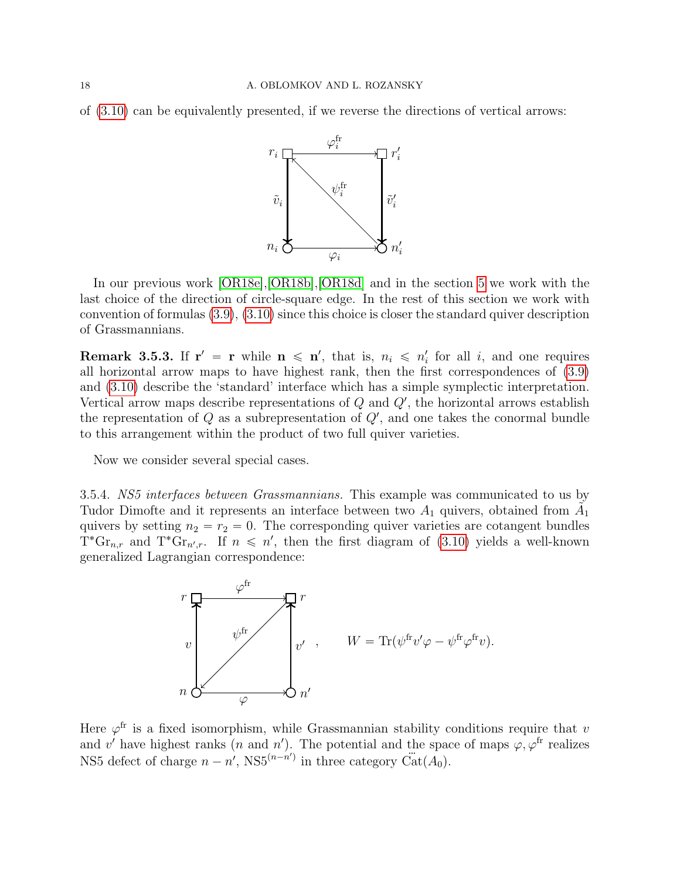of [\(3.10\)](#page-16-1) can be equivalently presented, if we reverse the directions of vertical arrows:



In our previous work [\[OR18e\]](#page-43-0),[\[OR18b\]](#page-42-15),[\[OR18d\]](#page-43-2) and in the section [5](#page-27-0) we work with the last choice of the direction of circle-square edge. In the rest of this section we work with convention of formulas [\(3.9\)](#page-16-0), [\(3.10\)](#page-16-1) since this choice is closer the standard quiver description of Grassmannians.

**Remark 3.5.3.** If  $r' = r$  while  $n \leq n'$ , that is,  $n_i \leq n'_i$  for all i, and one requires all horizontal arrow maps to have highest rank, then the first correspondences of [\(3.9\)](#page-16-0) and [\(3.10\)](#page-16-1) describe the 'standard' interface which has a simple symplectic interpretation. Vertical arrow maps describe representations of  $Q$  and  $Q'$ , the horizontal arrows establish the representation of Q as a subrepresentation of  $Q'$ , and one takes the conormal bundle to this arrangement within the product of two full quiver varieties.

Now we consider several special cases.

3.5.4. NS5 interfaces between Grassmannians. This example was communicated to us by Tudor Dimofte and it represents an interface between two  $A_1$  quivers, obtained from  $\tilde{A_1}$ quivers by setting  $n_2 = r_2 = 0$ . The corresponding quiver varieties are cotangent bundles  $T^*G_{r,n,r}$  and  $T^*G_{r,n',r}$ . If  $n \leq n'$ , then the first diagram of [\(3.10\)](#page-16-1) yields a well-known generalized Lagrangian correspondence:



Here  $\varphi^{\text{fr}}$  is a fixed isomorphism, while Grassmannian stability conditions require that v and v' have highest ranks (n and n'). The potential and the space of maps  $\varphi, \varphi^{\text{fr}}$  realizes NS5 defect of charge  $n - n'$ , NS5<sup> $(n-n')$ </sup> in three category  $\ddot{Cat}(A_0)$ .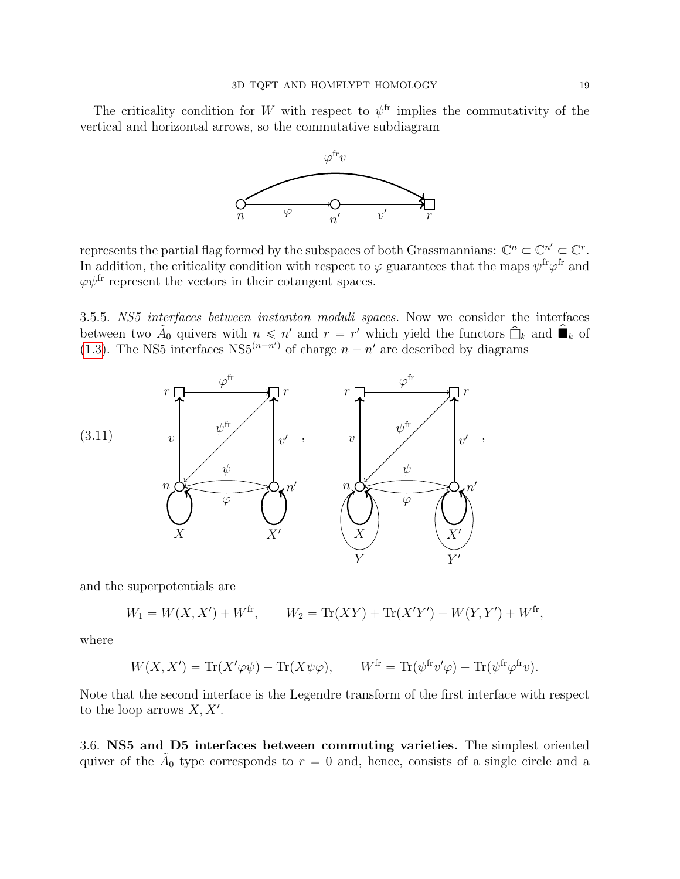The criticality condition for W with respect to  $\psi^{\text{fr}}$  implies the commutativity of the vertical and horizontal arrows, so the commutative subdiagram



represents the partial flag formed by the subspaces of both Grassmannians:  $\mathbb{C}^n \subset \mathbb{C}^n$ '  $\subset \mathbb{C}^r$ . In addition, the criticality condition with respect to  $\varphi$  guarantees that the maps  $\psi^{\text{fr}}\varphi^{\text{fr}}$  and  $\varphi\psi^{\text{fr}}$  represent the vectors in their cotangent spaces.

<span id="page-18-2"></span>3.5.5. NS5 interfaces between instanton moduli spaces. Now we consider the interfaces between two  $\tilde{A}_0$  quivers with  $n \leq n'$  and  $r = r'$  which yield the functors  $\hat{\Box}_k$  and  $\hat{\blacksquare}_k$  of [\(1.3\)](#page-1-0). The NS5 interfaces  $NS5^{(n-n')}$  of charge  $n - n'$  are described by diagrams

<span id="page-18-1"></span>

and the superpotentials are

$$
W_1 = W(X, X') + W^{\text{fr}}, \qquad W_2 = \text{Tr}(XY) + \text{Tr}(X'Y') - W(Y, Y') + W^{\text{fr}},
$$

where

$$
W(X, X') = \text{Tr}(X'\varphi\psi) - \text{Tr}(X\psi\varphi), \qquad W^{\text{fr}} = \text{Tr}(\psi^{\text{fr}}v'\varphi) - \text{Tr}(\psi^{\text{fr}}\varphi^{\text{fr}}v).
$$

Note that the second interface is the Legendre transform of the first interface with respect to the loop arrows  $X, X'$ .

<span id="page-18-0"></span>3.6. NS5 and D5 interfaces between commuting varieties. The simplest oriented quiver of the  $\tilde{A}_0$  type corresponds to  $r = 0$  and, hence, consists of a single circle and a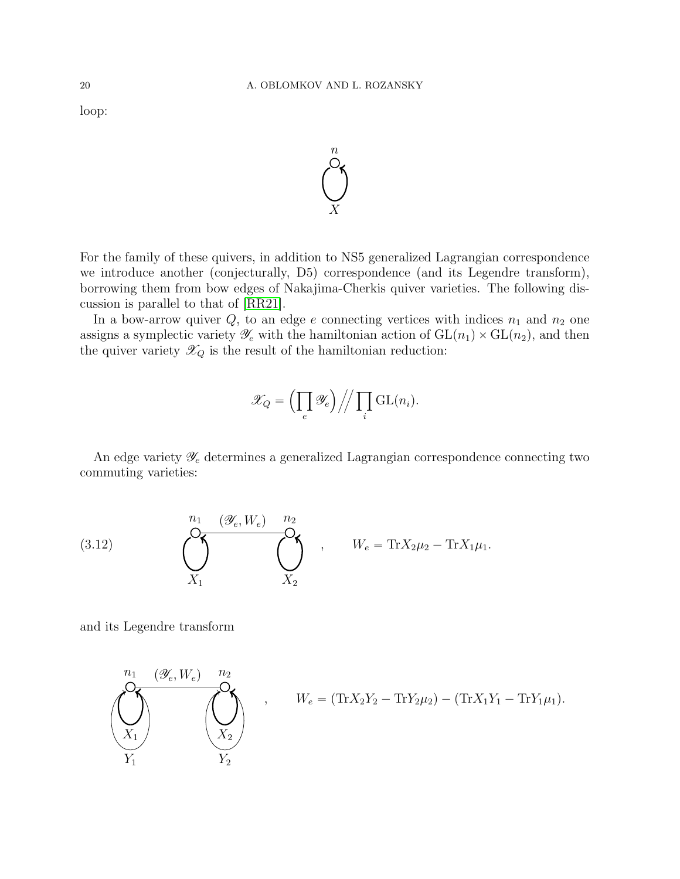loop:



For the family of these quivers, in addition to NS5 generalized Lagrangian correspondence we introduce another (conjecturally, D5) correspondence (and its Legendre transform), borrowing them from bow edges of Nakajima-Cherkis quiver varieties. The following discussion is parallel to that of [\[RR21\]](#page-43-4).

In a bow-arrow quiver  $Q$ , to an edge e connecting vertices with indices  $n_1$  and  $n_2$  one assigns a symplectic variety  $\mathscr{Y}_e$  with the hamiltonian action of  $GL(n_1) \times GL(n_2)$ , and then the quiver variety  $\mathcal{X}_Q$  is the result of the hamiltonian reduction:

$$
\mathscr{X}_Q = \left(\prod_e \mathscr{Y}_e\right) \bigg/ \bigg/ \prod_i \mathrm{GL}(n_i).
$$

An edge variety  $\mathscr{Y}_e$  determines a generalized Lagrangian correspondence connecting two commuting varieties:

(3.12) 
$$
\underbrace{\bigodot_{n_1} \cdots \bigodot_{n_2}}_{X_1} \underbrace{\bigodot_{n_2}}_{X_2} , \qquad W_e = \text{Tr} X_{2} \mu_2 - \text{Tr} X_{1} \mu_1.
$$

and its Legendre transform

$$
\underbrace{\left(\bigvee_{X_1}^{n_1} \underbrace{(\mathscr{Y}_e, W_e)}_{X_1} \underbrace{n_2}_{Y_2}\right)}_{Y_1}, \qquad W_e = (\text{Tr}X_2Y_2 - \text{Tr}Y_2\mu_2) - (\text{Tr}X_1Y_1 - \text{Tr}Y_1\mu_1).
$$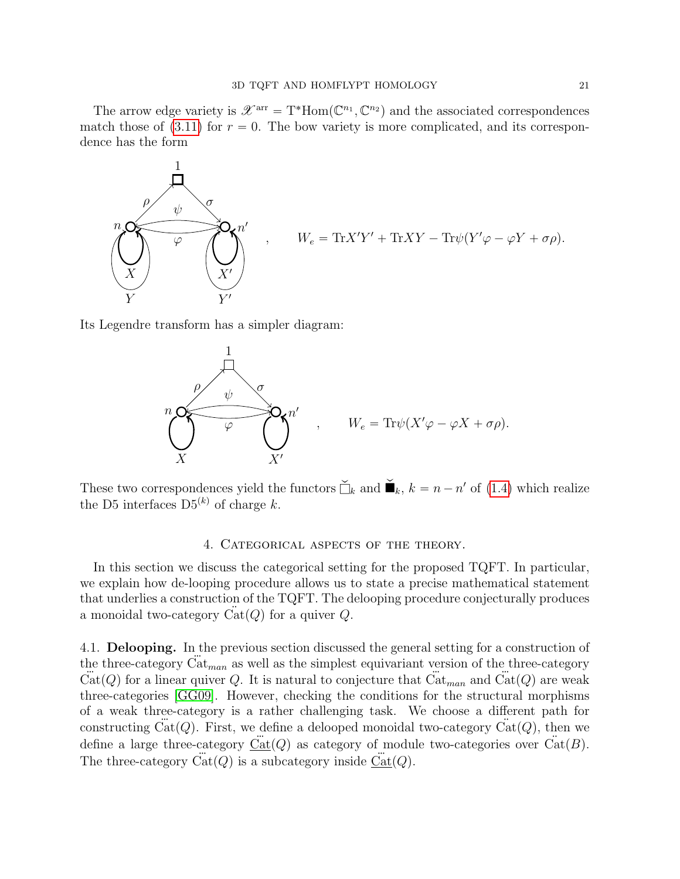The arrow edge variety is  $\mathscr{X}^{\text{arr}} = T^* \text{Hom}(\mathbb{C}^{n_1}, \mathbb{C}^{n_2})$  and the associated correspondences match those of  $(3.11)$  for  $r = 0$ . The bow variety is more complicated, and its correspondence has the form



Its Legendre transform has a simpler diagram:



These two correspondences yield the functors  $\check{\Box}_k$  and  $\check{\blacksquare}_k$ ,  $k = n - n'$  of [\(1.4\)](#page-1-1) which realize the D5 interfaces  $D5^{(k)}$  of charge k.

## 4. CATEGORICAL ASPECTS OF THE THEORY.

<span id="page-20-0"></span>In this section we discuss the categorical setting for the proposed TQFT. In particular, we explain how de-looping procedure allows us to state a precise mathematical statement that underlies a construction of the TQFT. The delooping procedure conjecturally produces a monoidal two-category  $\text{Cat}(Q)$  for a quiver Q.

4.1. Delooping. In the previous section discussed the general setting for a construction of the three-category  $\ddot{\text{Cat}}_{man}$  as well as the simplest equivariant version of the three-category  $\ddot{Cat}(Q)$  for a linear quiver Q. It is natural to conjecture that  $\ddot{Cat}_{man}$  and  $\ddot{Cat}(Q)$  are weak three-categories [\[GG09\]](#page-42-16). However, checking the conditions for the structural morphisms of a weak three-category is a rather challenging task. We choose a different path for constructing Cat(Q). First, we define a delooped monoidal two-category Cat(Q), then we define a large three-category  $\ddot{Cat}(Q)$  as category of module two-categories over  $\ddot{Cat}(B)$ . The three-category  $\ddot{Cat}(Q)$  is a subcategory inside  $\ddot{Cat}(Q)$ .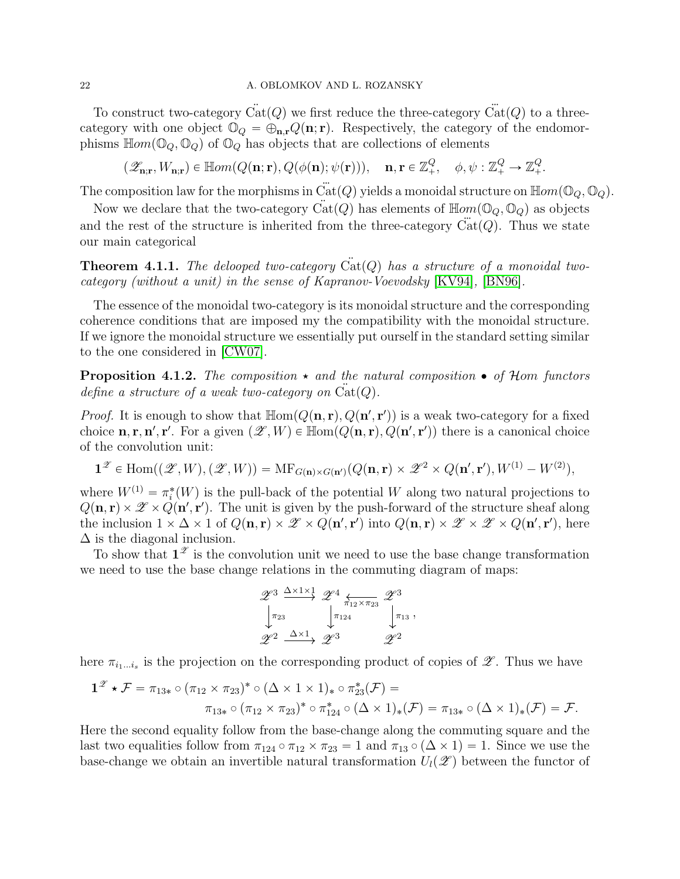# 22 A. OBLOMKOV AND L. ROZANSKY

To construct two-category  $\ddot{Cat}(Q)$  we first reduce the three-category  $\ddot{Cat}(Q)$  to a threecategory with one object  $\mathbb{O}_Q = \bigoplus_{\mathbf{n},\mathbf{r}} Q(\mathbf{n}; \mathbf{r})$ . Respectively, the category of the endomorphisms  $\mathbb{H}om(\mathbb{O}_Q, \mathbb{O}_Q)$  of  $\mathbb{O}_Q$  has objects that are collections of elements

 $(\mathscr{Z}_{\mathbf{n}; \mathbf{r}}, W_{\mathbf{n}; \mathbf{r}}) \in \mathbb{H}om(Q(\mathbf{n}; \mathbf{r}), Q(\phi(\mathbf{n}); \psi(\mathbf{r}))), \quad \mathbf{n}, \mathbf{r} \in \mathbb{Z}_+^Q, \quad \phi, \psi : \mathbb{Z}_+^Q \to \mathbb{Z}_+^Q.$ 

The composition law for the morphisms in  $\ddot{Cat}(Q)$  yields a monoidal structure on  $\text{Hom}(\mathbb{O}_Q, \mathbb{O}_Q)$ .

Now we declare that the two-category  $\text{Cat}(Q)$  has elements of  $\text{Hom}(\mathbb{O}_Q, \mathbb{O}_Q)$  as objects and the rest of the structure is inherited from the three-category  $Cat(Q)$ . Thus we state our main categorical

**Theorem 4.1.1.** The delooped two-category  $\ddot{Cat}(Q)$  has a structure of a monoidal twocategory (without a unit) in the sense of Kapranov-Voevodsky [\[KV94\]](#page-42-2), [\[BN96\]](#page-42-17).

The essence of the monoidal two-category is its monoidal structure and the corresponding coherence conditions that are imposed my the compatibility with the monoidal structure. If we ignore the monoidal structure we essentially put ourself in the standard setting similar to the one considered in [\[CW07\]](#page-42-18).

<span id="page-21-0"></span>**Proposition 4.1.2.** The composition  $\star$  and the natural composition  $\bullet$  of Hom functors define a structure of a weak two-category on  $Cat(Q)$ .

*Proof.* It is enough to show that  $\mathbb{H}\text{om}(Q(\mathbf{n}, \mathbf{r}), Q(\mathbf{n}', \mathbf{r}'))$  is a weak two-category for a fixed choice  $\mathbf{n}, \mathbf{r}, \mathbf{n}', \mathbf{r}'$ . For a given  $(\mathscr{Z}, W) \in \mathbb{Hom}(Q(\mathbf{n}, \mathbf{r}), Q(\mathbf{n}', \mathbf{r}'))$  there is a canonical choice of the convolution unit:

$$
\mathbf{1}^{\mathscr{Z}} \in \text{Hom}((\mathscr{Z},W),(\mathscr{Z},W)) = \text{MF}_{G(\mathbf{n}) \times G(\mathbf{n}')} (Q(\mathbf{n},\mathbf{r}) \times \mathscr{Z}^2 \times Q(\mathbf{n}',\mathbf{r}'),W^{(1)} - W^{(2)}),
$$

where  $W^{(1)} = \pi_i^*(W)$  is the pull-back of the potential W along two natural projections to  $Q(\mathbf{n}, \mathbf{r}) \times \mathscr{Z} \times Q(\mathbf{n}', \mathbf{r}')$ . The unit is given by the push-forward of the structure sheaf along the inclusion  $1 \times \Delta \times 1$  of  $Q(\mathbf{n}, \mathbf{r}) \times \mathscr{Z} \times Q(\mathbf{n}', \mathbf{r}')$  into  $Q(\mathbf{n}, \mathbf{r}) \times \mathscr{Z} \times \mathscr{Z} \times Q(\mathbf{n}', \mathbf{r}')$ , here  $\Delta$  is the diagonal inclusion.

To show that  $\mathbf{1}^{\mathscr{Z}}$  is the convolution unit we need to use the base change transformation we need to use the base change relations in the commuting diagram of maps:

$$
\begin{array}{ccc}\n\mathscr{Z}^3 \xrightarrow{\Delta \times 1 \times 1} & \mathscr{Z}^4 \xleftarrow{\pi_{12} \times \pi_{23}} & \mathscr{Z}^3 \\
\downarrow_{\pi_{23}} & \downarrow_{\pi_{124}} & \downarrow_{\pi_{13}} \\
\mathscr{Z}^2 \xrightarrow{\Delta \times 1} & \mathscr{Z}^3 & \mathscr{Z}^2\n\end{array}
$$

,

here  $\pi_{i_1...i_s}$  is the projection on the corresponding product of copies of  $\mathscr{Z}$ . Thus we have

$$
1^{\mathscr{Z}} \star \mathcal{F} = \pi_{13*} \circ (\pi_{12} \times \pi_{23})^* \circ (\Delta \times 1 \times 1)_* \circ \pi_{23}^* (\mathcal{F}) =
$$
  

$$
\pi_{13*} \circ (\pi_{12} \times \pi_{23})^* \circ \pi_{124}^* \circ (\Delta \times 1)_* (\mathcal{F}) = \pi_{13*} \circ (\Delta \times 1)_* (\mathcal{F}) = \mathcal{F}.
$$

Here the second equality follow from the base-change along the commuting square and the last two equalities follow from  $\pi_{124} \circ \pi_{12} \times \pi_{23} = 1$  and  $\pi_{13} \circ (\Delta \times 1) = 1$ . Since we use the base-change we obtain an invertible natural transformation  $U_l(\mathscr{Z})$  between the functor of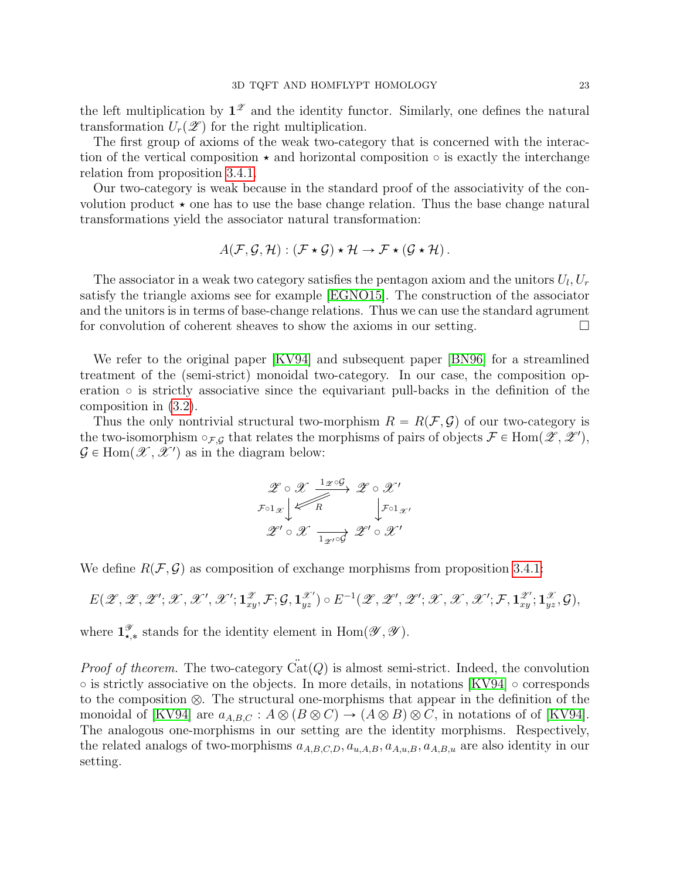the left multiplication by  $1^{\mathscr{Z}}$  and the identity functor. Similarly, one defines the natural transformation  $U_r(\mathscr{Z})$  for the right multiplication.

The first group of axioms of the weak two-category that is concerned with the interaction of the vertical composition  $\star$  and horizontal composition  $\circ$  is exactly the interchange relation from proposition [3.4.1.](#page-12-0)

Our two-category is weak because in the standard proof of the associativity of the convolution product  $\star$  one has to use the base change relation. Thus the base change natural transformations yield the associator natural transformation:

$$
A(\mathcal{F}, \mathcal{G}, \mathcal{H}) : (\mathcal{F} \star \mathcal{G}) \star \mathcal{H} \to \mathcal{F} \star (\mathcal{G} \star \mathcal{H}).
$$

The associator in a weak two category satisfies the pentagon axiom and the unitors  $U_l, U_r$ satisfy the triangle axioms see for example [\[EGNO15\]](#page-42-19). The construction of the associator and the unitors is in terms of base-change relations. Thus we can use the standard agrument for convolution of coherent sheaves to show the axioms in our setting.

We refer to the original paper [\[KV94\]](#page-42-2) and subsequent paper [\[BN96\]](#page-42-17) for a streamlined treatment of the (semi-strict) monoidal two-category. In our case, the composition operation  $\circ$  is strictly associative since the equivariant pull-backs in the definition of the composition in [\(3.2\)](#page-11-4).

Thus the only nontrivial structural two-morphism  $R = R(F, \mathcal{G})$  of our two-category is the two-isomorphism  $\circ_{\mathcal{F},\mathcal{G}}$  that relates the morphisms of pairs of objects  $\mathcal{F} \in \text{Hom}(\mathscr{Z}, \mathscr{Z}')$ ,  $\mathcal{G} \in \text{Hom}(\mathcal{X}, \mathcal{X}')$  as in the diagram below:

$$
\mathscr{Z} \circ \mathscr{X} \xrightarrow{1_{\mathscr{Z}} \circ \mathcal{G}} \mathscr{Z} \circ \mathscr{X}'
$$
\n
$$
\mathscr{F} \circ 1_{\mathscr{X}} \downarrow \qquad \qquad \downarrow \mathscr{F} \circ 1_{\mathscr{X}'}
$$
\n
$$
\mathscr{Z}' \circ \mathscr{X} \xrightarrow[1_{\mathscr{Z}'} \circ \mathscr{G}']{} \mathscr{Z}' \circ \mathscr{X}'
$$

We define  $R(\mathcal{F}, \mathcal{G})$  as composition of exchange morphisms from proposition [3.4.1:](#page-12-0)

$$
E(\mathscr{Z},\mathscr{Z},\mathscr{Z}';\mathscr{X},\mathscr{X}',\mathscr{X}';\mathbf{1}_{xy}^{\mathscr{Z}},\mathcal{F};\mathcal{G},\mathbf{1}_{yz}^{\mathscr{X}'})\circ E^{-1}(\mathscr{Z},\mathscr{Z}',\mathscr{Z}';\mathscr{X},\mathscr{X},\mathscr{X}';\mathcal{F},\mathbf{1}_{xy}^{\mathscr{Z}'};\mathbf{1}_{yz}^{\mathscr{X}},\mathcal{G}),
$$

where  $\mathbf{1}_{\star,*}^{\mathscr{Y}}$  stands for the identity element in  $\text{Hom}(\mathscr{Y}, \mathscr{Y})$ .

*Proof of theorem.* The two-category  $\text{Cat}(Q)$  is almost semi-strict. Indeed, the convolution  $\circ$  is strictly associative on the objects. In more details, in notations [\[KV94\]](#page-42-2)  $\circ$  corresponds to the composition  $\otimes$ . The structural one-morphisms that appear in the definition of the monoidal of [\[KV94\]](#page-42-2) are  $a_{A,B,C}: A \otimes (B \otimes C) \to (A \otimes B) \otimes C$ , in notations of of [KV94]. The analogous one-morphisms in our setting are the identity morphisms. Respectively, the related analogs of two-morphisms  $a_{A,B,C,D}, a_{u,A,B}, a_{A,u,B}, a_{A,B,u}$  are also identity in our setting.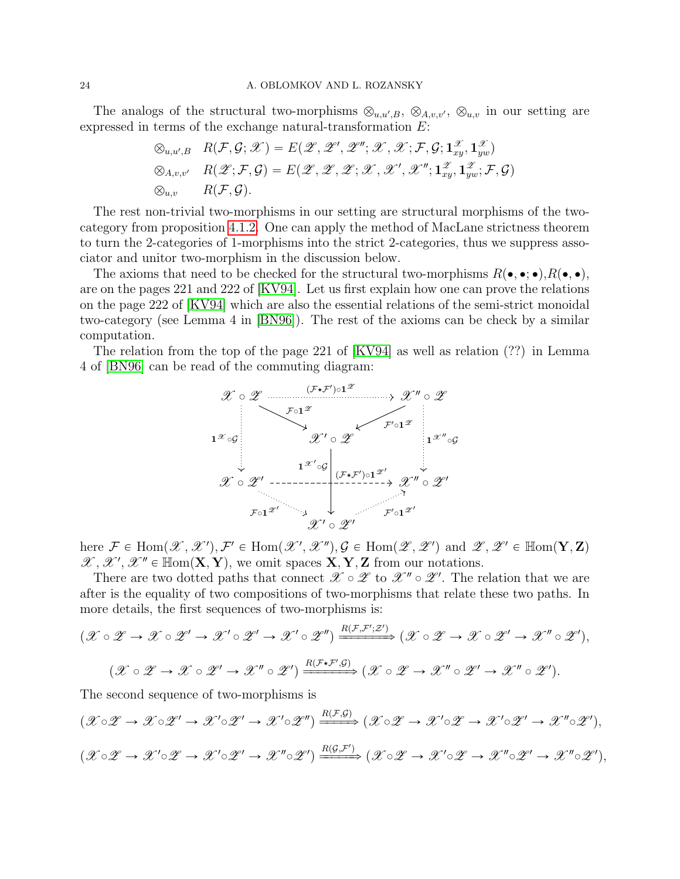#### 24 A. OBLOMKOV AND L. ROZANSKY

The analogs of the structural two-morphisms  $\otimes_{u,u',B}$ ,  $\otimes_{A,v,v'}$ ,  $\otimes_{u,v}$  in our setting are expressed in terms of the exchange natural-transformation E:

$$
\begin{aligned} \otimes_{u,u',B} \quad &R(\mathcal{F},\mathcal{G};\mathscr{X})=E(\mathscr{Z},\mathscr{Z}',\mathscr{Z}'',\mathscr{X},\mathscr{X};\mathcal{F},\mathcal{G};\mathbf{1}_{xy}^\mathscr{X},\mathbf{1}_{yw}^\mathscr{X})\\ \otimes_{A,v,v'} \quad &R(\mathscr{Z};\mathcal{F},\mathcal{G})=E(\mathscr{Z},\mathscr{Z},\mathscr{Z};\mathscr{X},\mathscr{X}',\mathscr{X}'';\mathbf{1}_{xy}^\mathscr{X},\mathbf{1}_{yw}^\mathscr{X};\mathcal{F},\mathcal{G})\\ \otimes_{u,v} \qquad &R(\mathcal{F},\mathcal{G}). \end{aligned}
$$

The rest non-trivial two-morphisms in our setting are structural morphisms of the twocategory from proposition [4.1.2.](#page-21-0) One can apply the method of MacLane strictness theorem to turn the 2-categories of 1-morphisms into the strict 2-categories, thus we suppress associator and unitor two-morphism in the discussion below.

The axioms that need to be checked for the structural two-morphisms  $R(\bullet, \bullet; \bullet), R(\bullet, \bullet)$ , are on the pages 221 and 222 of [\[KV94\]](#page-42-2). Let us first explain how one can prove the relations on the page 222 of [\[KV94\]](#page-42-2) which are also the essential relations of the semi-strict monoidal two-category (see Lemma 4 in [\[BN96\]](#page-42-17)). The rest of the axioms can be check by a similar computation.

The relation from the top of the page 221 of [\[KV94\]](#page-42-2) as well as relation (??) in Lemma 4 of [\[BN96\]](#page-42-17) can be read of the commuting diagram:



here  $\mathcal{F} \in \text{Hom}(\mathscr{X}, \mathscr{X}')$ ,  $\mathcal{F}' \in \text{Hom}(\mathscr{X}', \mathscr{X}'')$ ,  $\mathcal{G} \in \text{Hom}(\mathscr{Z}, \mathscr{Z}')$  and  $\mathscr{Z}, \mathscr{Z}' \in \text{Hom}(\mathbf{Y}, \mathbf{Z})$  $\mathscr{X}, \mathscr{X}', \mathscr{X}'' \in \text{Hom}(\mathbf{X}, \mathbf{Y})$ , we omit spaces  $\mathbf{X}, \mathbf{Y}, \mathbf{Z}$  from our notations.

There are two dotted paths that connect  $\mathscr{X} \circ \mathscr{Z}$  to  $\mathscr{X}'' \circ \mathscr{Z}'$ . The relation that we are after is the equality of two compositions of two-morphisms that relate these two paths. In more details, the first sequences of two-morphisms is:

$$
(\mathcal{X} \circ \mathcal{Z} \to \mathcal{X} \circ \mathcal{Z}' \to \mathcal{X}' \circ \mathcal{Z}' \to \mathcal{X}' \circ \mathcal{Z}'') \xrightarrow{R(\mathcal{F}, \mathcal{F}'; \mathcal{Z}')} (\mathcal{X} \circ \mathcal{Z} \to \mathcal{X} \circ \mathcal{Z}' \to \mathcal{X}'' \circ \mathcal{Z}'),
$$
  

$$
(\mathcal{X} \circ \mathcal{Z} \to \mathcal{X} \circ \mathcal{Z}' \to \mathcal{X}'' \circ \mathcal{Z}') \xrightarrow{R(\mathcal{F} \star \mathcal{F}', \mathcal{G})} (\mathcal{X} \circ \mathcal{Z} \to \mathcal{X}'' \circ \mathcal{Z}' \to \mathcal{X}'' \circ \mathcal{Z}').
$$

The second sequence of two-morphisms is

$$
(\mathcal{X} \circ \mathcal{Z} \to \mathcal{X} \circ \mathcal{Z}' \to \mathcal{X}' \circ \mathcal{Z}' \to \mathcal{X}' \circ \mathcal{Z}'') \xrightarrow{R(\mathcal{F}, \mathcal{G})} (\mathcal{X} \circ \mathcal{Z} \to \mathcal{X}' \circ \mathcal{Z}' \to \mathcal{X}' \circ \mathcal{Z}' \to \mathcal{X}'' \circ \mathcal{Z}'),
$$
  

$$
(\mathcal{X} \circ \mathcal{Z} \to \mathcal{X}' \circ \mathcal{Z} \to \mathcal{X}' \circ \mathcal{Z}' \to \mathcal{X}'' \circ \mathcal{Z}') \xrightarrow{R(\mathcal{G}, \mathcal{F}')} (\mathcal{X} \circ \mathcal{Z} \to \mathcal{X}' \circ \mathcal{Z} \to \mathcal{X}'' \circ \mathcal{Z}' \to \mathcal{X}'' \circ \mathcal{Z}'),
$$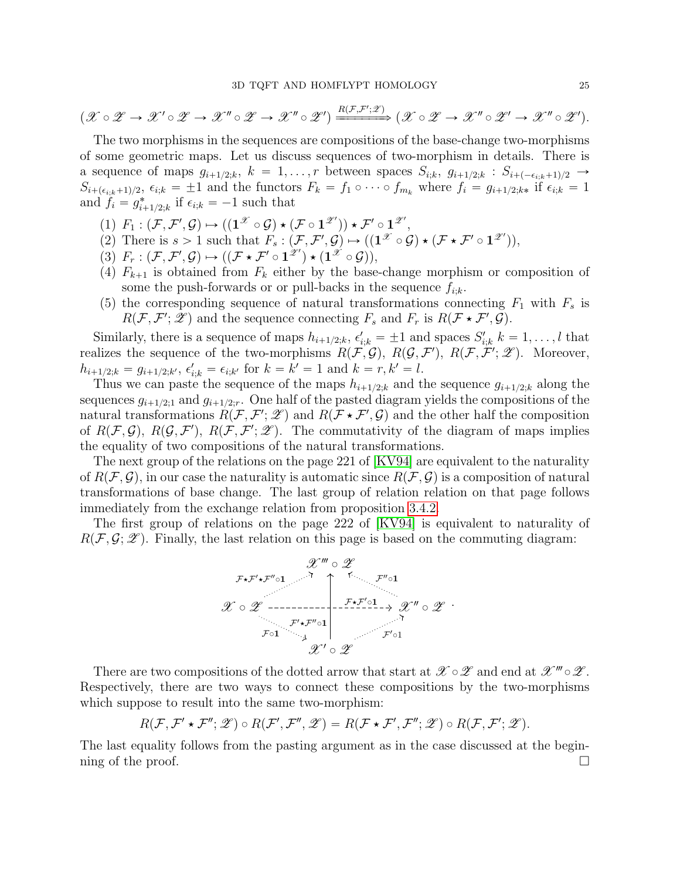$$
(\mathscr{X}\circ\mathscr{Z}\to\mathscr{X}'\circ\mathscr{Z}\to\mathscr{X}''\circ\mathscr{Z}\to\mathscr{X}''\circ\mathscr{Z}')\xrightarrow{R(\mathcal{F},\mathcal{F}',\mathscr{Z})}(\mathscr{X}\circ\mathscr{Z}\to\mathscr{X}''\circ\mathscr{Z}'\to\mathscr{X}''\circ\mathscr{Z}').
$$

The two morphisms in the sequences are compositions of the base-change two-morphisms of some geometric maps. Let us discuss sequences of two-morphism in details. There is a sequence of maps  $g_{i+1/2;k}$ ,  $k = 1, \ldots, r$  between spaces  $S_{i;k}$ ,  $g_{i+1/2;k} : S_{i+(-\epsilon_{i:k}+1)/2} \rightarrow$  $S_{i+(\epsilon_{i;k}+1)/2}$ ,  $\epsilon_{i;k} = \pm 1$  and the functors  $F_k = f_1 \circ \cdots \circ f_{m_k}$  where  $f_i = g_{i+1/2;k*}$  if  $\epsilon_{i;k} = 1$ and  $f_i = g^*_{i+1/2;k}$  if  $\epsilon_{i;k} = -1$  such that

- $(1)$   $F_1: (\mathcal{F}, \mathcal{F}', \mathcal{G}) \mapsto ((\mathbf{1}^{\mathscr{X}} \circ \mathcal{G}) \star (\mathcal{F} \circ \mathbf{1}^{\mathscr{Z}'})) \star \mathcal{F}' \circ \mathbf{1}^{\mathscr{Z}'},$
- (2) There is  $s > 1$  such that  $F_s : (\mathcal{F}, \mathcal{F}', \mathcal{G}) \mapsto ((\mathbf{1}^\mathcal{X} \circ \mathcal{G}) \star (\mathcal{F} \star \mathcal{F}' \circ \mathbf{1}^{\mathcal{Z}'}))$ ,
- $(3)$   $F_r: (\mathcal{F}, \mathcal{F}', \mathcal{G}) \mapsto ((\mathcal{F} \star \mathcal{F}' \circ 1^{\mathscr{Z}'}) \star (1^{\mathscr{X}} \circ \mathcal{G})),$
- (4)  $F_{k+1}$  is obtained from  $F_k$  either by the base-change morphism or composition of some the push-forwards or or pull-backs in the sequence  $f_{i:k}$ .
- (5) the corresponding sequence of natural transformations connecting  $F_1$  with  $F_s$  is  $R(\mathcal{F}, \mathcal{F}'; \mathscr{Z})$  and the sequence connecting  $F_s$  and  $F_r$  is  $R(\mathcal{F} * \mathcal{F}', \mathcal{G})$ .

Similarly, there is a sequence of maps  $h_{i+1/2;k}$ ,  $\epsilon'_{i;k} = \pm 1$  and spaces  $S'_{i;k}$   $k = 1, \ldots, l$  that realizes the sequence of the two-morphisms  $R(\mathcal{F}, \mathcal{G}), R(\mathcal{G}, \mathcal{F}'), R(\mathcal{F}, \mathcal{F}'; \mathcal{Z})$ . Moreover,  $h_{i+1/2;k} = g_{i+1/2;k'}$ ,  $\epsilon'_{i;k} = \epsilon_{i;k'}$  for  $k = k' = 1$  and  $k = r, k' = l$ .

Thus we can paste the sequence of the maps  $h_{i+1/2,k}$  and the sequence  $g_{i+1/2,k}$  along the sequences  $g_{i+1/2;1}$  and  $g_{i+1/2;r}$ . One half of the pasted diagram yields the compositions of the natural transformations  $R(\mathcal{F}, \mathcal{F}'; \mathcal{Z})$  and  $R(\mathcal{F} * \mathcal{F}', \mathcal{G})$  and the other half the composition of  $R(\mathcal{F}, \mathcal{G})$ ,  $R(\mathcal{G}, \mathcal{F}')$ ,  $R(\mathcal{F}, \mathcal{F}'; \mathcal{Z})$ . The commutativity of the diagram of maps implies the equality of two compositions of the natural transformations.

The next group of the relations on the page 221 of [\[KV94\]](#page-42-2) are equivalent to the naturality of  $R(\mathcal{F}, \mathcal{G})$ , in our case the naturality is automatic since  $R(\mathcal{F}, \mathcal{G})$  is a composition of natural transformations of base change. The last group of relation relation on that page follows immediately from the exchange relation from proposition [3.4.2.](#page-14-1)

The first group of relations on the page 222 of [\[KV94\]](#page-42-2) is equivalent to naturality of  $R(F, \mathcal{G}; \mathcal{Z})$ . Finally, the last relation on this page is based on the commuting diagram:



There are two compositions of the dotted arrow that start at  $\mathscr{X} \circ \mathscr{Z}$  and end at  $\mathscr{X}''' \circ \mathscr{Z}$ . Respectively, there are two ways to connect these compositions by the two-morphisms which suppose to result into the same two-morphism:

$$
R(\mathcal{F}, \mathcal{F}' \star \mathcal{F}''; \mathscr{Z}) \circ R(\mathcal{F}', \mathcal{F}'', \mathscr{Z}) = R(\mathcal{F} \star \mathcal{F}', \mathcal{F}''; \mathscr{Z}) \circ R(\mathcal{F}, \mathcal{F}'; \mathscr{Z}).
$$

The last equality follows from the pasting argument as in the case discussed at the beginning of the proof.  $\Box$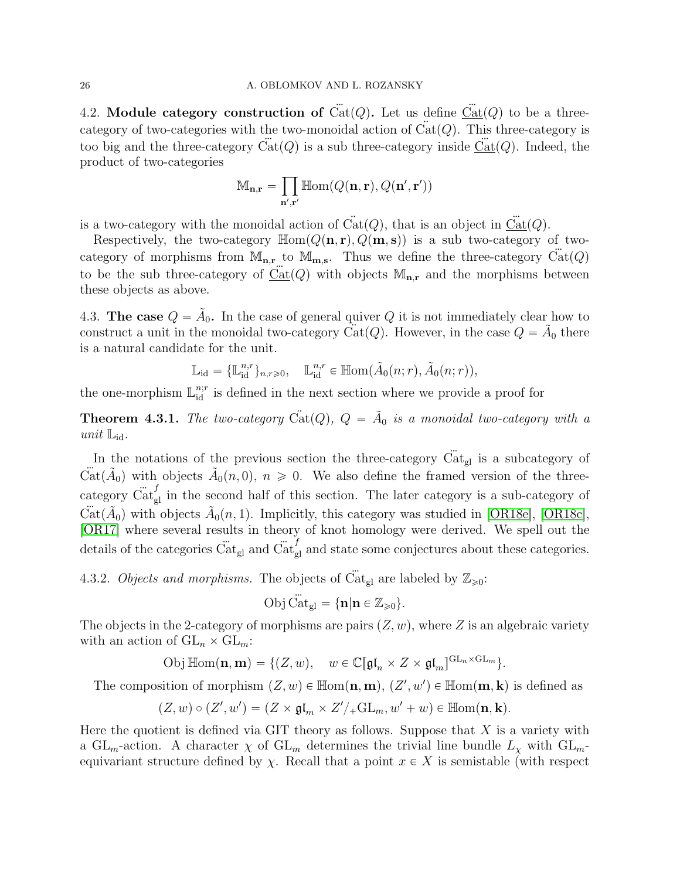4.2. Module category construction of  $\ddot{Cat}(Q)$ . Let us define  $\ddot{Cat}(Q)$  to be a threecategory of two-categories with the two-monoidal action of  $Cat(Q)$ . This three-category is too big and the three-category  $\text{Cat}(Q)$  is a sub three-category inside  $\text{Cat}(Q)$ . Indeed, the product of two-categories

$$
\mathbb{M}_{\mathbf{n},\mathbf{r}} = \prod_{\mathbf{n}',\mathbf{r}'} \mathbb{H}om(Q(\mathbf{n},\mathbf{r}),Q(\mathbf{n}',\mathbf{r}'))
$$

is a two-category with the monoidal action of  $\ddot{Cat}(Q)$ , that is an object in  $\underline{\ddot{Cat}}(Q)$ .

Respectively, the two-category  $\mathbb{H}\text{om}(Q(\mathbf{n}, \mathbf{r}), Q(\mathbf{m}, \mathbf{s}))$  is a sub two-category of twocategory of morphisms from  $\mathbb{M}_{n,r}$  to  $\mathbb{M}_{m,s}$ . Thus we define the three-category  $\ddot{Cat}(Q)$ to be the sub three-category of  $Cat(Q)$  with objects  $M_{n,r}$  and the morphisms between these objects as above.

4.3. The case  $Q = \tilde{A}_0$ . In the case of general quiver Q it is not immediately clear how to construct a unit in the monoidal two-category Cat(Q). However, in the case  $Q = \tilde{A}_0$  there is a natural candidate for the unit.

$$
\mathbb{L}_{\text{id}} = {\mathbb{L}_{\text{id}}^{n,r}}_{n,r \geq 0}, \quad \mathbb{L}_{\text{id}}^{n,r} \in \mathbb{H}(\tilde{A}_0(n;r), \tilde{A}_0(n;r)),
$$

the one-morphism  $\mathbb{L}_{\text{id}}^{n;r}$  is defined in the next section where we provide a proof for

<span id="page-25-0"></span>**Theorem 4.3.1.** The two-category  $\ddot{Cat}(Q)$ ,  $Q = \tilde{A}_0$  is a monoidal two-category with a unit  $\mathbb{L}_{\mathrm{id}}$ .

In the notations of the previous section the three-category  $\ddot{Cat}_{gl}$  is a subcategory of  $\ddot{Cat}(\tilde{A}_0)$  with objects  $\tilde{A}_0(n,0), n \geq 0$ . We also define the framed version of the threecategory  $\ddot{Cat}_{gl}^f$  in the second half of this section. The later category is a sub-category of  $\ddot{Cat}(\tilde{A}_0)$  with objects  $\tilde{A}_0(n,1)$ . Implicitly, this category was studied in [\[OR18e\]](#page-43-0), [\[OR18c\]](#page-43-5), [\[OR17\]](#page-42-20) where several results in theory of knot homology were derived. We spell out the details of the categories  $\ddot{\text{Cat}}_{\text{gl}}$  and  $\ddot{\text{Cat}}_{\text{gl}}^f$  and state some conjectures about these categories.

4.3.2. Objects and morphisms. The objects of Cat<sub>gl</sub> are labeled by  $\mathbb{Z}_{\geqslant 0}$ :

$$
\text{Obj}\,\ddot{\text{Cat}}_{\text{gl}} = \{\mathbf{n}|\mathbf{n} \in \mathbb{Z}_{\geq 0}\}.
$$

The objects in the 2-category of morphisms are pairs  $(Z, w)$ , where Z is an algebraic variety with an action of  $GL_n \times GL_m$ :

$$
\text{Obj}\,\mathbb{H}\text{om}(\mathbf{n},\mathbf{m})=\{(Z,w),\quad w\in\mathbb{C}[\mathfrak{gl}_n\times Z\times\mathfrak{gl}_m]^{\text{GL}_n\times\text{GL}_m}\}.
$$

The composition of morphism  $(Z, w) \in \mathbb{H}$ om $(\mathbf{n}, \mathbf{m}), (Z', w') \in \mathbb{H}$ om $(\mathbf{m}, \mathbf{k})$  is defined as

$$
(Z, w) \circ (Z', w') = (Z \times \mathfrak{gl}_m \times Z'/\mathfrak{gl}_m, w' + w) \in \mathbb{H}om(\mathbf{n}, \mathbf{k}).
$$

Here the quotient is defined via GIT theory as follows. Suppose that  $X$  is a variety with a GL<sub>m</sub>-action. A character  $\chi$  of GL<sub>m</sub> determines the trivial line bundle  $L_{\chi}$  with GL<sub>m</sub>equivariant structure defined by  $\chi$ . Recall that a point  $x \in X$  is semistable (with respect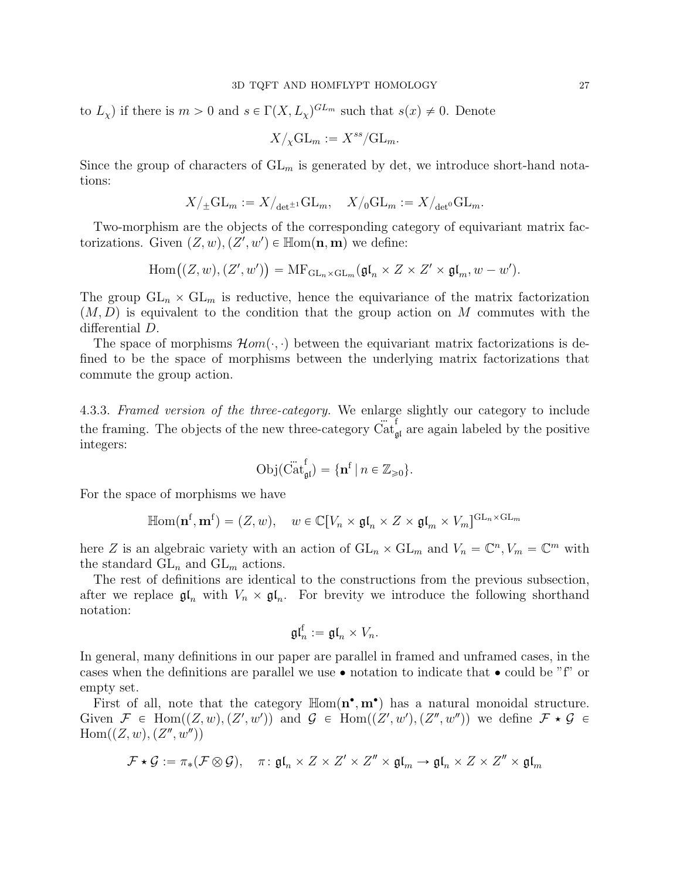to  $L_{\chi}$ ) if there is  $m > 0$  and  $s \in \Gamma(X, L_{\chi})^{GL_m}$  such that  $s(x) \neq 0$ . Denote

$$
X/\chi \mathrm{GL}_m := X^{ss}/\mathrm{GL}_m.
$$

Since the group of characters of  $GL_m$  is generated by det, we introduce short-hand notations:

$$
X/\pm\mathrm{GL}_m:=X/_{\det^{\pm 1}}\mathrm{GL}_m,\quad X/_0\mathrm{GL}_m:=X/_{\det^0}\mathrm{GL}_m.
$$

Two-morphism are the objects of the corresponding category of equivariant matrix factorizations. Given  $(Z, w), (Z', w') \in \mathbb{H}\text{om}(\mathbf{n}, \mathbf{m})$  we define:

$$
\mathrm{Hom}((Z,w),(Z',w')) = \mathrm{MF}_{\mathrm{GL}_n \times \mathrm{GL}_m}(\mathfrak{gl}_n \times Z \times Z' \times \mathfrak{gl}_m, w - w').
$$

The group  $GL_n \times GL_m$  is reductive, hence the equivariance of the matrix factorization  $(M, D)$  is equivalent to the condition that the group action on M commutes with the differential D.

The space of morphisms  $\mathcal{H}om(\cdot, \cdot)$  between the equivariant matrix factorizations is defined to be the space of morphisms between the underlying matrix factorizations that commute the group action.

4.3.3. Framed version of the three-category. We enlarge slightly our category to include the framing. The objects of the new three-category  $\tilde{Cat}^f_{\mathfrak{gl}}$  are again labeled by the positive integers:

$$
Obj(\ddot{Cat}_{\mathfrak{gl}}^f) = \{ \mathbf{n}^f \mid n \in \mathbb{Z}_{\geq 0} \}.
$$

For the space of morphisms we have

$$
\mathbb{H}\text{om}(\mathbf{n}^{\mathrm{f}}, \mathbf{m}^{\mathrm{f}}) = (Z, w), \quad w \in \mathbb{C}[V_n \times \mathfrak{gl}_n \times Z \times \mathfrak{gl}_m \times V_m]^{\mathrm{GL}_n \times \mathrm{GL}_m}
$$

here Z is an algebraic variety with an action of  $GL_n \times GL_m$  and  $V_n = \mathbb{C}^n$ ,  $V_m = \mathbb{C}^m$  with the standard  $GL_n$  and  $GL_m$  actions.

The rest of definitions are identical to the constructions from the previous subsection, after we replace  $\mathfrak{gl}_n$  with  $V_n \times \mathfrak{gl}_n$ . For brevity we introduce the following shorthand notation:

$$
\mathfrak{gl}_n^{\text{f}} := \mathfrak{gl}_n \times V_n.
$$

In general, many definitions in our paper are parallel in framed and unframed cases, in the cases when the definitions are parallel we use  $\bullet$  notation to indicate that  $\bullet$  could be "f" or empty set.

First of all, note that the category  $\text{Hom}(\mathbf{n}^{\bullet}, \mathbf{m}^{\bullet})$  has a natural monoidal structure. Given  $\mathcal{F} \in \text{Hom}((Z,w),(Z',w'))$  and  $\mathcal{G} \in \text{Hom}((Z',w'),(Z'',w''))$  we define  $\mathcal{F} \star \mathcal{G} \in$  $Hom((Z, w), (Z'', w''))$ 

$$
\mathcal{F} \star \mathcal{G} := \pi_* (\mathcal{F} \otimes \mathcal{G}), \quad \pi \colon \mathfrak{gl}_n \times Z \times Z' \times Z'' \times \mathfrak{gl}_m \to \mathfrak{gl}_n \times Z \times Z'' \times \mathfrak{gl}_m
$$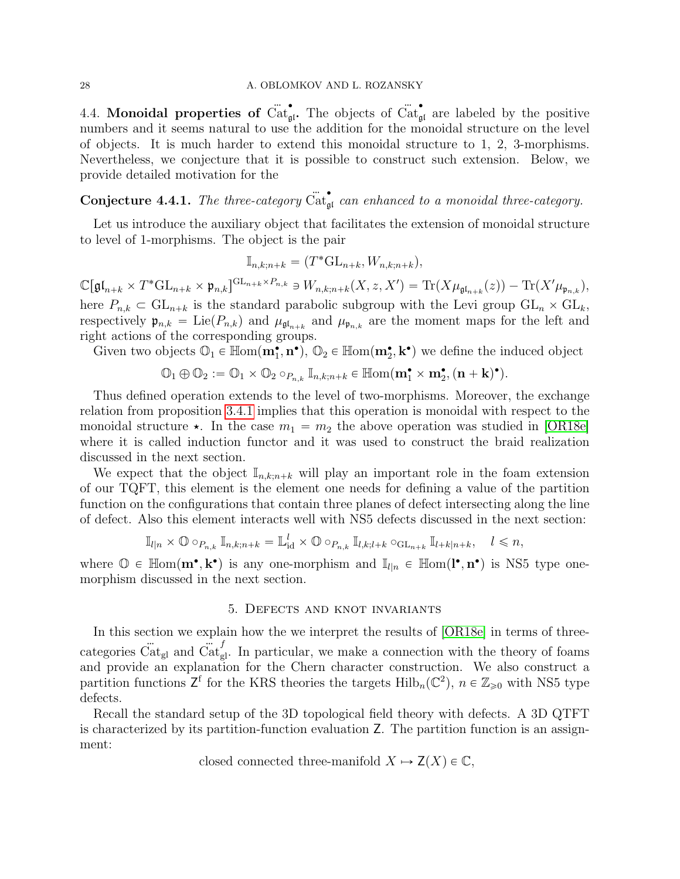#### 28 A. OBLOMKOV AND L. ROZANSKY

4.4. Monoidal properties of  $\tilde{\text{Cat}}_{\mathfrak{gl}}^{\bullet}$ . The objects of  $\tilde{\text{Cat}}_{\mathfrak{gl}}^{\bullet}$  are labeled by the positive numbers and it seems natural to use the addition for the monoidal structure on the level of objects. It is much harder to extend this monoidal structure to 1, 2, 3-morphisms. Nevertheless, we conjecture that it is possible to construct such extension. Below, we provide detailed motivation for the

# **Conjecture 4.4.1.** The three-category  $\ddot{Cat}_{gl}^{\bullet}$  can enhanced to a monoidal three-category.

Let us introduce the auxiliary object that facilitates the extension of monoidal structure to level of 1-morphisms. The object is the pair

$$
\mathbb{I}_{n,k;n+k} = (T^* \mathbf{GL}_{n+k}, W_{n,k;n+k}),
$$

 $\mathbb{C}[\mathfrak{gl}_{n+k} \times T^* \mathrm{GL}_{n+k} \times \mathfrak{p}_{n,k}]^{\mathrm{GL}_{n+k} \times P_{n,k}} \ni W_{n,k;n+k}(X,z,X') = \mathrm{Tr}(X \mu_{\mathfrak{gl}_{n+k}}(z)) - \mathrm{Tr}(X' \mu_{\mathfrak{p}_{n,k}}),$ here  $P_{n,k} \subset GL_{n+k}$  is the standard parabolic subgroup with the Levi group  $GL_n \times GL_k$ , respectively  $\mathfrak{p}_{n,k} = \text{Lie}(P_{n,k})$  and  $\mu_{\mathfrak{gl}_{n+k}}$  and  $\mu_{\mathfrak{p}_{n,k}}$  are the moment maps for the left and right actions of the corresponding groups.

Given two objects  $\mathbb{O}_1 \in \mathbb{H}$ om $(m_1^{\bullet}, n^{\bullet}), \mathbb{O}_2 \in \mathbb{H}$ om $(m_2^{\bullet}, k^{\bullet})$  we define the induced object

$$
\mathbb{O}_1 \oplus \mathbb{O}_2 := \mathbb{O}_1 \times \mathbb{O}_2 \circ_{P_{n,k}} \mathbb{I}_{n,k;n+k} \in \mathbb{H}om(\mathbf{m}_1^{\bullet} \times \mathbf{m}_2^{\bullet}, (\mathbf{n} + \mathbf{k})^{\bullet}).
$$

Thus defined operation extends to the level of two-morphisms. Moreover, the exchange relation from proposition [3.4.1](#page-12-0) implies that this operation is monoidal with respect to the monoidal structure  $\star$ . In the case  $m_1 = m_2$  the above operation was studied in [\[OR18e\]](#page-43-0) where it is called induction functor and it was used to construct the braid realization discussed in the next section.

We expect that the object  $\mathbb{I}_{n,k;n+k}$  will play an important role in the foam extension of our TQFT, this element is the element one needs for defining a value of the partition function on the configurations that contain three planes of defect intersecting along the line of defect. Also this element interacts well with NS5 defects discussed in the next section:

$$
\mathbb{I}_{l|n} \times \mathbb{O} \circ_{P_{n,k}} \mathbb{I}_{n,k;n+k} = \mathbb{L}_{\text{id}}^l \times \mathbb{O} \circ_{P_{n,k}} \mathbb{I}_{l,k;l+k} \circ_{\text{GL}_{n+k}} \mathbb{I}_{l+k|n+k}, \quad l \leq n,
$$

where  $\mathbb{O} \in \mathbb{H}$ om $(\mathbf{m}^{\bullet}, \mathbf{k}^{\bullet})$  is any one-morphism and  $\mathbb{I}_{l|n} \in \mathbb{H}$ om $(l^{\bullet}, \mathbf{n}^{\bullet})$  is NS5 type onemorphism discussed in the next section.

# 5. Defects and knot invariants

<span id="page-27-0"></span>In this section we explain how the we interpret the results of [\[OR18e\]](#page-43-0) in terms of threecategories  $\ddot{Cat}_{gl}$  and  $\ddot{Cat}_{gl}^f$ . In particular, we make a connection with the theory of foams and provide an explanation for the Chern character construction. We also construct a partition functions  $Z^f$  for the KRS theories the targets  $\text{Hilb}_n(\mathbb{C}^2)$ ,  $n \in \mathbb{Z}_{\geq 0}$  with NS5 type defects.

Recall the standard setup of the 3D topological field theory with defects. A 3D QTFT is characterized by its partition-function evaluation Z. The partition function is an assignment:

closed connected three-manifold  $X \mapsto Z(X) \in \mathbb{C}$ ,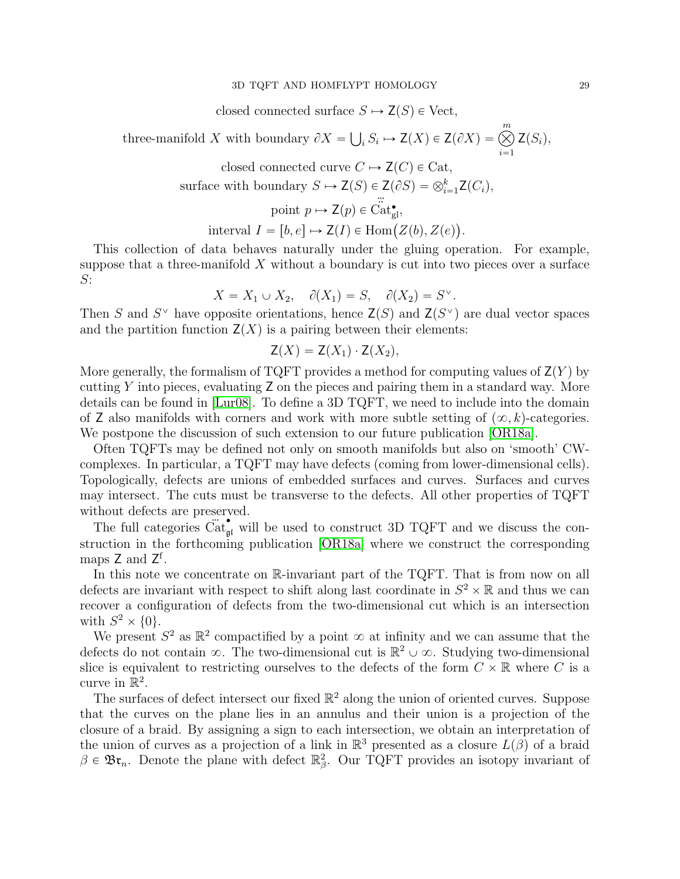#### 3D TQFT AND HOMFLYPT HOMOLOGY 29

closed connected surface  $S \mapsto Z(S) \in \text{Vect}$ ,

three-manifold X with boundary  $\partial X =$  $i_s S_i \mapsto Z(X) \in Z(\partial X) = \bigotimes^m$  $i=1$  $Z(S_i),$ 

> closed connected curve  $C \mapsto Z(C) \in \text{Cat}$ , surface with boundary  $S \mapsto Z(S) \in Z(\partial S) = \bigotimes_{i=1}^k Z(C_i)$ ,

> > point  $p \mapsto Z(p) \in \operatorname{Cat}_{\mathrm{gl}}^{\bullet}$ ,

interval  $I = [b, e] \mapsto Z(I) \in \text{Hom}(Z(b), Z(e))$ .

This collection of data behaves naturally under the gluing operation. For example, suppose that a three-manifold  $X$  without a boundary is cut into two pieces over a surface  $S$ :

$$
X = X_1 \cup X_2, \quad \partial(X_1) = S, \quad \partial(X_2) = S^{\vee}.
$$

Then S and  $S^{\vee}$  have opposite orientations, hence  $\mathsf{Z}(S)$  and  $\mathsf{Z}(S^{\vee})$  are dual vector spaces and the partition function  $Z(X)$  is a pairing between their elements:

$$
\mathsf{Z}(X) = \mathsf{Z}(X_1) \cdot \mathsf{Z}(X_2),
$$

More generally, the formalism of TQFT provides a method for computing values of  $Z(Y)$  by cutting Y into pieces, evaluating  $Z$  on the pieces and pairing them in a standard way. More details can be found in [\[Lur08\]](#page-42-21). To define a 3D TQFT, we need to include into the domain of Z also manifolds with corners and work with more subtle setting of  $(\infty, k)$ -categories. We postpone the discussion of such extension to our future publication [\[OR18a\]](#page-42-22).

Often TQFTs may be defined not only on smooth manifolds but also on 'smooth' CWcomplexes. In particular, a TQFT may have defects (coming from lower-dimensional cells). Topologically, defects are unions of embedded surfaces and curves. Surfaces and curves may intersect. The cuts must be transverse to the defects. All other properties of TQFT without defects are preserved.

The full categories  $\ddot{\text{Cat}}_{\text{gt}}^{\bullet}$  will be used to construct 3D TQFT and we discuss the construction in the forthcoming publication [\[OR18a\]](#page-42-22) where we construct the corresponding maps Z and Z<sup>f</sup>.

In this note we concentrate on R-invariant part of the TQFT. That is from now on all defects are invariant with respect to shift along last coordinate in  $S^2 \times \mathbb{R}$  and thus we can recover a configuration of defects from the two-dimensional cut which is an intersection with  $S^2 \times \{0\}.$ 

We present  $S^2$  as  $\mathbb{R}^2$  compactified by a point  $\infty$  at infinity and we can assume that the defects do not contain  $\infty$ . The two-dimensional cut is  $\mathbb{R}^2 \cup \infty$ . Studying two-dimensional slice is equivalent to restricting ourselves to the defects of the form  $C \times \mathbb{R}$  where C is a curve in  $\mathbb{R}^2$ .

The surfaces of defect intersect our fixed  $\mathbb{R}^2$  along the union of oriented curves. Suppose that the curves on the plane lies in an annulus and their union is a projection of the closure of a braid. By assigning a sign to each intersection, we obtain an interpretation of the union of curves as a projection of a link in  $\mathbb{R}^3$  presented as a closure  $L(\beta)$  of a braid  $\beta \in \mathfrak{Br}_n$ . Denote the plane with defect  $\mathbb{R}^2_\beta$ . Our TQFT provides an isotopy invariant of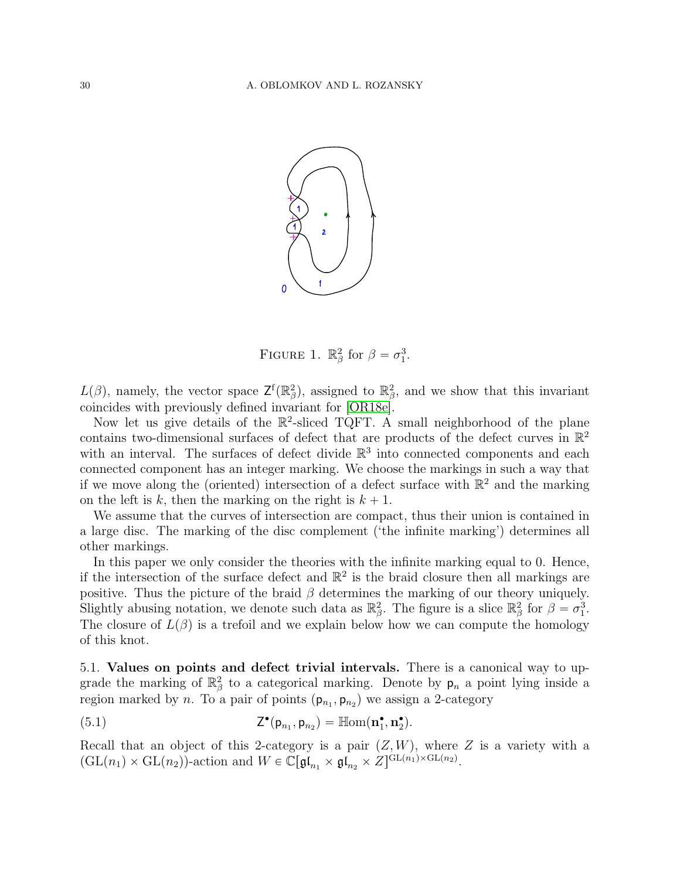

FIGURE 1.  $\mathbb{R}_{\beta}^2$  for  $\beta = \sigma_1^3$ .

 $L(\beta)$ , namely, the vector space  $\mathsf{Z}^{\mathsf{f}}(\mathbb{R}_{\beta}^2)$ , assigned to  $\mathbb{R}_{\beta}^2$ , and we show that this invariant coincides with previously defined invariant for [\[OR18e\]](#page-43-0).

Now let us give details of the  $\mathbb{R}^2$ -sliced TQFT. A small neighborhood of the plane contains two-dimensional surfaces of defect that are products of the defect curves in  $\mathbb{R}^2$ with an interval. The surfaces of defect divide  $\mathbb{R}^3$  into connected components and each connected component has an integer marking. We choose the markings in such a way that if we move along the (oriented) intersection of a defect surface with  $\mathbb{R}^2$  and the marking on the left is k, then the marking on the right is  $k + 1$ .

We assume that the curves of intersection are compact, thus their union is contained in a large disc. The marking of the disc complement ('the infinite marking') determines all other markings.

In this paper we only consider the theories with the infinite marking equal to 0. Hence, if the intersection of the surface defect and  $\mathbb{R}^2$  is the braid closure then all markings are positive. Thus the picture of the braid  $\beta$  determines the marking of our theory uniquely. Slightly abusing notation, we denote such data as  $\mathbb{R}^2_\beta$ . The figure is a slice  $\mathbb{R}^2_\beta$  for  $\beta = \sigma_1^3$ . The closure of  $L(\beta)$  is a trefoil and we explain below how we can compute the homology of this knot.

5.1. Values on points and defect trivial intervals. There is a canonical way to upgrade the marking of  $\mathbb{R}^2_\beta$  to a categorical marking. Denote by  $p_n$  a point lying inside a region marked by *n*. To a pair of points  $(p_{n_1}, p_{n_2})$  we assign a 2-category

<span id="page-29-0"></span>(5.1) 
$$
Z^{\bullet}(p_{n_1}, p_{n_2}) = \mathbb{H}om(\mathbf{n}_1^{\bullet}, \mathbf{n}_2^{\bullet}).
$$

Recall that an object of this 2-category is a pair  $(Z, W)$ , where Z is a variety with a  $(\mathrm{GL}(n_1) \times \mathrm{GL}(n_2))$ -action and  $W \in \mathbb{C}[\mathfrak{gl}_{n_1} \times \mathfrak{gl}_{n_2} \times Z]^{\mathrm{GL}(n_1) \times \mathrm{GL}(n_2)}$ .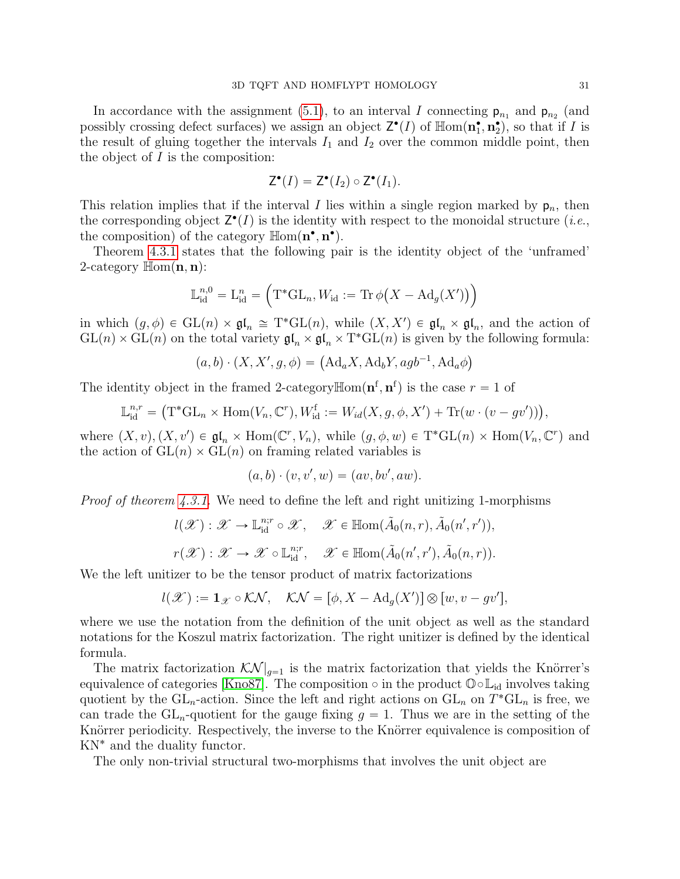In accordance with the assignment [\(5.1\)](#page-29-0), to an interval I connecting  $p_{n_1}$  and  $p_{n_2}$  (and possibly crossing defect surfaces) we assign an object  $\mathsf{Z}^{\bullet}(I)$  of  $\mathbb{H}\text{om}(\mathbf{n}_1^{\bullet}, \mathbf{n}_2^{\bullet})$ , so that if I is the result of gluing together the intervals  $I_1$  and  $I_2$  over the common middle point, then the object of  $I$  is the composition:

$$
\mathsf{Z}^{\bullet}(I)=\mathsf{Z}^{\bullet}(I_2)\circ\mathsf{Z}^{\bullet}(I_1).
$$

This relation implies that if the interval I lies within a single region marked by  $p_n$ , then the corresponding object  $\mathsf{Z}^{\bullet}(I)$  is the identity with respect to the monoidal structure (*i.e.*, the composition) of the category  $\mathbb{H}\text{om}(\mathbf{n}^{\bullet}, \mathbf{n}^{\bullet})$ .

Theorem [4.3.1](#page-25-0) states that the following pair is the identity object of the 'unframed' 2-category  $\mathbb{H}\text{om}(\mathbf{n},\mathbf{n})$ :  $\mathbf{r}$ ji<br>Li

$$
\mathbb{L}_{\mathrm{id}}^{n,0} = \mathbb{L}_{\mathrm{id}}^n = \left( \mathrm{T}^* \mathrm{GL}_n, W_{\mathrm{id}} := \mathrm{Tr} \, \phi \big( X - \mathrm{Ad}_g(X') \big) \right)
$$

in which  $(g, \phi) \in GL(n) \times \mathfrak{gl}_n \cong T^*GL(n)$ , while  $(X, X') \in \mathfrak{gl}_n \times \mathfrak{gl}_n$ , and the action of  $GL(n) \times GL(n)$  on the total variety  $\mathfrak{gl}_n \times \mathfrak{gl}_n \times T^*GL(n)$  is given by the following formula:

$$
(a,b) \cdot (X, X', g, \phi) = (Ad_a X, Ad_b Y, agb^{-1}, Ad_a \phi)
$$

The identity object in the framed 2-category  $\mathbb{H}$ om $(\mathbf{n}^f, \mathbf{n}^f)$  is the case  $r = 1$  of

$$
\mathbb{L}_{\mathrm{id}}^{n,r} = \big(\mathrm{T}^*\mathrm{GL}_n \times \mathrm{Hom}(V_n, \mathbb{C}^r), W_{\mathrm{id}}^{\mathrm{f}} := W_{id}(X, g, \phi, X') + \mathrm{Tr}(w \cdot (v - gv'))\big),
$$

where  $(X, v), (X, v') \in \mathfrak{gl}_n \times \text{Hom}(\mathbb{C}^r, V_n)$ , while  $(g, \phi, w) \in \text{T}^*\text{GL}(n) \times \text{Hom}(V_n, \mathbb{C}^r)$  and the action of  $GL(n) \times GL(n)$  on framing related variables is

$$
(a,b)\cdot(v,v',w)=(av,bv',aw).
$$

*Proof of theorem [4.3.1.](#page-25-0)* We need to define the left and right unitizing 1-morphisms

$$
l(\mathscr{X}) : \mathscr{X} \to \mathbb{L}_{\text{id}}^{n;r} \circ \mathscr{X}, \quad \mathscr{X} \in \mathbb{H}^{\text{dom}}(\tilde{A}_0(n,r), \tilde{A}_0(n',r')),
$$

$$
r(\mathscr{X}) : \mathscr{X} \to \mathscr{X} \circ \mathbb{L}_{\text{id}}^{n;r}, \quad \mathscr{X} \in \mathbb{H}^{\text{dom}}(\tilde{A}_0(n',r'), \tilde{A}_0(n,r)).
$$

We the left unitizer to be the tensor product of matrix factorizations

$$
l(\mathscr{X}) := \mathbf{1}_{\mathscr{X}} \circ \mathcal{KN}, \quad \mathcal{KN} = [\phi, X - \mathrm{Ad}_g(X')] \otimes [w, v - gv'],
$$

where we use the notation from the definition of the unit object as well as the standard notations for the Koszul matrix factorization. The right unitizer is defined by the identical formula.

The matrix factorization  $\mathcal{K}\mathcal{N}|_{q=1}$  is the matrix factorization that yields the Knörrer's equivalence of categories [\[Kno87\]](#page-42-12). The composition  $\circ$  in the product  $\mathbb{O} \circ \mathbb{L}_{id}$  involves taking quotient by the  $GL_n$ -action. Since the left and right actions on  $GL_n$  on  $T^*GL_n$  is free, we can trade the  $GL_n$ -quotient for the gauge fixing  $g = 1$ . Thus we are in the setting of the Knörrer periodicity. Respectively, the inverse to the Knörrer equivalence is composition of KN˚ and the duality functor.

The only non-trivial structural two-morphisms that involves the unit object are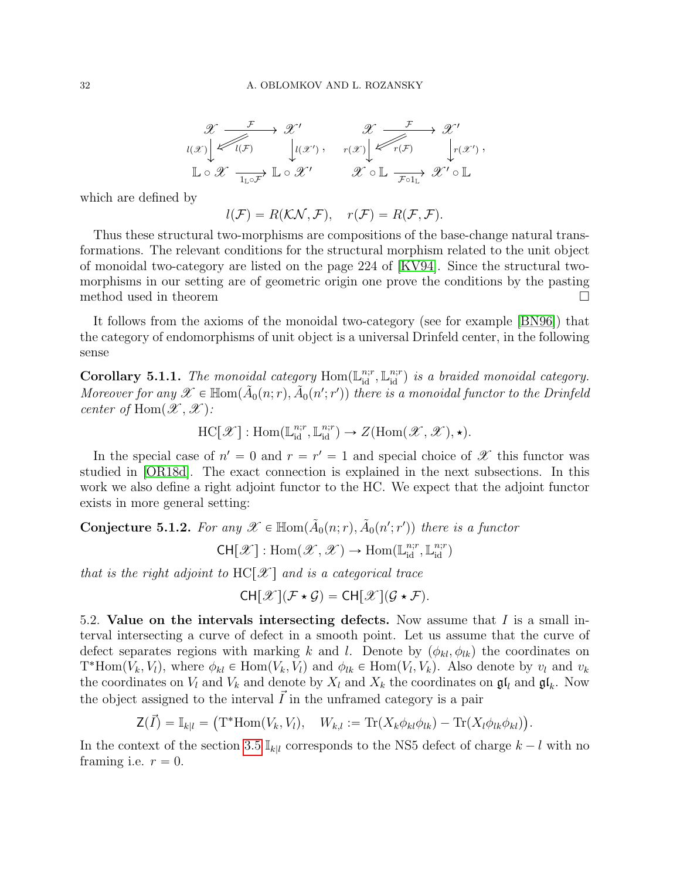$$
\mathscr{X} \xrightarrow{\mathcal{F}} \mathscr{X}' \xrightarrow{\mathscr{X}} \mathscr{X} \xrightarrow{\mathcal{F}} \mathscr{X}'
$$
  

$$
\iota(x) \swarrow \iota(x) \xrightarrow{\mathcal{F}} \iota(x') , \quad r(x) \swarrow \iota(x) \xrightarrow{\mathcal{F}} \iota(x') ,
$$
  

$$
\mathbb{L} \circ \mathscr{X} \xrightarrow{\mathcal{T}} \mathbb{L} \circ \mathscr{X}' \qquad \mathscr{X} \circ \mathbb{L} \xrightarrow{\mathcal{F} \circ 1_{\mathbb{L}}} \mathscr{X}' \circ \mathbb{L}
$$

which are defined by

$$
l(\mathcal{F}) = R(\mathcal{K}\mathcal{N}, \mathcal{F}), \quad r(\mathcal{F}) = R(\mathcal{F}, \mathcal{F}).
$$

Thus these structural two-morphisms are compositions of the base-change natural transformations. The relevant conditions for the structural morphism related to the unit object of monoidal two-category are listed on the page 224 of [\[KV94\]](#page-42-2). Since the structural twomorphisms in our setting are of geometric origin one prove the conditions by the pasting method used in theorem

It follows from the axioms of the monoidal two-category (see for example [\[BN96\]](#page-42-17)) that the category of endomorphisms of unit object is a universal Drinfeld center, in the following sense

<span id="page-31-0"></span>Corollary 5.1.1. The monoidal category  $\text{Hom}(\mathbb{L}^{n;r}_{\text{id}}, \mathbb{L}^{n;r}_{\text{id}})$  is a braided monoidal category. Moreover for any  $\mathscr{X} \in \mathbb{H}$ om $(\tilde{A}_0(n;r), \tilde{A}_0(n';r'))$  there is a monoidal functor to the Drinfeld center of Hom $(\mathscr{X}, \mathscr{X})$ :

 $\mathrm{HC}[\mathscr{X}] : \mathrm{Hom}(\mathbb{L}_{\mathrm{id}}^{n;r}, \mathbb{L}_{\mathrm{id}}^{n;r}) \to Z(\mathrm{Hom}(\mathscr{X}, \mathscr{X}), \star).$ 

In the special case of  $n' = 0$  and  $r = r' = 1$  and special choice of  $\mathscr X$  this functor was studied in [\[OR18d\]](#page-43-2). The exact connection is explained in the next subsections. In this work we also define a right adjoint functor to the HC. We expect that the adjoint functor exists in more general setting:

<span id="page-31-1"></span>**Conjecture 5.1.2.** For any  $\mathscr{X} \in \mathbb{H}$ om $(\tilde{A}_0(n;r), \tilde{A}_0(n';r'))$  there is a functor

 $\mathsf{CH}[\mathscr{X}] : \mathrm{Hom}(\mathscr{X}, \mathscr{X}) \to \mathrm{Hom}(\mathbb{L}^{n;r}_{\mathrm{id}}, \mathbb{L}^{n;r}_{\mathrm{id}})$ 

that is the right adjoint to  $HC[X]$  and is a categorical trace

$$
CH[\mathscr{X}](\mathcal{F} \star \mathcal{G}) = CH[\mathscr{X}](\mathcal{G} \star \mathcal{F}).
$$

5.2. Value on the intervals intersecting defects. Now assume that  $I$  is a small interval intersecting a curve of defect in a smooth point. Let us assume that the curve of defect separates regions with marking k and l. Denote by  $(\phi_{kl}, \phi_{lk})$  the coordinates on  $T^*{\text{Hom}}(V_k, V_l)$ , where  $\phi_{kl} \in {\text{Hom}}(V_k, V_l)$  and  $\phi_{lk} \in {\text{Hom}}(V_l, V_k)$ . Also denote by  $v_l$  and  $v_k$ the coordinates on  $V_l$  and  $V_k$  and denote by  $X_l$  and  $X_k$  the coordinates on  $\mathfrak{gl}_l$  and  $\mathfrak{gl}_k$ . Now the object assigned to the interval  $\vec{I}$  in the unframed category is a pair

$$
\mathsf{Z}(\vec{I}) = \mathbb{I}_{k|l} = (\mathrm{T}^* \mathrm{Hom}(V_k, V_l), \quad W_{k,l} := \mathrm{Tr}(X_k \phi_{kl} \phi_{lk}) - \mathrm{Tr}(X_l \phi_{lk} \phi_{kl})).
$$

In the context of the section [3.5](#page-14-2)  $\mathbb{I}_{kl}$  corresponds to the NS5 defect of charge  $k - l$  with no framing i.e.  $r = 0$ .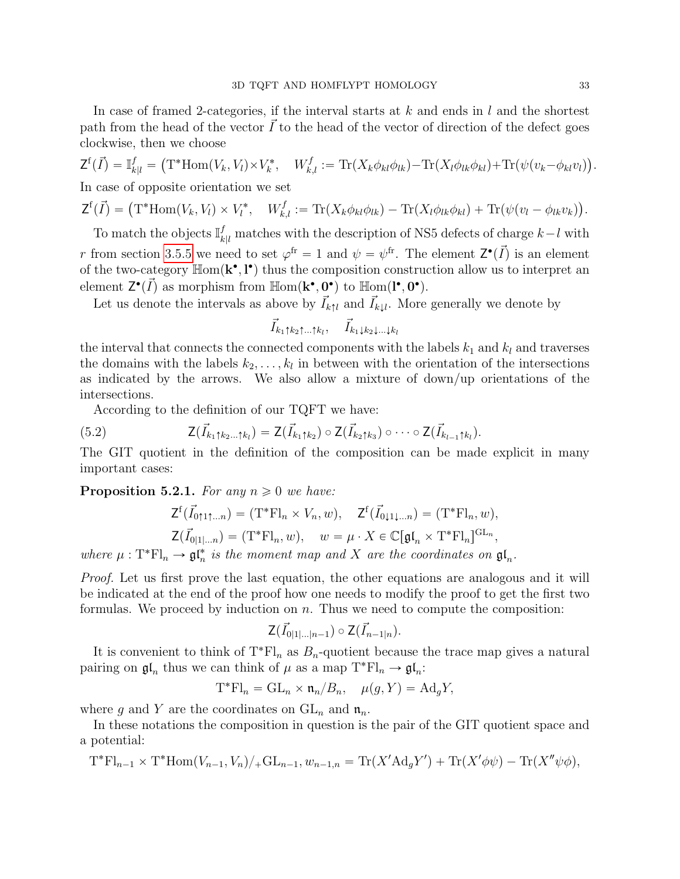In case of framed 2-categories, if the interval starts at  $k$  and ends in  $l$  and the shortest path from the head of the vector  $\tilde{I}$  to the head of the vector of direction of the defect goes clockwise, then we choose

$$
\mathsf{Z}^{\mathsf{f}}(\vec{I}) = \mathbb{I}_{k|l}^{f} = (\mathsf{T}^{*}\text{Hom}(V_{k}, V_{l}) \times V_{k}^{*}, \quad W_{k,l}^{f} := \text{Tr}(X_{k}\phi_{kl}\phi_{lk}) - \text{Tr}(X_{l}\phi_{lk}\phi_{kl}) + \text{Tr}(\psi(v_{k} - \phi_{kl}v_{l})).
$$
  
In case of opposite orientation we set

$$
\mathsf{Z}^{\mathbf{f}}(\vec{I}) = (\mathsf{T}^*\text{Hom}(V_k, V_l) \times V_l^*, \quad W_{k,l}^f := \text{Tr}(X_k\phi_{kl}\phi_{lk}) - \text{Tr}(X_l\phi_{lk}\phi_{kl}) + \text{Tr}(\psi(v_l - \phi_{lk}v_k)).
$$

To match the objects  $\mathbb{I}_{k|l}^f$  matches with the description of NS5 defects of charge  $k-l$  with r from section [3.5.5](#page-18-2) we need to set  $\varphi^{\text{fr}} = 1$  and  $\psi = \psi^{\text{fr}}$ . The element  $\mathsf{Z}^{\bullet}(\vec{I})$  is an element of the two-category  $\mathbb{H}$ om $(\mathbf{k}^{\bullet}, \mathbf{l}^{\bullet})$  thus the composition construction allow us to interpret an element  $Z^{\bullet}(\vec{I})$  as morphism from  $\mathbb{H}$ om $(\mathbf{k}^{\bullet}, 0^{\bullet})$  to  $\mathbb{H}$ om $(\mathbf{l}^{\bullet}, 0^{\bullet})$ .

Let us denote the intervals as above by  $\vec{I}_{k\uparrow l}$  and  $\vec{I}_{k\downarrow l}$ . More generally we denote by

$$
\vec{I}_{k_1\uparrow k_2\uparrow\ldots\uparrow k_l},\quad \vec{I}_{k_1\downarrow k_2\downarrow\ldots\downarrow k_l}
$$

the interval that connects the connected components with the labels  $k_1$  and  $k_l$  and traverses the domains with the labels  $k_2, \ldots, k_l$  in between with the orientation of the intersections as indicated by the arrows. We also allow a mixture of down/up orientations of the intersections.

According to the definition of our TQFT we have:

(5.2) 
$$
\mathsf{Z}(\vec{I}_{k_1\uparrow k_2\ldots\uparrow k_l}) = \mathsf{Z}(\vec{I}_{k_1\uparrow k_2}) \circ \mathsf{Z}(\vec{I}_{k_2\uparrow k_3}) \circ \cdots \circ \mathsf{Z}(\vec{I}_{k_{l-1}\uparrow k_l}).
$$

The GIT quotient in the definition of the composition can be made explicit in many important cases:

<span id="page-32-0"></span>**Proposition 5.2.1.** For any  $n \geq 0$  we have:

$$
\mathsf{Z}^{\mathsf{f}}(\vec{I}_{0\uparrow 1\uparrow \dots n}) = (\mathrm{T}^*\mathrm{Fl}_n \times V_n, w), \quad \mathsf{Z}^{\mathsf{f}}(\vec{I}_{0\downarrow 1\downarrow \dots n}) = (\mathrm{T}^*\mathrm{Fl}_n, w), \mathsf{Z}(\vec{I}_{0\downarrow 1\downarrow \dots n}) = (\mathrm{T}^*\mathrm{Fl}_n, w), \quad w = \mu \cdot X \in \mathbb{C}[\mathfrak{gl}_n \times \mathrm{T}^*\mathrm{Fl}_n]^{\mathrm{GL}_n},
$$

where  $\mu: T^*Fl_n \to \mathfrak{gl}_n^*$  is the moment map and X are the coordinates on  $\mathfrak{gl}_n$ .

Proof. Let us first prove the last equation, the other equations are analogous and it will be indicated at the end of the proof how one needs to modify the proof to get the first two formulas. We proceed by induction on  $n$ . Thus we need to compute the composition:

$$
\mathsf{Z}(\vec{I}_{0|1|\ldots|n-1})\circ\mathsf{Z}(\vec{I}_{n-1|n}).
$$

It is convenient to think of  $T^*Fl_n$  as  $B_n$ -quotient because the trace map gives a natural pairing on  $\mathfrak{gl}_n$  thus we can think of  $\mu$  as a map  $T^*Fl_n \to \mathfrak{gl}_n$ :

$$
\mathbf{T}^* \mathbf{Fl}_n = \mathrm{GL}_n \times \mathfrak{n}_n / B_n, \quad \mu(g, Y) = \mathrm{Ad}_g Y,
$$

where g and Y are the coordinates on  $GL_n$  and  $\mathfrak{n}_n$ .

In these notations the composition in question is the pair of the GIT quotient space and a potential:

$$
T^*Fl_{n-1} \times T^*Hom(V_{n-1}, V_n)/_+GL_{n-1}, w_{n-1,n} = Tr(X'Ad_g Y') + Tr(X'\phi\psi) - Tr(X''\psi\phi),
$$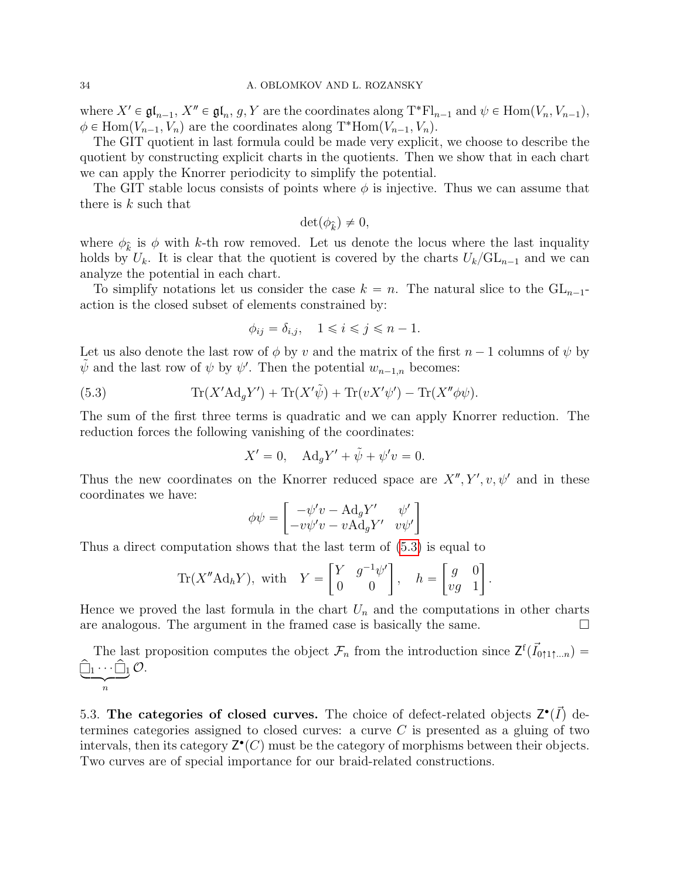where  $X' \in \mathfrak{gl}_{n-1}$ ,  $X'' \in \mathfrak{gl}_n$ ,  $g, Y$  are the coordinates along  $T^*Fl_{n-1}$  and  $\psi \in \text{Hom}(V_n, V_{n-1}),$  $\phi \in \text{Hom}(V_{n-1}, V_n)$  are the coordinates along T<sup>\*</sup>Hom $(V_{n-1}, V_n)$ .

The GIT quotient in last formula could be made very explicit, we choose to describe the quotient by constructing explicit charts in the quotients. Then we show that in each chart we can apply the Knorrer periodicity to simplify the potential.

The GIT stable locus consists of points where  $\phi$  is injective. Thus we can assume that there is  $k$  such that

$$
\det(\phi_{\widehat{k}}) \neq 0,
$$

where  $\phi_{\hat{k}}$  is  $\phi$  with k-th row removed. Let us denote the locus where the last inquality holds by  $U_k$ . It is clear that the quotient is covered by the charts  $U_k/\mathrm{GL}_{n-1}$  and we can analyze the potential in each chart.

To simplify notations let us consider the case  $k = n$ . The natural slice to the  $GL_{n-1}$ action is the closed subset of elements constrained by:

<span id="page-33-1"></span>
$$
\phi_{ij} = \delta_{i,j}, \quad 1 \leqslant i \leqslant j \leqslant n-1.
$$

Let us also denote the last row of  $\phi$  by v and the matrix of the first  $n - 1$  columns of  $\psi$  by  $\tilde{\psi}$  and the last row of  $\psi$  by  $\psi'$ . Then the potential  $w_{n-1,n}$  becomes:

(5.3) 
$$
\text{Tr}(X'\text{Ad}_g Y') + \text{Tr}(X'\tilde{\psi}) + \text{Tr}(vX'\psi') - \text{Tr}(X''\phi\psi).
$$

The sum of the first three terms is quadratic and we can apply Knorrer reduction. The reduction forces the following vanishing of the coordinates:

$$
X' = 0, \quad \text{Ad}_g Y' + \tilde{\psi} + \psi' v = 0.
$$

Thus the new coordinates on the Knorrer reduced space are  $X'', Y', v, \psi'$  and in these coordinates we have: " 

$$
\phi\psi = \begin{bmatrix} -\psi'v - \mathrm{Ad}_gY' & \psi' \\ -v\psi'v - v\mathrm{Ad}_gY' & v\psi' \end{bmatrix}
$$

Thus a direct computation shows that the last term of [\(5.3\)](#page-33-1) is equal to  $\frac{1}{\sqrt{2}}$   $\frac{1}{\sqrt{2}}$   $\frac{1}{\sqrt{2}}$   $\frac{1}{\sqrt{2}}$   $\frac{1}{\sqrt{2}}$ 

Tr(*X*"Ad<sub>h</sub>*Y*), with 
$$
Y = \begin{bmatrix} Y & g^{-1}\psi' \\ 0 & 0 \end{bmatrix}
$$
,  $h = \begin{bmatrix} g & 0 \\ vg & 1 \end{bmatrix}$ .

Hence we proved the last formula in the chart  $U_n$  and the computations in other charts are analogous. The argument in the framed case is basically the same.  $\Box$ 

The last proposition computes the object  $\mathcal{F}_n$  from the introduction since  $\mathsf{Z}^{\mathsf{f}}(\vec{I}_{0\uparrow 1\uparrow ...n}) =$  $\hat{\Box}_1 \cdots \hat{\Box}_1$ n  $\mathcal{O}.$ 

<span id="page-33-0"></span>5.3. The categories of closed curves. The choice of defect-related objects  $Z^{\bullet}(\vec{I})$  determines categories assigned to closed curves: a curve  $C$  is presented as a gluing of two intervals, then its category  $\mathsf{Z}^\bullet(C)$  must be the category of morphisms between their objects. Two curves are of special importance for our braid-related constructions.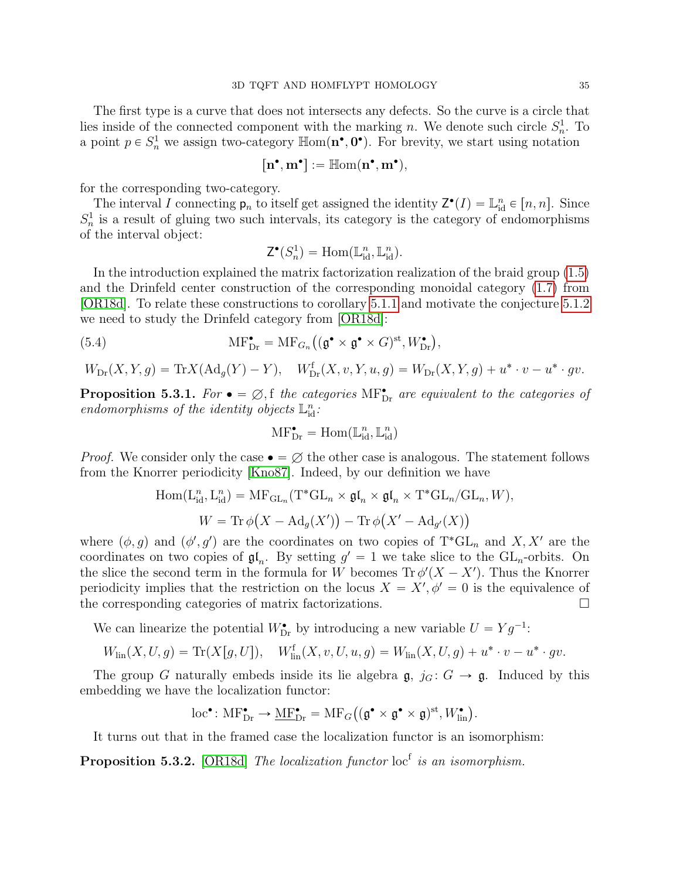The first type is a curve that does not intersects any defects. So the curve is a circle that lies inside of the connected component with the marking n. We denote such circle  $S_n^1$ . To a point  $p \in S_n^1$  we assign two-category  $\mathbb{H}$ om $(\mathbf{n}^{\bullet}, \mathbf{0}^{\bullet})$ . For brevity, we start using notation

$$
\big[n^\bullet,m^\bullet\big]:=\mathbb{H}\mathrm{om}(n^\bullet,m^\bullet),
$$

for the corresponding two-category.

The interval I connecting  $p_n$  to itself get assigned the identity  $Z^{\bullet}(I) = \mathbb{L}^n_{\text{id}} \in [n, n]$ . Since  $S_n^1$  is a result of gluing two such intervals, its category is the category of endomorphisms of the interval object:

<span id="page-34-0"></span>
$$
\mathsf{Z}^{\bullet}(S_n^1) = \mathrm{Hom}(\mathbb{L}^n_{\mathrm{id}}, \mathbb{L}^n_{\mathrm{id}}).
$$

In the introduction explained the matrix factorization realization of the braid group [\(1.5\)](#page-2-1) and the Drinfeld center construction of the corresponding monoidal category [\(1.7\)](#page-3-4) from [\[OR18d\]](#page-43-2). To relate these constructions to corollary [5.1.1](#page-31-0) and motivate the conjecture [5.1.2](#page-31-1) we need to study the Drinfeld category from [\[OR18d\]](#page-43-2): `

(5.4) 
$$
\mathrm{MF}_{\mathrm{Dr}}^{\bullet} = \mathrm{MF}_{G_n}((\mathfrak{g}^{\bullet} \times \mathfrak{g}^{\bullet} \times G)^{\mathrm{st}}, W_{\mathrm{Dr}}^{\bullet}),
$$

$$
W_{\mathrm{Dr}}(X,Y,g)=\mathrm{Tr}X(\mathrm{Ad}_g(Y)-Y),\quad W_{\mathrm{Dr}}^{\mathrm{f}}(X,v,Y,u,g)=W_{\mathrm{Dr}}(X,Y,g)+u^*\cdot v-u^*\cdot gv.
$$

**Proposition 5.3.1.** For  $\bullet = \emptyset$ , f the categories MF<sub>Dr</sub> are equivalent to the categories of endomorphisms of the identity objects  $\mathbb{L}_{id}^n$ :

$$
\mathrm{MF}^\bullet_{\mathrm{Dr}} = \mathrm{Hom}(\mathbb{L}^n_{\mathrm{id}}, \mathbb{L}^n_{\mathrm{id}})
$$

*Proof.* We consider only the case  $\bullet = \emptyset$  the other case is analogous. The statement follows from the Knorrer periodicity [\[Kno87\]](#page-42-12). Indeed, by our definition we have

$$
\text{Hom}(\text{L}_{\text{id}}^n, \text{L}_{\text{id}}^n) = \text{MF}_{\text{GL}_n}(\text{T}^*\text{GL}_n \times \mathfrak{gl}_n \times \mathfrak{gl}_n \times \text{T}^*\text{GL}_n/\text{GL}_n, W),
$$
  

$$
W = \text{Tr}\,\phi\big(X - \text{Ad}_g(X')\big) - \text{Tr}\,\phi\big(X' - \text{Ad}_{g'}(X)\big)
$$

where  $(\phi, g)$  and  $(\phi', g')$  are the coordinates on two copies of T<sup>\*</sup>GL<sub>n</sub> and X, X' are the coordinates on two copies of  $\mathfrak{gl}_n$ . By setting  $g' = 1$  we take slice to the  $GL_n$ -orbits. On the slice the second term in the formula for W becomes  $\text{Tr } \phi'(X - X')$ . Thus the Knorrer periodicity implies that the restriction on the locus  $X = X', \phi' = 0$  is the equivalence of the corresponding categories of matrix factorizations.

We can linearize the potential  $W_{\text{Dr}}^{\bullet}$  by introducing a new variable  $U = Yg^{-1}$ :

 $W_{\text{lin}}(X, U, g) = \text{Tr}(X[g, U]), \quad W_{\text{lin}}^{\text{f}}(X, v, U, u, g) = W_{\text{lin}}(X, U, g) + u^* \cdot v - u^* \cdot gv.$ 

The group G naturally embeds inside its lie algebra  $\mathfrak{g}, j_G : G \to \mathfrak{g}$ . Induced by this embedding we have the localization functor:

$$
\text{loc}^{\bullet} \colon \text{MF}_{\text{Dr}}^{\bullet} \to \underline{\text{MF}}_{\text{Dr}}^{\bullet} = \text{MF}_G\big((\mathfrak{g}^{\bullet} \times \mathfrak{g}^{\bullet} \times \mathfrak{g})^{\text{st}}, W_{\text{lin}}^{\bullet}\big).
$$

It turns out that in the framed case the localization functor is an isomorphism:

**Proposition 5.3.2.** [\[OR18d\]](#page-43-2) The localization functor  $\text{loc}^f$  is an isomorphism.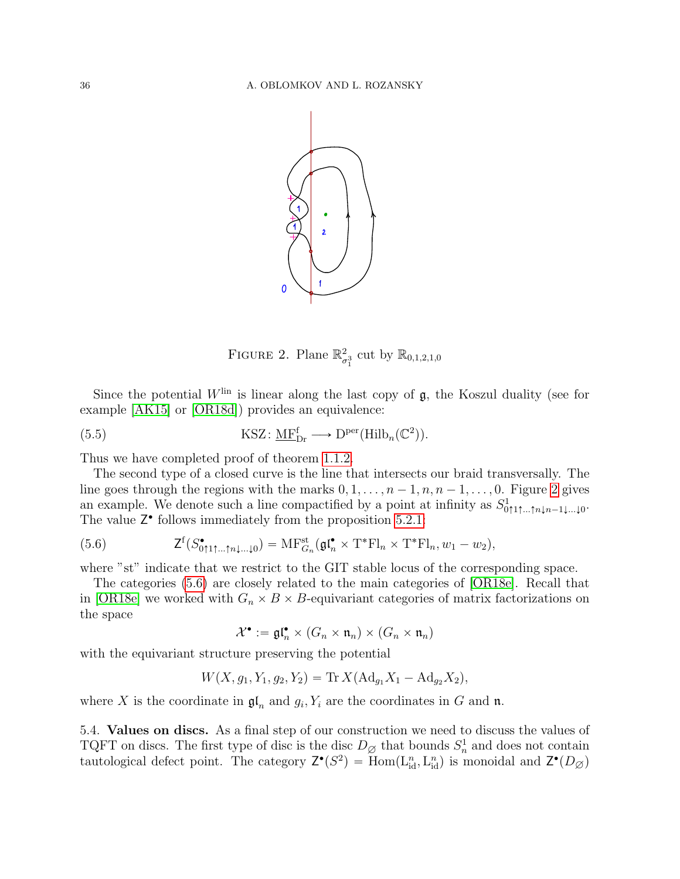

<span id="page-35-2"></span><span id="page-35-0"></span>FIGURE 2. Plane  $\mathbb{R}^2$  $_{\sigma_1^3}^2$  cut by  $\mathbb{R}_{0,1,2,1,0}$ 

Since the potential  $W^{\text{lin}}$  is linear along the last copy of  $\mathfrak{g}$ , the Koszul duality (see for example [\[AK15\]](#page-42-23) or [\[OR18d\]](#page-43-2)) provides an equivalence:

(5.5) 
$$
\text{KSZ}: \underline{\text{MF}}_{\text{Dr}}^{\text{f}} \longrightarrow \mathrm{D}^{\text{per}}(\text{Hilb}_{n}(\mathbb{C}^{2})).
$$

Thus we have completed proof of theorem [1.1.2.](#page-3-2)

The second type of a closed curve is the line that intersects our braid transversally. The line goes through the regions with the marks  $0, 1, \ldots, n-1, n, n-1, \ldots, 0$ . Figure [2](#page-35-0) gives an example. We denote such a line compactified by a point at infinity as  $S^1_{0\uparrow 1\uparrow...\uparrow n\downarrow n-1\downarrow...\downarrow 0}$ . The value  $Z^{\bullet}$  follows immediately from the proposition [5.2.1:](#page-32-0)

<span id="page-35-1"></span>(5.6) 
$$
\mathsf{Z}^{\mathsf{f}}(S_{0\uparrow 1\uparrow \ldots \uparrow n\downarrow \ldots \downarrow 0}^{\bullet}) = \mathrm{MF}_{G_n}^{\mathrm{st}}(\mathfrak{gl}_n^{\bullet} \times \mathrm{T}^{\ast} \mathrm{Fl}_n \times \mathrm{T}^{\ast} \mathrm{Fl}_n, w_1 - w_2),
$$

where "st" indicate that we restrict to the GIT stable locus of the corresponding space.

The categories [\(5.6\)](#page-35-1) are closely related to the main categories of [\[OR18e\]](#page-43-0). Recall that in [\[OR18e\]](#page-43-0) we worked with  $G_n \times B \times B$ -equivariant categories of matrix factorizations on the space

$$
\mathcal{X}^{\bullet}:=\mathfrak{gl}_n^{\bullet}\times (G_n\times \mathfrak{n}_n)\times (G_n\times \mathfrak{n}_n)
$$

with the equivariant structure preserving the potential

$$
W(X, g_1, Y_1, g_2, Y_2) = \text{Tr } X(\text{Ad}_{g_1}X_1 - \text{Ad}_{g_2}X_2),
$$

where X is the coordinate in  $\mathfrak{gl}_n$  and  $g_i, Y_i$  are the coordinates in G and n.

5.4. Values on discs. As a final step of our construction we need to discuss the values of TQFT on discs. The first type of disc is the disc  $D_{\emptyset}$  that bounds  $S_n^1$  and does not contain tautological defect point. The category  $Z^{\bullet}(S^2) = \text{Hom}(L_{\text{id}}^n, L_{\text{id}}^n)$  is monoidal and  $Z^{\bullet}(D_{\varnothing})$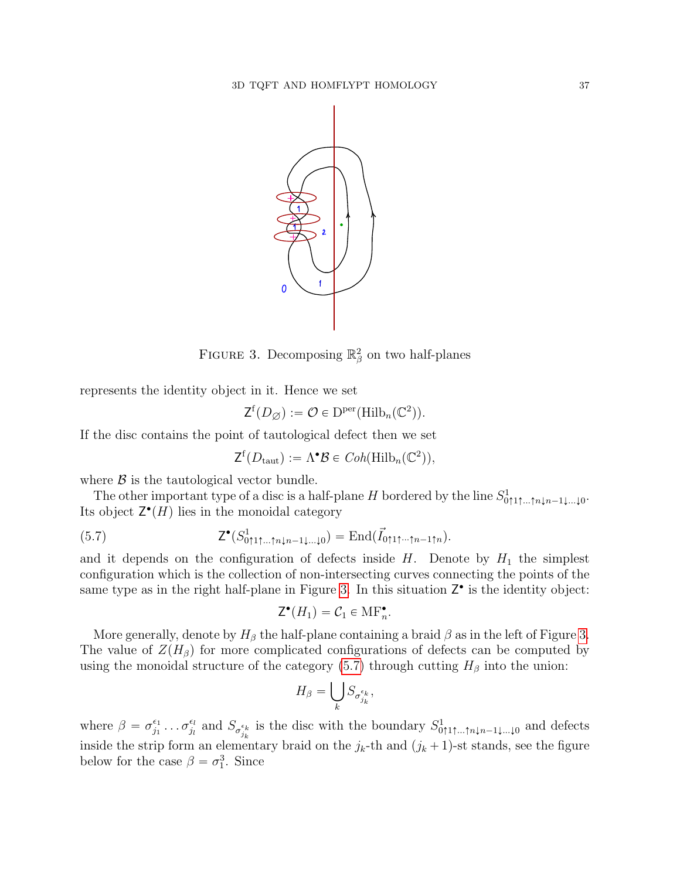

FIGURE 3. Decomposing  $\mathbb{R}^2_\beta$  on two half-planes

represents the identity object in it. Hence we set

<span id="page-36-0"></span>
$$
\mathsf{Z}^{\mathrm{f}}(D_{\varnothing}) := \mathcal{O} \in \mathrm{D}^{\mathrm{per}}(\mathrm{Hilb}_n(\mathbb{C}^2)).
$$

If the disc contains the point of tautological defect then we set

<span id="page-36-1"></span>
$$
\mathsf{Z}^{\mathsf{f}}(D_{\text{taut}}) := \Lambda^{\bullet} \mathcal{B} \in \mathit{Coh}(\mathsf{Hilb}_n(\mathbb{C}^2)),
$$

where  $\beta$  is the tautological vector bundle.

The other important type of a disc is a half-plane H bordered by the line  $S^1_{0\uparrow 1\uparrow ...\uparrow n\downarrow n-1\downarrow ...\downarrow 0}$ . Its object  $\mathsf{Z}^{\bullet}(H)$  lies in the monoidal category

(5.7) 
$$
\mathsf{Z}^{\bullet}(S_{0\uparrow 1\uparrow \dots \uparrow n\downarrow n-1\downarrow \dots \downarrow 0}^1) = \mathrm{End}(\vec{I}_{0\uparrow 1\uparrow \dots \uparrow n-1\uparrow n}).
$$

and it depends on the configuration of defects inside  $H$ . Denote by  $H_1$  the simplest configuration which is the collection of non-intersecting curves connecting the points of the same type as in the right half-plane in Figure [3.](#page-36-0) In this situation  $Z^{\bullet}$  is the identity object:

$$
\mathsf{Z}^{\bullet}(H_1) = \mathcal{C}_1 \in \mathrm{MF}_n^{\bullet}.
$$

More generally, denote by  $H_\beta$  the half-plane containing a braid  $\beta$  as in the left of Figure [3.](#page-36-0) The value of  $Z(H_\beta)$  for more complicated configurations of defects can be computed by using the monoidal structure of the category [\(5.7\)](#page-36-1) through cutting  $H_\beta$  into the union:

$$
H_{\beta} = \bigcup_{k} S_{\sigma_{j_k}^{\epsilon_k}},
$$

where  $\beta = \sigma_{i_1}^{\epsilon_1}$  $\sigma_{j_1}^{\epsilon_1} \dots \sigma_{j_l}^{\epsilon_l}$  $\frac{\epsilon_l}{j_l}$  and  $S_{\sigma_{j_k}}^{\epsilon_k}$  is the disc with the boundary  $S^1_{0\uparrow 1\uparrow \dots \uparrow n\downarrow n-1\downarrow \dots \downarrow 0}$  and defects inside the strip form an elementary braid on the  $j_k$ -th and  $(j_k + 1)$ -st stands, see the figure below for the case  $\beta = \sigma_1^3$ . Since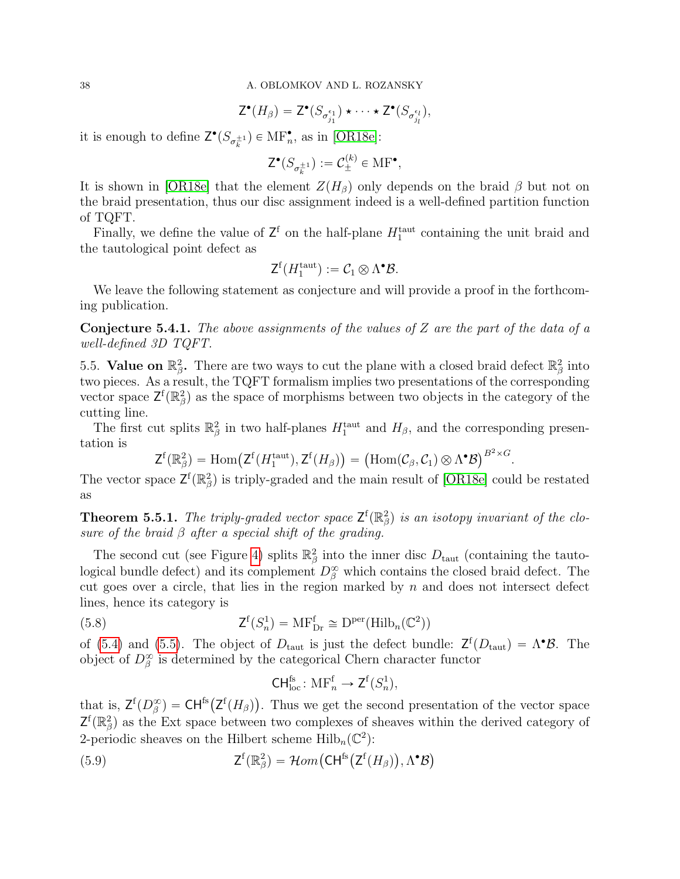$$
\mathsf{Z}^{\bullet}(H_{\beta}) = \mathsf{Z}^{\bullet}(S_{\sigma_{j_1}^{\epsilon_1}}) \star \cdots \star \mathsf{Z}^{\bullet}(S_{\sigma_{j_l}^{\epsilon_l}}),
$$

it is enough to define  $\mathsf{Z}^{\bullet}(S_{\sigma^{\pm 1}_k}) \in \text{MF}_n^{\bullet}$ , as in [\[OR18e\]](#page-43-0):

$$
\mathsf{Z}^{\bullet}(S_{\sigma_k^{\pm 1}}) := \mathcal{C}_{\pm}^{(k)} \in \mathrm{MF}^{\bullet},
$$

It is shown in [\[OR18e\]](#page-43-0) that the element  $Z(H_\beta)$  only depends on the braid  $\beta$  but not on the braid presentation, thus our disc assignment indeed is a well-defined partition function of TQFT.

Finally, we define the value of  $\mathsf{Z}^{\mathsf{f}}$  on the half-plane  $H_1^{\text{taut}}$  containing the unit braid and the tautological point defect as

$$
\mathsf{Z}^{\mathrm{f}}(H_1^{\mathrm{taut}}):=\mathcal{C}_1\otimes\Lambda^\bullet\mathcal{B}.
$$

We leave the following statement as conjecture and will provide a proof in the forthcoming publication.

**Conjecture 5.4.1.** The above assignments of the values of Z are the part of the data of a well-defined 3D TQFT.

5.5. Value on  $\mathbb{R}^2_\beta$ . There are two ways to cut the plane with a closed braid defect  $\mathbb{R}^2_\beta$  into two pieces. As a result, the TQFT formalism implies two presentations of the corresponding vector space  $\mathsf{Z}^{\mathsf{f}}(\mathbb{R}_{\beta}^2)$  as the space of morphisms between two objects in the category of the cutting line.

The first cut splits  $\mathbb{R}^2_\beta$  in two half-planes  $H_1^{\text{taut}}$  and  $H_\beta$ , and the corresponding presentation is  $B^2 \times G$ 

$$
\mathsf{Z}^{\mathsf{f}}(\mathbb{R}_{\beta}^{2})=\mathrm{Hom}(\mathsf{Z}^{\mathsf{f}}(H_{1}^{\mathrm{taut}}),\mathsf{Z}^{\mathsf{f}}(H_{\beta}))=\big(\mathrm{Hom}(\mathcal{C}_{\beta},\mathcal{C}_{1})\otimes\Lambda^{\bullet}\mathcal{B}\big)^{B^{2}\times G}.
$$

The vector space  $\mathsf{Z}^{\mathsf{f}}(\mathbb{R}_{\beta}^2)$  is triply-graded and the main result of [\[OR18e\]](#page-43-0) could be restated as

**Theorem 5.5.1.** The triply-graded vector space  $\mathsf{Z}^{\mathsf{f}}(\mathbb{R}_{\beta}^2)$  is an isotopy invariant of the closure of the braid  $\beta$  after a special shift of the grading.

The second cut (see Figure [4\)](#page-38-0) splits  $\mathbb{R}^2_\beta$  into the inner disc  $D_{\text{taut}}$  (containing the tautological bundle defect) and its complement  $D^{\infty}_{\beta}$  which contains the closed braid defect. The cut goes over a circle, that lies in the region marked by  $n$  and does not intersect defect lines, hence its category is

(5.8) 
$$
\mathsf{Z}^{\mathsf{f}}(S_n^1) = \mathsf{MF}_{\mathsf{Dr}}^{\mathsf{f}} \cong \mathsf{D}^{\mathsf{per}}(\mathsf{Hilb}_n(\mathbb{C}^2))
$$

of [\(5.4\)](#page-34-0) and [\(5.5\)](#page-35-2). The object of  $D_{\text{taut}}$  is just the defect bundle:  $\mathsf{Z}^{\text{f}}(D_{\text{taut}}) = \Lambda^{\bullet} \mathcal{B}$ . The object of  $D^{\infty}_{\beta}$  is determined by the categorical Chern character functor

<span id="page-37-1"></span><span id="page-37-0"></span>
$$
\mathsf{CH}_{\mathrm{loc}}^{\mathrm{fs}}\colon \mathrm{MF}_n^{\mathrm{f}} \to \mathsf{Z}^{\mathrm{f}}(S_n^1),
$$

that is,  $\mathsf{Z}^{\mathrm{f}}(D_{\beta}^{\infty}) = \mathsf{CH}^{\mathrm{fs}}(\mathsf{Z}^{\mathrm{f}}(H_{\beta}))$ . Thus we get the second presentation of the vector space  $\mathsf{Z}^{\mathsf{f}}(\mathbb{R}_{\beta}^2)$  as the Ext space between two complexes of sheaves within the derived category of 2-periodic sheaves on the Hilbert scheme Hilb<sub>n</sub>( $\mathbb{C}^2$ ):<br>
(5.9)  $Z^f(\mathbb{R}^2_\beta) = \mathcal{H}om(\mathsf{CH}^{\mathsf{fs}}(Z^f))$ 

(5.9) 
$$
Z^{f}(\mathbb{R}_{\beta}^{2}) = \mathcal{H}om\big(\text{CH}^{\text{fs}}\big(Z^{f}(H_{\beta})\big), \Lambda^{\bullet}\mathcal{B}\big)
$$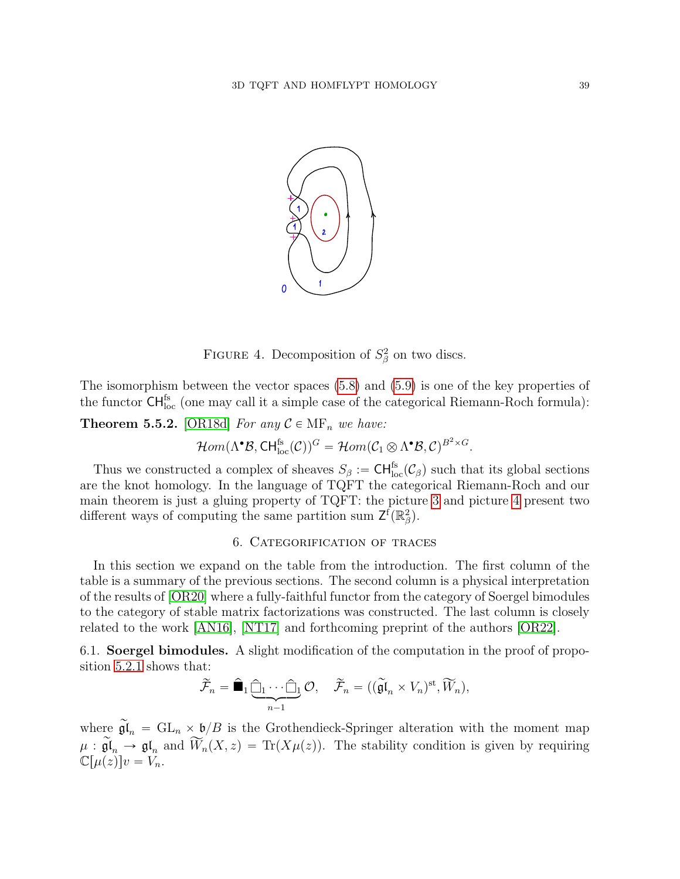

<span id="page-38-0"></span>FIGURE 4. Decomposition of  $S^2_\beta$  on two discs.

The isomorphism between the vector spaces [\(5.8\)](#page-37-0) and [\(5.9\)](#page-37-1) is one of the key properties of the functor  $\mathsf{CH}^{\mathsf{fs}}_{\mathrm{loc}}$  (one may call it a simple case of the categorical Riemann-Roch formula):

**Theorem 5.5.2.** [\[OR18d\]](#page-43-2) For any  $C \in \text{MF}_n$  we have:

$$
\mathcal{H}om(\Lambda^\bullet\mathcal{B},\text{CH}^{\text{fs}}_{\text{loc}}(\mathcal{C}))^G = \mathcal{H}om(\mathcal{C}_1 \otimes \Lambda^\bullet\mathcal{B},\mathcal{C})^{B^2 \times G}.
$$

Thus we constructed a complex of sheaves  $S_\beta := \text{CH}^{\text{fs}}_{\text{loc}}(\mathcal{C}_\beta)$  such that its global sections are the knot homology. In the language of TQFT the categorical Riemann-Roch and our main theorem is just a gluing property of TQFT: the picture [3](#page-36-0) and picture [4](#page-38-0) present two different ways of computing the same partition sum  $\mathsf{Z}^{\mathsf{f}}(\mathbb{R}_{\beta}^2)$ .

# 6. Categorification of traces

<span id="page-38-1"></span>In this section we expand on the table from the introduction. The first column of the table is a summary of the previous sections. The second column is a physical interpretation of the results of [\[OR20\]](#page-43-1) where a fully-faithful functor from the category of Soergel bimodules to the category of stable matrix factorizations was constructed. The last column is closely related to the work [\[AN16\]](#page-42-6), [\[NT17\]](#page-42-5) and forthcoming preprint of the authors [\[OR22\]](#page-43-6).

6.1. Soergel bimodules. A slight modification of the computation in the proof of proposition [5.2.1](#page-32-0) shows that:

$$
\widetilde{\mathcal{F}}_n = \widehat{\blacksquare}_1 \underbrace{\widehat{\square}_1 \cdots \widehat{\square}_1}_{n-1} \mathcal{O}, \quad \widetilde{\mathcal{F}}_n = ((\widetilde{\mathfrak{gl}}_n \times V_n)^{\text{st}}, \widetilde{W}_n),
$$

where  $\widetilde{\mathfrak{gl}}_n = GL_n \times \mathfrak{b}/B$  is the Grothendieck-Springer alteration with the moment map  $\mu : \widetilde{\mathfrak{gl}}_n \longrightarrow \mathfrak{gl}_n$  and  $\widetilde{W}_n(X, z) = \text{Tr}(X\mu(z)).$  The stability condition is given by requiring  $\mathbb{C}[\mu(z)]v = V_n.$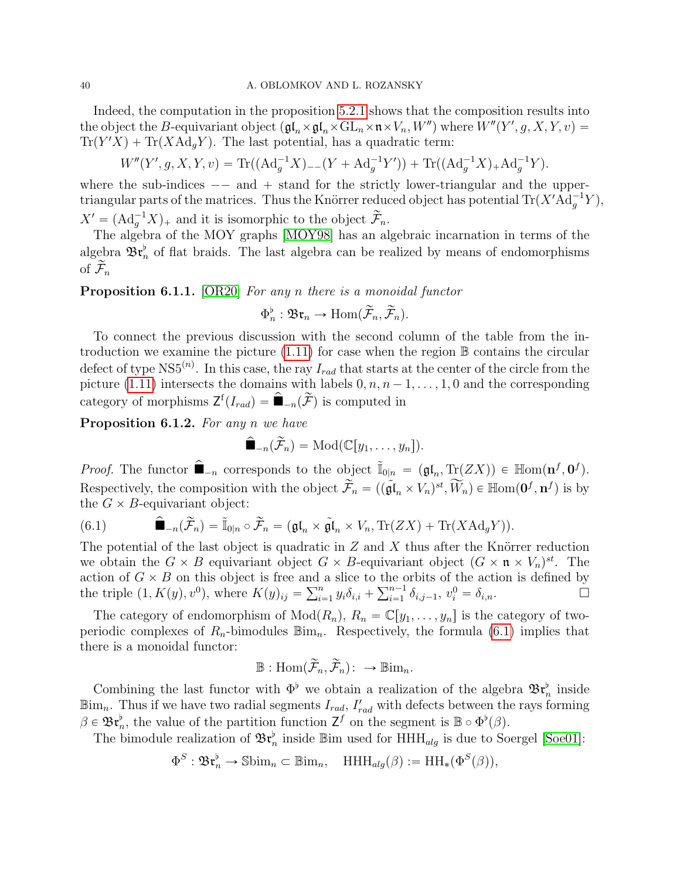Indeed, the computation in the proposition [5.2.1](#page-32-0) shows that the composition results into the object the B-equivariant object  $(\mathfrak{gl}_n\times\mathfrak{gl}_n\times\mathrm{GL}_n\times\mathfrak{n}\times V_n,W'')$  where  $W''(Y',g,X,Y,v)$  =  $\text{Tr}(Y'X) + \text{Tr}(X \text{Ad}_g Y)$ . The last potential, has a quadratic term:

$$
W''(Y', g, X, Y, v) = \text{Tr}((\text{Ad}_g^{-1}X)_{--}(Y + \text{Ad}_g^{-1}Y')) + \text{Tr}((\text{Ad}_g^{-1}X)_{+} \text{Ad}_g^{-1}Y).
$$

where the sub-indices  $-$  and  $+$  stand for the strictly lower-triangular and the uppertriangular parts of the matrices. Thus the Knörrer reduced object has potential  $\text{Tr}(X' \text{Ad}_g^{-1} Y)$ ,  $X' = (\text{Ad}_g^{-1}X)_+$  and it is isomorphic to the object  $\widetilde{\mathcal{F}}_n$ .

The algebra of the MOY graphs [\[MOY98\]](#page-42-10) has an algebraic incarnation in terms of the algebra  $\mathfrak{Br}_n^{\flat}$  of flat braids. The last algebra can be realized by means of endomorphisms of  $\widetilde{\mathcal{F}}_n$ 

**Proposition 6.1.1.** [\[OR20\]](#page-43-1) For any n there is a monoidal functor

$$
\Phi_n^{\flat} : \mathfrak{Br}_n \to \text{Hom}(\widetilde{\mathcal{F}}_n, \widetilde{\mathcal{F}}_n).
$$

To connect the previous discussion with the second column of the table from the introduction we examine the picture  $(1.11)$  for case when the region  $\mathbb B$  contains the circular defect of type NS5<sup>(n)</sup>. In this case, the ray  $I_{rad}$  that starts at the center of the circle from the picture [\(1.11\)](#page-5-1) intersects the domains with labels  $0, n, n - 1, \ldots, 1, 0$  and the corresponding category of morphisms  $Z^f(I_{rad}) = \hat{\blacksquare}_{-n}(\widetilde{\mathcal{F}})$  is computed in

Proposition 6.1.2. For any n we have

$$
\widehat{\blacksquare}_{-n}(\widetilde{\mathcal{F}}_n) = \text{Mod}(\mathbb{C}[y_1,\ldots,y_n]).
$$

*Proof.* The functor  $\hat{\blacksquare}_{-n}$  corresponds to the object  $\tilde{I}_{0|n} = (\mathfrak{gl}_n, \text{Tr}(ZX)) \in \mathbb{H}$ om $(\mathbf{n}^f, \mathbf{0}^f)$ . Respectively, the composition with the object  $\tilde{\mathcal{F}}_n = ((\tilde{\mathfrak{gl}}_n \times V_n)^{st}, \widetilde{W}_n) \in \mathbb{H}^{1}(\mathbf{0}^f, \mathbf{n}^f)$  is by the  $G \times B$ -equivariant object:

<span id="page-39-0"></span>(6.1) 
$$
\widehat{\mathbf{I}}_{-n}(\widetilde{\mathcal{F}}_n) = \widetilde{\mathbb{I}}_{0|n} \circ \widetilde{\mathcal{F}}_n = (\mathfrak{gl}_n \times \widetilde{\mathfrak{gl}}_n \times V_n, \text{Tr}(ZX) + \text{Tr}(X \text{Ad}_g Y)).
$$

The potential of the last object is quadratic in  $Z$  and  $X$  thus after the Knörrer reduction we obtain the  $G \times B$  equivariant object  $G \times B$ -equivariant object  $(G \times \mathfrak{n} \times V_n)^{st}$ . The action of  $G \times B$  on this object is free and a slice to the orbits of the action is defined by action of  $G \times B$  on this object is free and<br>the triple  $(1, K(y), v^0)$ , where  $K(y)_{ij} = \sum_{i=1}^n$ l a slice to the c $\sum_{i=1}^n y_i \delta_{i,i} + \sum_{i=1}^{n-1}$  $\sum_{i=1}^{n-1} \delta_{i,j-1}, \ v_i^0 = \delta_{i,n}.$ 

The category of endomorphism of  $Mod(R_n)$ ,  $R_n = \mathbb{C}[y_1, \ldots, y_n]$  is the category of twoperiodic complexes of  $R_n$ -bimodules  $\mathbb{B}_{mn}$ . Respectively, the formula [\(6.1\)](#page-39-0) implies that there is a monoidal functor:

$$
\mathbb{B} : \text{Hom}(\widetilde{\mathcal{F}}_n, \widetilde{\mathcal{F}}_n) : \longrightarrow \mathbb{B}^{\text{lim}}_n.
$$

Combining the last functor with  $\Phi^{\flat}$  we obtain a realization of the algebra  $\mathfrak{Br}_n^{\flat}$  inside  $\mathbb{B}_{m_n}$ . Thus if we have two radial segments  $I_{rad}$ ,  $I'_{rad}$  with defects between the rays forming  $\beta \in \mathfrak{Br}_n^{\flat}$ , the value of the partition function  $\mathsf{Z}^f$  on the segment is  $\mathbb{B} \circ \Phi^{\flat}(\beta)$ .

The bimodule realization of  $\mathfrak{Br}_n^{\flat}$  inside Bim used for  $HHH_{alg}$  is due to Soergel [\[Soe01\]](#page-43-3):

$$
\Phi^S: \mathfrak{Br}_n^{\flat} \to \mathbb{S}\text{bim}_n \subset \mathbb{B}\text{im}_n, \quad \text{HHH}_{alg}(\beta) := \text{HH}_{*}(\Phi^S(\beta)),
$$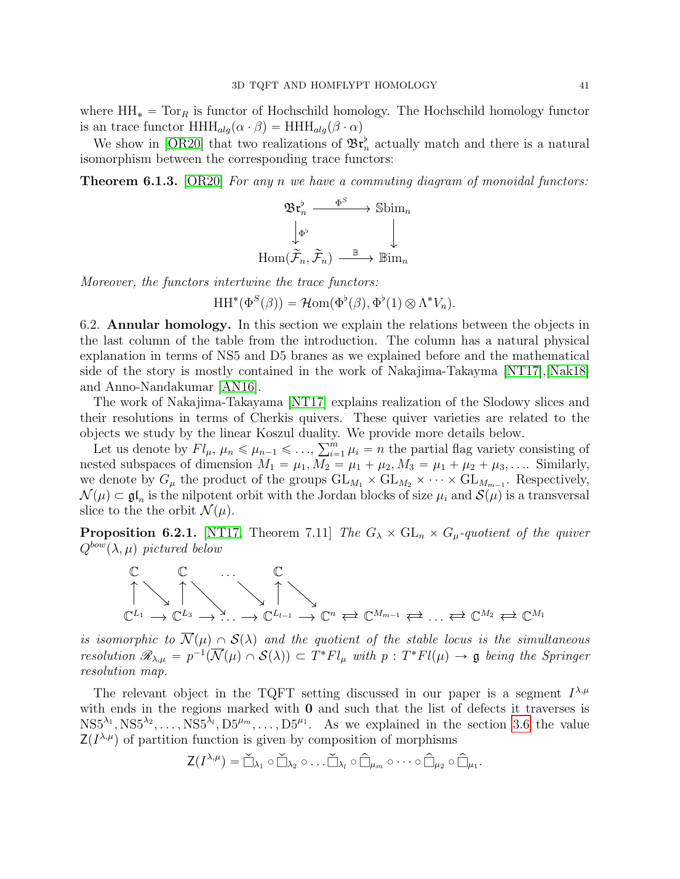where  $HH_* = Tor_R$  is functor of Hochschild homology. The Hochschild homology functor is an trace functor  $HHH_{alg}(\alpha \cdot \beta) = HHH_{alg}(\beta \cdot \alpha)$ 

We show in [\[OR20\]](#page-43-1) that two realizations of  $\mathfrak{Br}_n^{\flat}$  actually match and there is a natural isomorphism between the corresponding trace functors:

**Theorem 6.1.3.** [\[OR20\]](#page-43-1) For any n we have a commuting diagram of monoidal functors:

$$
\begin{array}{ccc} \mathfrak{B}\mathfrak{r}_n^{\flat} & \xrightarrow{\Phi^S} & \text{Sbim}_n\\ \downarrow^{\Phi^{\flat}} & & \downarrow\\ \text{Hom}(\widetilde{\mathcal{F}}_n,\widetilde{\mathcal{F}}_n) & \xrightarrow{\mathbb{B}} & \text{Bim}_n \end{array}
$$

Moreover, the functors intertwine the trace functors:

 $HH^*(\Phi^S(\beta)) = \mathcal{H}om(\Phi^{\flat}(\beta), \Phi^{\flat}(1) \otimes \Lambda^* V_n).$ 

<span id="page-40-0"></span>6.2. Annular homology. In this section we explain the relations between the objects in the last column of the table from the introduction. The column has a natural physical explanation in terms of NS5 and D5 branes as we explained before and the mathematical side of the story is mostly contained in the work of Nakajima-Takayma [\[NT17\]](#page-42-5),[\[Nak18\]](#page-42-24) and Anno-Nandakumar [\[AN16\]](#page-42-6).

The work of Nakajima-Takayama [\[NT17\]](#page-42-5) explains realization of the Slodowy slices and their resolutions in terms of Cherkis quivers. These quiver varieties are related to the objects we study by the linear Koszul duality. We provide more details below.<br>  $\sum_{n=1}^{\infty}$  of the partial flag variety of

Let us denote by  $Fl_\mu$ ,  $\mu_n \leq \mu_{n-1} \leq \ldots$ ,  $\sum_{i=1}^m \mu_i = n$  the partial flag variety consisting of nested subspaces of dimension  $M_1 = \mu_1, M_2 = \mu_1 + \mu_2, M_3 = \mu_1 + \mu_2 + \mu_3, \dots$  Similarly, we denote by  $G_{\mu}$  the product of the groups  $GL_{M_1} \times GL_{M_2} \times \cdots \times GL_{M_{m-1}}$ . Respectively,  $\mathcal{N}(\mu) \subset \mathfrak{gl}_n$  is the nilpotent orbit with the Jordan blocks of size  $\mu_i$  and  $\mathcal{S}(\mu)$  is a transversal slice to the the orbit  $\mathcal{N}(\mu)$ .

<span id="page-40-1"></span>**Proposition 6.2.1.** [\[NT17,](#page-42-5) Theorem 7.11] The  $G_{\lambda} \times GL_n \times G_{\mu}$ -quotient of the quiver  $Q^{bow}(\lambda, \mu)$  pictured below



is isomorphic to  $\overline{\mathcal{N}}(\mu) \cap \mathcal{S}(\lambda)$  and the quotient of the stable locus is the simultaneous resolution  $\mathscr{R}_{\lambda,\mu} = p^{-1}(\overline{\mathcal{N}}(\mu) \cap \mathcal{S}(\lambda)) \subset T^*Fl_{\mu}$  with  $p : T^*Fl(\mu) \to \mathfrak{g}$  being the Springer resolution map.

The relevant object in the TQFT setting discussed in our paper is a segment  $I^{\lambda,\mu}$ with ends in the regions marked with  $\bf{0}$  and such that the list of defects it traverses is  $\text{NS5}^{\lambda_1}, \text{NS5}^{\lambda_2}, \ldots, \text{NS5}^{\lambda_l}, \text{D5}^{\mu_m}, \ldots, \text{D5}^{\mu_1}.$  As we explained in the section [3.6](#page-18-0) the value  $Z(I^{\lambda,\mu})$  of partition function is given by composition of morphisms

$$
\mathsf{Z}(I^{\lambda,\mu}) = \check{\Box}_{\lambda_1} \circ \check{\Box}_{\lambda_2} \circ \ldots \check{\Box}_{\lambda_l} \circ \hat{\Box}_{\mu_m} \circ \cdots \circ \hat{\Box}_{\mu_2} \circ \hat{\Box}_{\mu_1}.
$$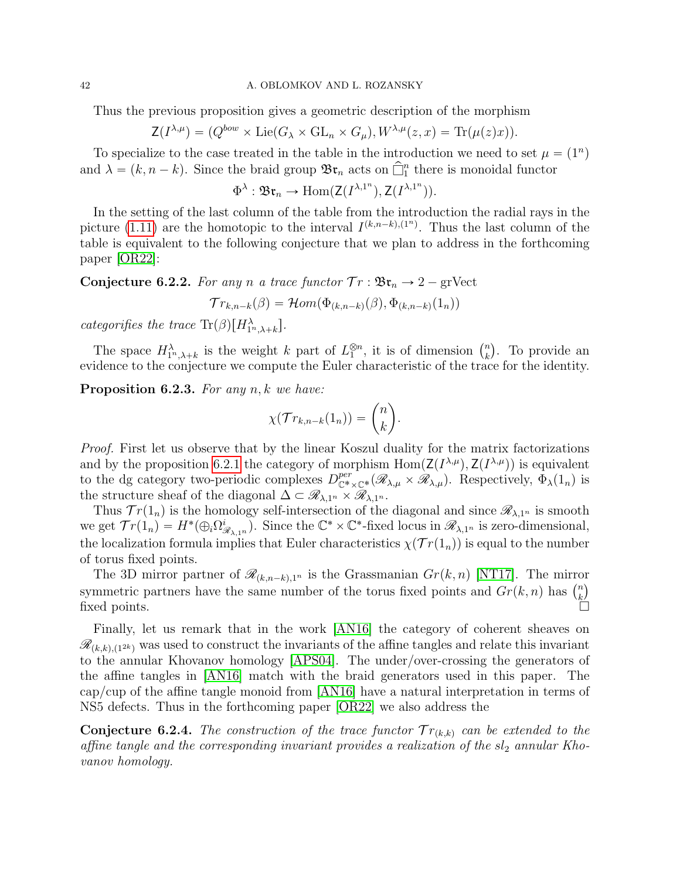Thus the previous proposition gives a geometric description of the morphism

$$
\mathsf{Z}(I^{\lambda,\mu}) = (Q^{bow} \times \mathrm{Lie}(G_{\lambda} \times \mathrm{GL}_n \times G_{\mu}), W^{\lambda,\mu}(z,x) = \mathrm{Tr}(\mu(z)x)).
$$

To specialize to the case treated in the table in the introduction we need to set  $\mu = (1^n)$ and  $\lambda = (k, n - k)$ . Since the braid group  $\mathfrak{Br}_n$  acts on  $\widehat{\Box}^n_1$  there is monoidal functor

$$
\Phi^{\lambda}: \mathfrak{Br}_n \to \mathrm{Hom}(\mathsf{Z}(I^{\lambda,1^n}),\mathsf{Z}(I^{\lambda,1^n})).
$$

In the setting of the last column of the table from the introduction the radial rays in the picture [\(1.11\)](#page-5-1) are the homotopic to the interval  $I^{(k,n-k),(1^n)}$ . Thus the last column of the table is equivalent to the following conjecture that we plan to address in the forthcoming paper [\[OR22\]](#page-43-6):

**Conjecture 6.2.2.** For any n a trace functor  $Tr : \mathfrak{Br}_n \to 2$  – gr.

$$
\mathcal{T}r_{k,n-k}(\beta) = \mathcal{H}om(\Phi_{(k,n-k)}(\beta), \Phi_{(k,n-k)}(1_n))
$$

categorifies the trace  $\text{Tr}(\beta)[H_{1^n,\lambda+k}^{\lambda}].$ 

The space  $H^{\lambda}_{1^n,\lambda+k}$  is the weight k part of  $L_1^{\otimes n}$ , it is of dimension  $\binom{n}{k}$ k . To provide an evidence to the conjecture we compute the Euler characteristic of the trace for the identity.

**Proposition 6.2.3.** For any  $n, k$  we have:

$$
\chi(\mathcal{T}r_{k,n-k}(1_n)) = \binom{n}{k}.
$$

˙

Proof. First let us observe that by the linear Koszul duality for the matrix factorizations and by the proposition [6.2.1](#page-40-1) the category of morphism  $\text{Hom}(\mathsf{Z}(I^{\lambda,\mu}), \mathsf{Z}(I^{\lambda,\mu}))$  is equivalent to the dg category two-periodic complexes  $D^{per}_{\mathbb{C}^* \times \mathbb{C}^*}(\mathscr{R}_{\lambda,\mu} \times \mathscr{R}_{\lambda,\mu})$ . Respectively,  $\Phi_{\lambda}(1_n)$  is the structure sheaf of the diagonal  $\Delta \subset \mathscr{R}_{\lambda,1^n} \times \mathscr{R}_{\lambda,1^n}$ .

Thus  $Tr(1_n)$  is the homology self-intersection of the diagonal and since  $\mathscr{R}_{\lambda,1^n}$  is smooth we get  $Tr(1_n) = H^*(\bigoplus_i \Omega_{\underline{\beta}}^i)$  $(\mathscr{R}_{\lambda,1^n})$ . Since the  $\mathbb{C}^* \times \mathbb{C}^*$ -fixed locus in  $\mathscr{R}_{\lambda,1^n}$  is zero-dimensional, the localization formula implies that Euler characteristics  $\chi(\mathcal{T}r(1_n))$  is equal to the number of torus fixed points.

The 3D mirror partner of  $\mathcal{R}_{(k,n-k),1^n}$  is the Grassmanian  $Gr(k, n)$  [\[NT17\]](#page-42-5). The mirror The 3D mirror partner of  $\mathcal{R}_{(k,n-k),1^n}$  is the Grassmanian  $Gr(k,n)$  [NT17]. The mirror symmetric partners have the same number of the torus fixed points and  $Gr(k,n)$  has  $\binom{n}{k}$ by integrating parameters have the same number of the torus fixed points and  $G_{\ell}(n, n)$  has  $\binom{k}{k}$ <br>fixed points.

Finally, let us remark that in the work [\[AN16\]](#page-42-6) the category of coherent sheaves on  $\mathscr{R}_{(k,k),(1^{2k})}$  was used to construct the invariants of the affine tangles and relate this invariant to the annular Khovanov homology [\[APS04\]](#page-42-7). The under/over-crossing the generators of the affine tangles in [\[AN16\]](#page-42-6) match with the braid generators used in this paper. The cap/cup of the affine tangle monoid from [\[AN16\]](#page-42-6) have a natural interpretation in terms of NS5 defects. Thus in the forthcoming paper [\[OR22\]](#page-43-6) we also address the

**Conjecture 6.2.4.** The construction of the trace functor  $Tr_{(k,k)}$  can be extended to the affine tangle and the corresponding invariant provides a realization of the  $sl_2$  annular Khovanov homology.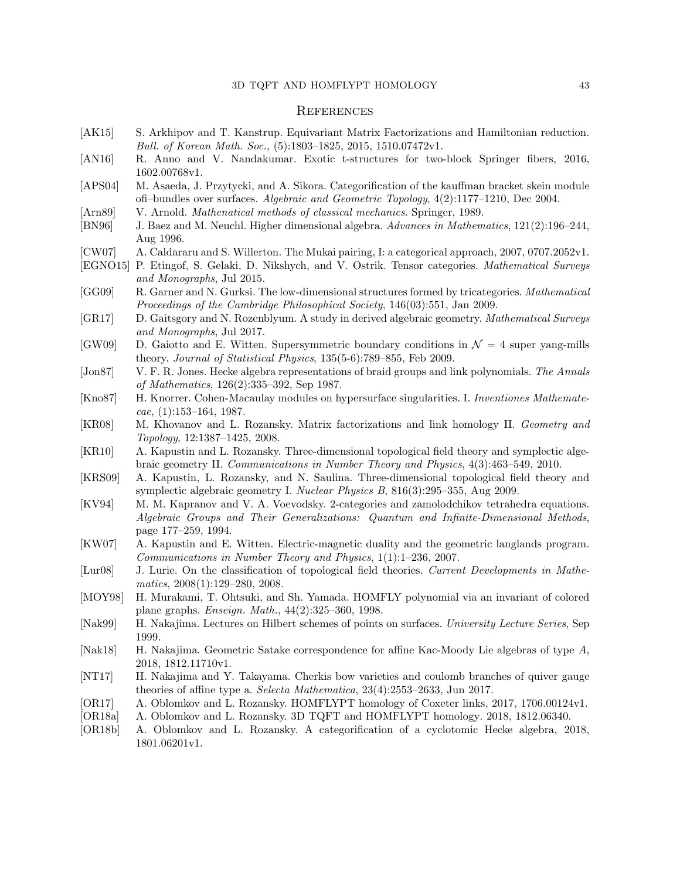# $3\mathrm{D}$  TQFT AND HOMFLYPT HOMOLOGY  $43$

# **REFERENCES**

<span id="page-42-23"></span><span id="page-42-19"></span><span id="page-42-18"></span><span id="page-42-17"></span><span id="page-42-16"></span><span id="page-42-13"></span><span id="page-42-12"></span><span id="page-42-11"></span><span id="page-42-9"></span><span id="page-42-7"></span><span id="page-42-6"></span><span id="page-42-3"></span>

| [AK15]   | S. Arkhipov and T. Kanstrup. Equivariant Matrix Factorizations and Hamiltonian reduction.                                        |  |  |  |
|----------|----------------------------------------------------------------------------------------------------------------------------------|--|--|--|
|          | Bull. of Korean Math. Soc., (5):1803-1825, 2015, 1510.07472v1.                                                                   |  |  |  |
| [AN16]   | R. Anno and V. Nandakumar. Exotic t-structures for two-block Springer fibers, 2016,<br>1602.00768v1.                             |  |  |  |
|          | M. Asaeda, J. Przytycki, and A. Sikora. Categorification of the kauffman bracket skein module                                    |  |  |  |
| [APS04]  | ofi-bundles over surfaces. Algebraic and Geometric Topology, 4(2):1177-1210, Dec 2004.                                           |  |  |  |
| [Ann89]  | V. Arnold. Mathenatical methods of classical mechanics. Springer, 1989.                                                          |  |  |  |
| [BN96]   | J. Baez and M. Neuchl. Higher dimensional algebra. Advances in Mathematics, 121(2):196-244,                                      |  |  |  |
|          | Aug 1996.                                                                                                                        |  |  |  |
| [CW07]   | A. Caldararu and S. Willerton. The Mukai pairing, I: a categorical approach, 2007, 0707.2052v1.                                  |  |  |  |
|          | [EGNO15] P. Etingof, S. Gelaki, D. Nikshych, and V. Ostrik. Tensor categories. Mathematical Surveys<br>and Monographs, Jul 2015. |  |  |  |
| [GG09]   | R. Garner and N. Gurksi. The low-dimensional structures formed by tricategories. Mathematical                                    |  |  |  |
|          | Proceedings of the Cambridge Philosophical Society, 146(03):551, Jan 2009.                                                       |  |  |  |
| [GR17]   | D. Gaitsgory and N. Rozenblyum. A study in derived algebraic geometry. Mathematical Surveys                                      |  |  |  |
|          | and Monographs, Jul 2017.                                                                                                        |  |  |  |
| [GW09]   | D. Gaiotto and E. Witten. Supersymmetric boundary conditions in $\mathcal{N}=4$ super yang-mills                                 |  |  |  |
|          | theory. Journal of Statistical Physics, 135(5-6):789-855, Feb 2009.                                                              |  |  |  |
| [Join87] | V. F. R. Jones. Hecke algebra representations of braid groups and link polynomials. The Annals                                   |  |  |  |
|          | of Mathematics, 126(2):335-392, Sep 1987.                                                                                        |  |  |  |
| [Kno87]  | H. Knorrer. Cohen-Macaulay modules on hypersurface singularities. I. Inventiones Mathemate-                                      |  |  |  |
|          | $cae$ , (1):153-164, 1987.                                                                                                       |  |  |  |
| [KR08]   | M. Khovanov and L. Rozansky. Matrix factorizations and link homology II. Geometry and                                            |  |  |  |
|          | <i>Topology</i> , 12:1387–1425, 2008.                                                                                            |  |  |  |
| [KR10]   | A. Kapustin and L. Rozansky. Three-dimensional topological field theory and symplectic alge-                                     |  |  |  |
|          | braic geometry II. Communications in Number Theory and Physics, 4(3):463-549, 2010.                                              |  |  |  |
| [KRS09]  | A. Kapustin, L. Rozansky, and N. Saulina. Three-dimensional topological field theory and                                         |  |  |  |
|          | symplectic algebraic geometry I. Nuclear Physics B, 816(3):295-355, Aug 2009.                                                    |  |  |  |
|          | M. M. Kapranov and V. A. Voevodsky. 2-categories and zamolodchikov tetrahedra equations.                                         |  |  |  |
| [KV94]   | Algebraic Groups and Their Generalizations: Quantum and Infinite-Dimensional Methods,                                            |  |  |  |
|          |                                                                                                                                  |  |  |  |
| [KW07]   | page 177–259, 1994.<br>A. Kapustin and E. Witten. Electric-magnetic duality and the geometric langlands program.                 |  |  |  |
|          |                                                                                                                                  |  |  |  |
|          | Communications in Number Theory and Physics, 1(1):1-236, 2007.                                                                   |  |  |  |
| [Lur08]  | J. Lurie. On the classification of topological field theories. Current Developments in Mathe-                                    |  |  |  |
|          | matics, $2008(1):129-280$ , $2008$ .                                                                                             |  |  |  |
| [MOY98]  | H. Murakami, T. Ohtsuki, and Sh. Yamada. HOMFLY polynomial via an invariant of colored                                           |  |  |  |
|          | plane graphs. <i>Enseign. Math.</i> , 44(2):325-360, 1998.                                                                       |  |  |  |
| [Nak99]  | H. Nakajima. Lectures on Hilbert schemes of points on surfaces. University Lecture Series, Sep                                   |  |  |  |
|          | 1999.                                                                                                                            |  |  |  |
| [Nak18]  | H. Nakajima. Geometric Satake correspondence for affine Kac-Moody Lie algebras of type A,                                        |  |  |  |
|          | 2018, 1812.11710v1.                                                                                                              |  |  |  |
| [NT17]   | H. Nakajima and Y. Takayama. Cherkis bow varieties and coulomb branches of quiver gauge                                          |  |  |  |
|          | theories of affine type a. Selecta Mathematica, 23(4):2553-2633, Jun 2017.                                                       |  |  |  |

- <span id="page-42-24"></span><span id="page-42-21"></span><span id="page-42-20"></span><span id="page-42-14"></span><span id="page-42-10"></span><span id="page-42-8"></span><span id="page-42-5"></span><span id="page-42-4"></span><span id="page-42-2"></span><span id="page-42-1"></span><span id="page-42-0"></span>[OR17] A. Oblomkov and L. Rozansky. HOMFLYPT homology of Coxeter links, 2017, 1706.00124v1.<br>[OR18a] A. Oblomkov and L. Rozansky. 3D TQFT and HOMFLYPT homology. 2018, 1812.06340.
- <span id="page-42-22"></span>[OR18a] A. Oblomkov and L. Rozansky. 3D TQFT and HOMFLYPT homology. 2018, 1812.06340.<br>[OR18b] A. Oblomkov and L. Rozansky. A categorification of a cyclotomic Hecke algebra, 20
- <span id="page-42-15"></span>A. Oblomkov and L. Rozansky. A categorification of a cyclotomic Hecke algebra, 2018, 1801.06201v1.